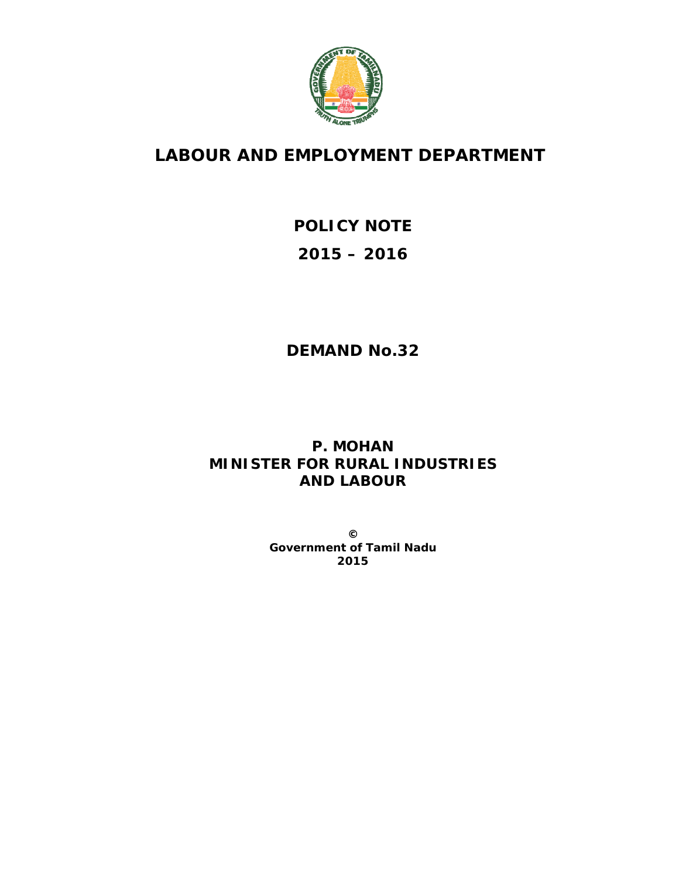

## **LABOUR AND EMPLOYMENT DEPARTMENT**

# **POLICY NOTE 2015 – 2016**

## **DEMAND No.32**

## **P. MOHAN MINISTER FOR RURAL INDUSTRIES AND LABOUR**

**© Government of Tamil Nadu 2015**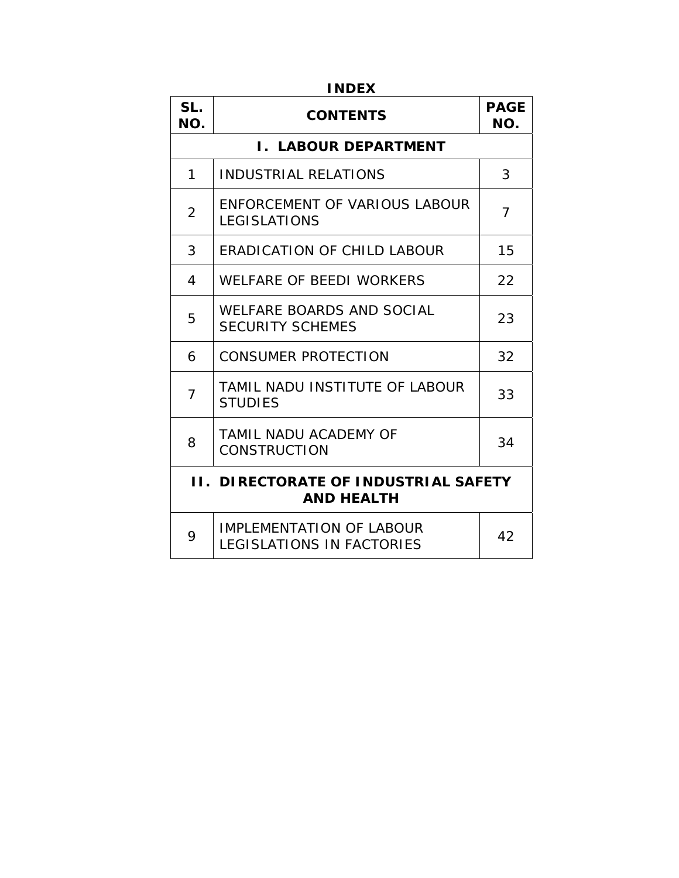| <b>INDEX</b>                                                     |                                                              |                    |  |
|------------------------------------------------------------------|--------------------------------------------------------------|--------------------|--|
| SL.<br>NO.                                                       | <b>CONTENTS</b>                                              | <b>PAGE</b><br>NO. |  |
|                                                                  | <b>I. LABOUR DEPARTMENT</b>                                  |                    |  |
| 1                                                                | <b>INDUSTRIAL RELATIONS</b>                                  | 3                  |  |
| $\overline{2}$                                                   | ENFORCEMENT OF VARIOUS LABOUR<br><b>LEGISLATIONS</b>         | $\overline{7}$     |  |
| 3                                                                | <b>ERADICATION OF CHILD LABOUR</b>                           | 15                 |  |
| 4                                                                | WELFARE OF BEEDI WORKERS                                     | 22                 |  |
| 5                                                                | WELFARE BOARDS AND SOCIAL<br><b>SECURITY SCHEMES</b>         | 23                 |  |
| 6                                                                | <b>CONSUMER PROTECTION</b>                                   | 32                 |  |
| $\overline{7}$                                                   | TAMIL NADU INSTITUTE OF LABOUR<br><b>STUDIES</b>             | 33                 |  |
| 8                                                                | <b>TAMIL NADU ACADEMY OF</b><br><b>CONSTRUCTION</b>          | 34                 |  |
| <b>II. DIRECTORATE OF INDUSTRIAL SAFETY</b><br><b>AND HEALTH</b> |                                                              |                    |  |
| 9                                                                | <b>IMPLEMENTATION OF LABOUR</b><br>LEGISLATIONS IN FACTORIES | 42                 |  |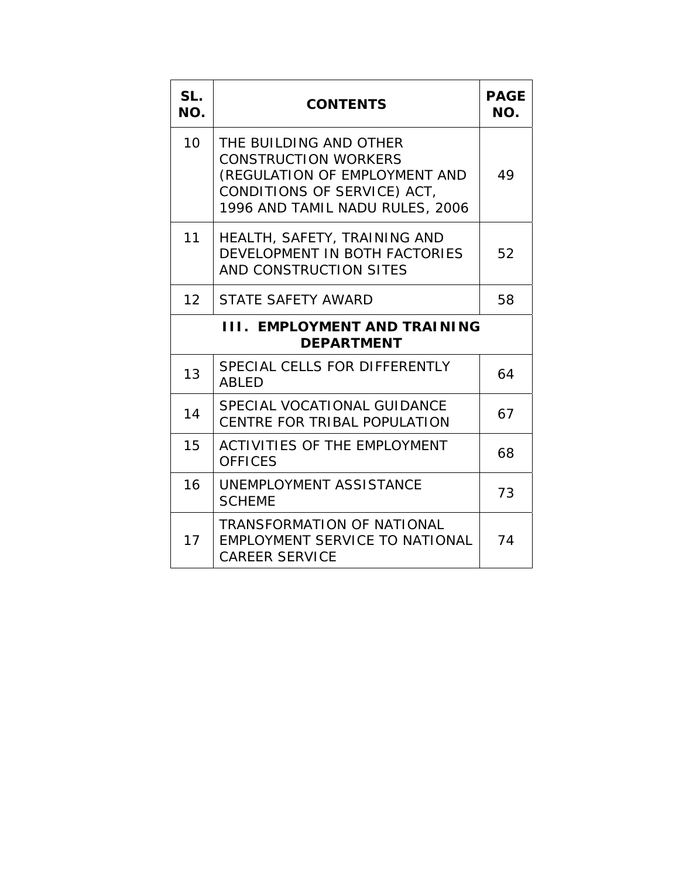| SL.<br>NO.                                               | <b>CONTENTS</b>                                                                                                                                          |    |  |
|----------------------------------------------------------|----------------------------------------------------------------------------------------------------------------------------------------------------------|----|--|
| 10                                                       | THE BUILDING AND OTHER<br><b>CONSTRUCTION WORKERS</b><br>(REGULATION OF EMPLOYMENT AND<br>CONDITIONS OF SERVICE) ACT,<br>1996 AND TAMIL NADU RULES, 2006 | 49 |  |
| 11                                                       | HEALTH, SAFETY, TRAINING AND<br>DEVELOPMENT IN BOTH FACTORIES<br>AND CONSTRUCTION SITES                                                                  | 52 |  |
| 12                                                       | <b>STATE SAFETY AWARD</b>                                                                                                                                | 58 |  |
| <b>III. EMPLOYMENT AND TRAINING</b><br><b>DEPARTMENT</b> |                                                                                                                                                          |    |  |
| 13                                                       | SPECIAL CELLS FOR DIFFERENTLY<br><b>ABLED</b>                                                                                                            | 64 |  |
| 14                                                       | SPECIAL VOCATIONAL GUIDANCE<br>CENTRE FOR TRIBAL POPULATION                                                                                              | 67 |  |
| 15                                                       | <b>ACTIVITIES OF THE EMPLOYMENT</b><br><b>OFFICES</b>                                                                                                    | 68 |  |
| 16                                                       | UNEMPLOYMENT ASSISTANCE<br><b>SCHEME</b>                                                                                                                 | 73 |  |
| 17                                                       | <b>TRANSFORMATION OF NATIONAL</b><br>EMPLOYMENT SERVICE TO NATIONAL<br><b>CAREER SERVICE</b>                                                             | 74 |  |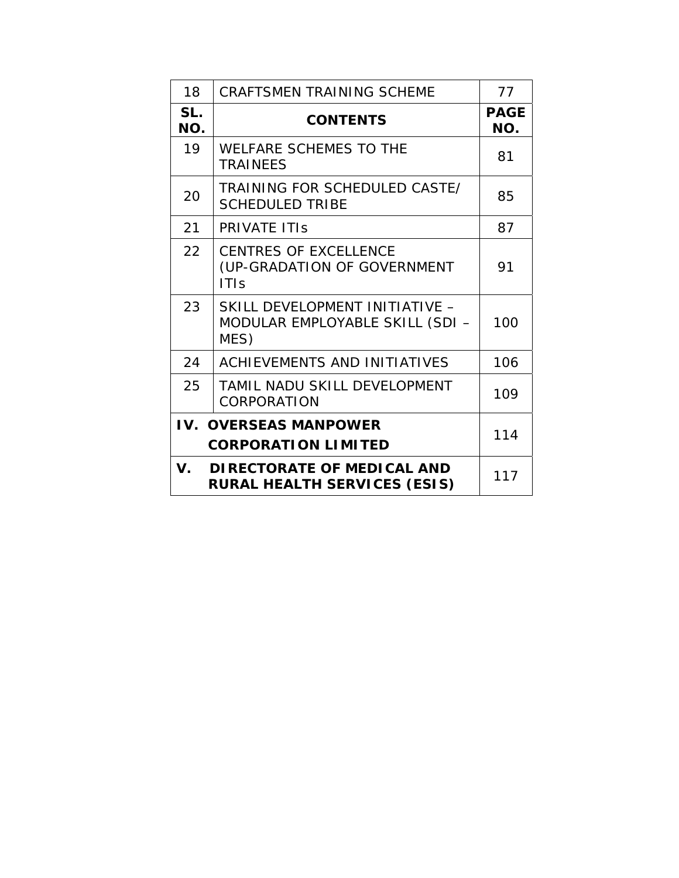| 18                                  | <b>CRAFTSMEN TRAINING SCHEME</b>                                           | 77                 |  |
|-------------------------------------|----------------------------------------------------------------------------|--------------------|--|
| SL.<br>NO.                          | <b>CONTENTS</b>                                                            | <b>PAGE</b><br>NO. |  |
| 19                                  | <b>WELFARE SCHEMES TO THE</b><br><b>TRAINEES</b>                           | 81                 |  |
| 20                                  | TRAINING FOR SCHEDULED CASTE/<br><b>SCHEDULED TRIBE</b>                    | 85                 |  |
| 21                                  | <b>PRIVATE ITIS</b>                                                        | 87                 |  |
| 22                                  | <b>CENTRES OF EXCELLENCE</b><br>(UP-GRADATION OF GOVERNMENT<br><b>ITIS</b> | 91                 |  |
| 23                                  | SKILL DEVELOPMENT INITIATIVE -<br>MODULAR EMPLOYABLE SKILL (SDI -<br>MES)  | 100                |  |
| 24                                  | <b>ACHIEVEMENTS AND INITIATIVES</b>                                        | 106                |  |
| 25                                  | TAMIL NADU SKILL DEVELOPMENT<br>CORPORATION                                | 109                |  |
| <b>IV. OVERSEAS MANPOWER</b><br>114 |                                                                            |                    |  |
|                                     | <b>CORPORATION LIMITED</b>                                                 |                    |  |
|                                     | V. DIRECTORATE OF MEDICAL AND<br><b>RURAL HEALTH SERVICES (ESIS)</b>       | 117                |  |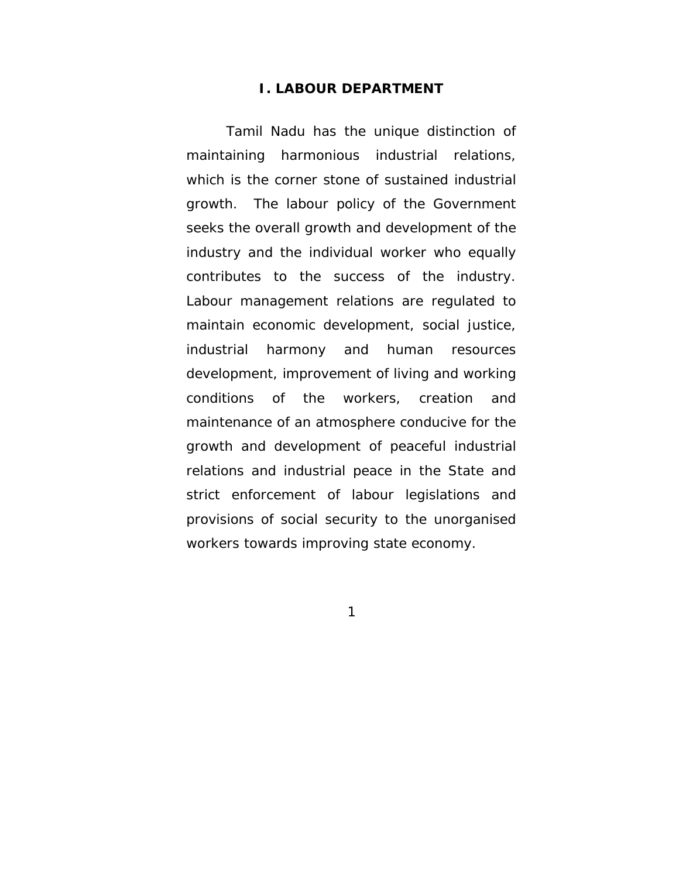#### **I. LABOUR DEPARTMENT**

Tamil Nadu has the unique distinction of maintaining harmonious industrial relations, which is the corner stone of sustained industrial growth. The labour policy of the Government seeks the overall growth and development of the industry and the individual worker who equally contributes to the success of the industry. Labour management relations are regulated to maintain economic development, social justice, industrial harmony and human resources development, improvement of living and working conditions of the workers, creation and maintenance of an atmosphere conducive for the growth and development of peaceful industrial relations and industrial peace in the State and strict enforcement of labour legislations and provisions of social security to the unorganised workers towards improving state economy.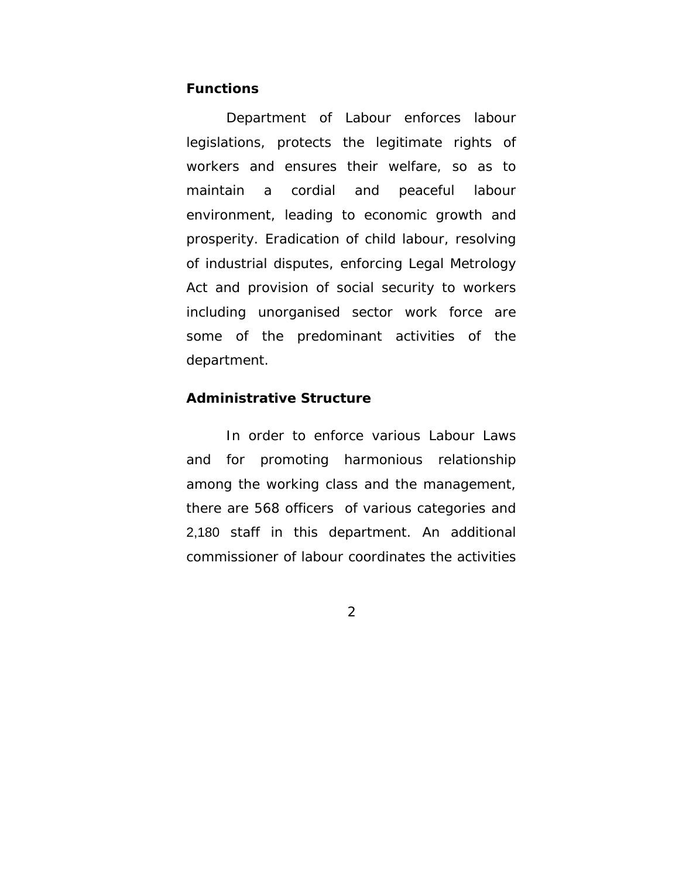#### **Functions**

Department of Labour enforces labour legislations, protects the legitimate rights of workers and ensures their welfare, so as to maintain a cordial and peaceful labour environment, leading to economic growth and prosperity. Eradication of child labour, resolving of industrial disputes, enforcing Legal Metrology Act and provision of social security to workers including unorganised sector work force are some of the predominant activities of the department.

## **Administrative Structure**

 In order to enforce various Labour Laws and for promoting harmonious relationship among the working class and the management, there are 568 officers of various categories and 2,180 staff in this department. An additional commissioner of labour coordinates the activities

 $\mathcal{P}$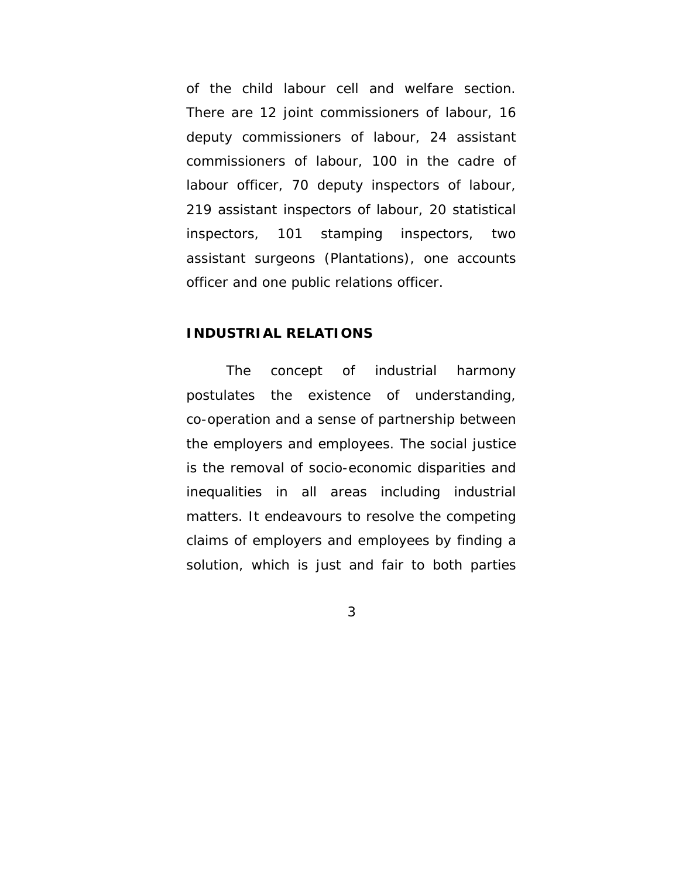of the child labour cell and welfare section. There are 12 joint commissioners of labour, 16 deputy commissioners of labour, 24 assistant commissioners of labour, 100 in the cadre of labour officer, 70 deputy inspectors of labour, 219 assistant inspectors of labour, 20 statistical inspectors, 101 stamping inspectors, two assistant surgeons (Plantations), one accounts officer and one public relations officer.

#### **INDUSTRIAL RELATIONS**

 The concept of industrial harmony postulates the existence of understanding, co-operation and a sense of partnership between the employers and employees. The social justice is the removal of socio-economic disparities and inequalities in all areas including industrial matters. It endeavours to resolve the competing claims of employers and employees by finding a solution, which is just and fair to both parties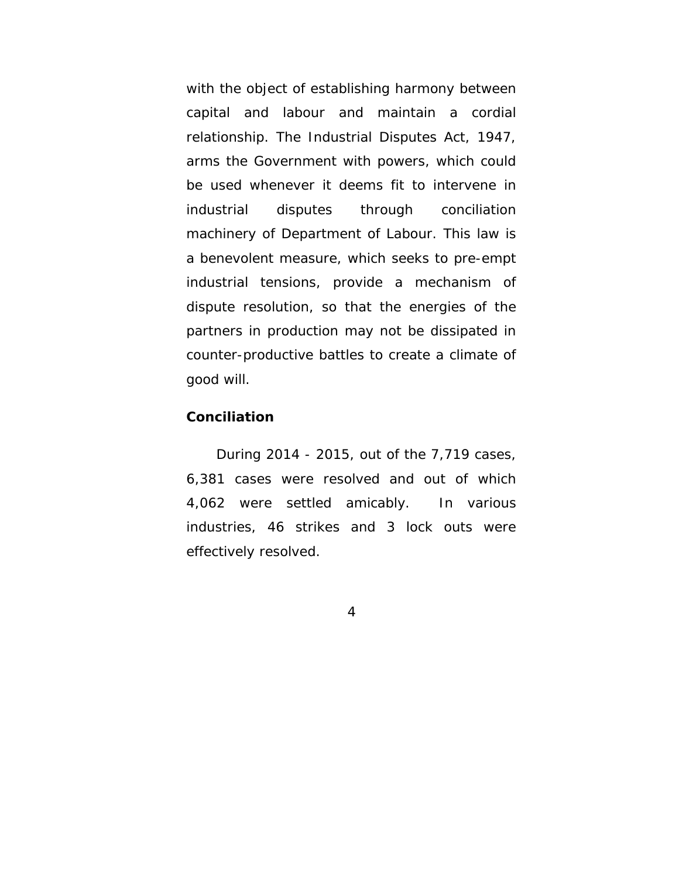with the object of establishing harmony between capital and labour and maintain a cordial relationship. The Industrial Disputes Act, 1947, arms the Government with powers, which could be used whenever it deems fit to intervene in industrial disputes through conciliation machinery of Department of Labour. This law is a benevolent measure, which seeks to pre-empt industrial tensions, provide a mechanism of dispute resolution, so that the energies of the partners in production may not be dissipated in counter-productive battles to create a climate of good will.

#### **Conciliation**

During 2014 - 2015, out of the 7,719 cases, 6,381 cases were resolved and out of which 4,062 were settled amicably. In various industries, 46 strikes and 3 lock outs were effectively resolved.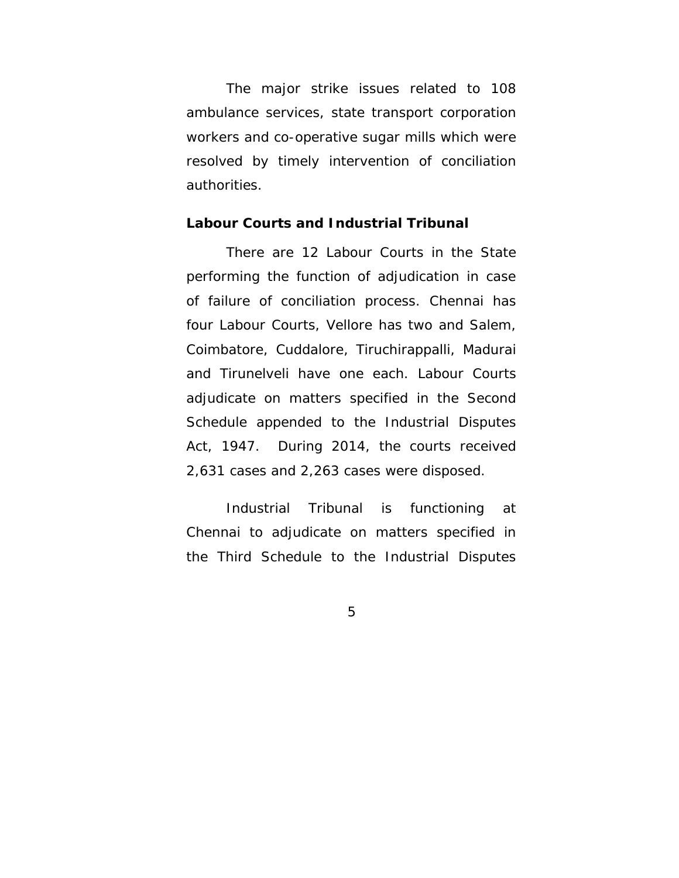The major strike issues related to 108 ambulance services, state transport corporation workers and co-operative sugar mills which were resolved by timely intervention of conciliation authorities.

#### **Labour Courts and Industrial Tribunal**

There are 12 Labour Courts in the State performing the function of adjudication in case of failure of conciliation process. Chennai has four Labour Courts, Vellore has two and Salem, Coimbatore, Cuddalore, Tiruchirappalli, Madurai and Tirunelveli have one each. Labour Courts adjudicate on matters specified in the Second Schedule appended to the Industrial Disputes Act, 1947. During 2014, the courts received 2,631 cases and 2,263 cases were disposed.

Industrial Tribunal is functioning at Chennai to adjudicate on matters specified in the Third Schedule to the Industrial Disputes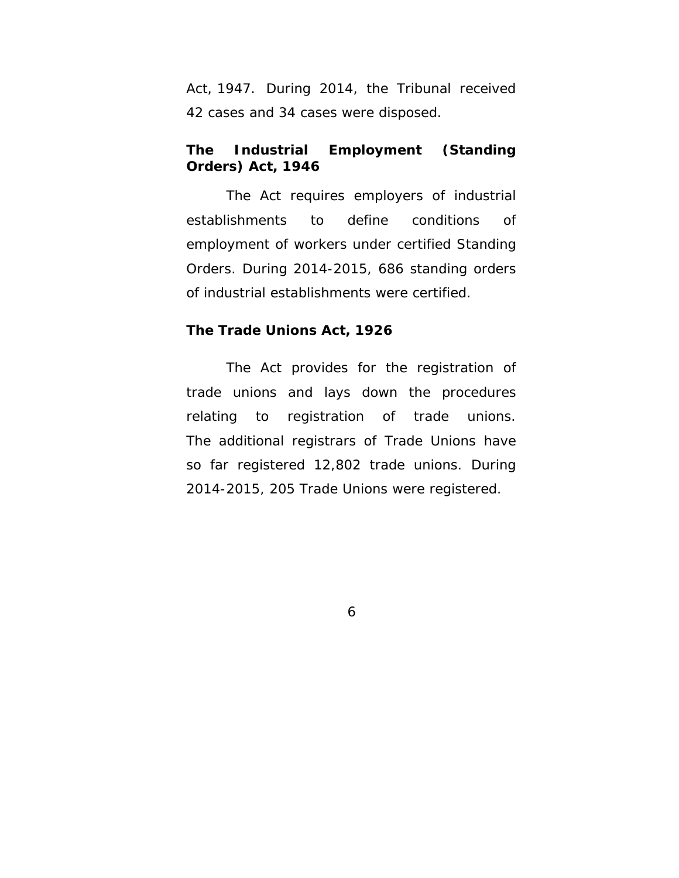Act, 1947. During 2014, the Tribunal received 42 cases and 34 cases were disposed.

## **The Industrial Employment (Standing Orders) Act, 1946**

 The Act requires employers of industrial establishments to define conditions of employment of workers under certified Standing Orders. During 2014-2015, 686 standing orders of industrial establishments were certified.

#### **The Trade Unions Act, 1926**

 The Act provides for the registration of trade unions and lays down the procedures relating to registration of trade unions. The additional registrars of Trade Unions have so far registered 12,802 trade unions. During 2014-2015, 205 Trade Unions were registered.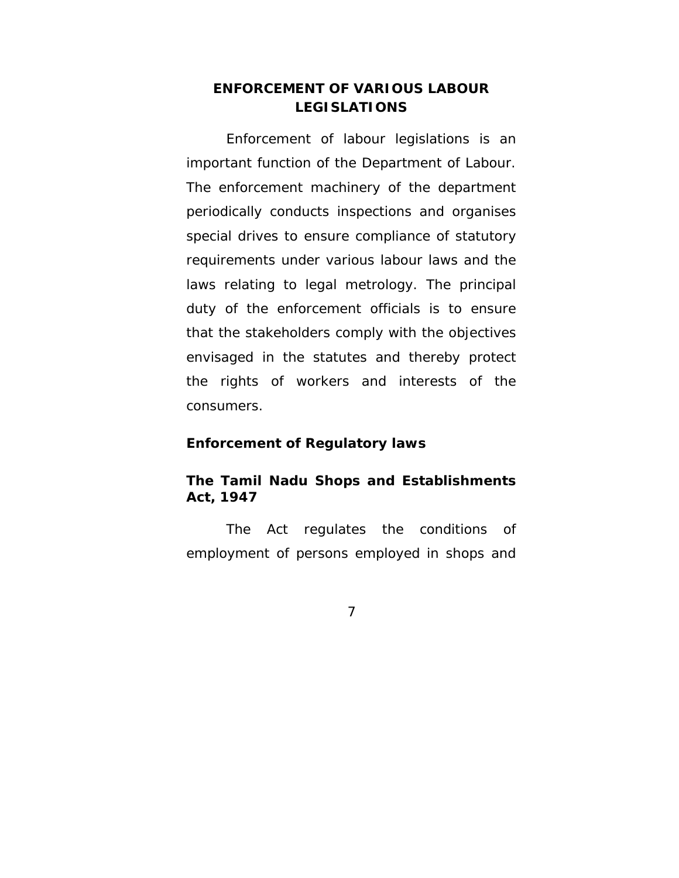## **ENFORCEMENT OF VARIOUS LABOUR LEGISLATIONS**

Enforcement of labour legislations is an important function of the Department of Labour. The enforcement machinery of the department periodically conducts inspections and organises special drives to ensure compliance of statutory requirements under various labour laws and the laws relating to legal metrology. The principal duty of the enforcement officials is to ensure that the stakeholders comply with the objectives envisaged in the statutes and thereby protect the rights of workers and interests of the consumers.

#### **Enforcement of Regulatory laws**

## **The Tamil Nadu Shops and Establishments Act, 1947**

 The Act regulates the conditions of employment of persons employed in shops and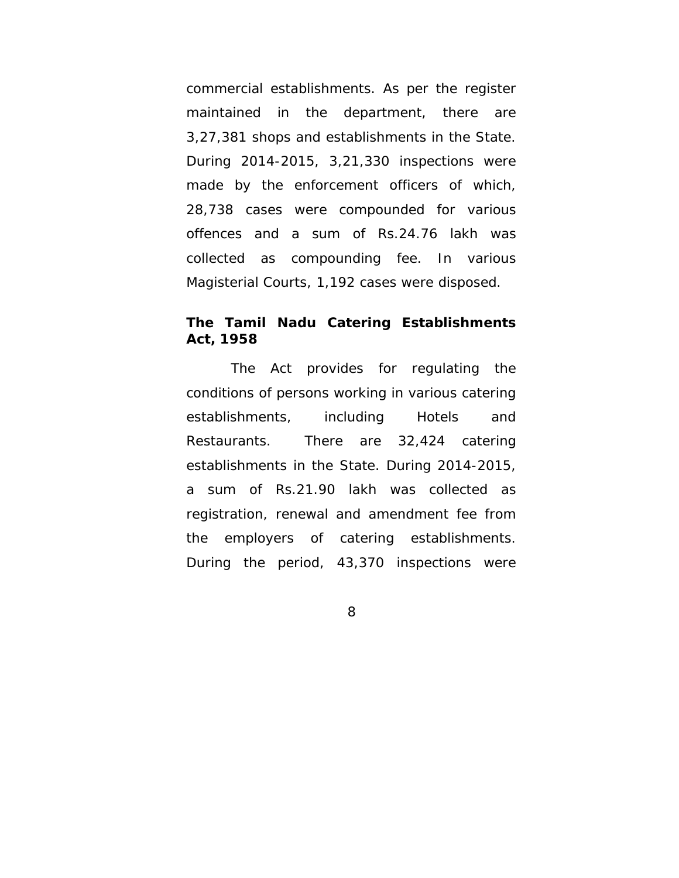commercial establishments. As per the register maintained in the department, there are 3,27,381 shops and establishments in the State. During 2014-2015, 3,21,330 inspections were made by the enforcement officers of which, 28,738 cases were compounded for various offences and a sum of Rs.24.76 lakh was collected as compounding fee. In various Magisterial Courts, 1,192 cases were disposed.

## **The Tamil Nadu Catering Establishments Act, 1958**

 The Act provides for regulating the conditions of persons working in various catering establishments, including Hotels and Restaurants. There are 32,424 catering establishments in the State. During 2014-2015, a sum of Rs.21.90 lakh was collected as registration, renewal and amendment fee from the employers of catering establishments. During the period, 43,370 inspections were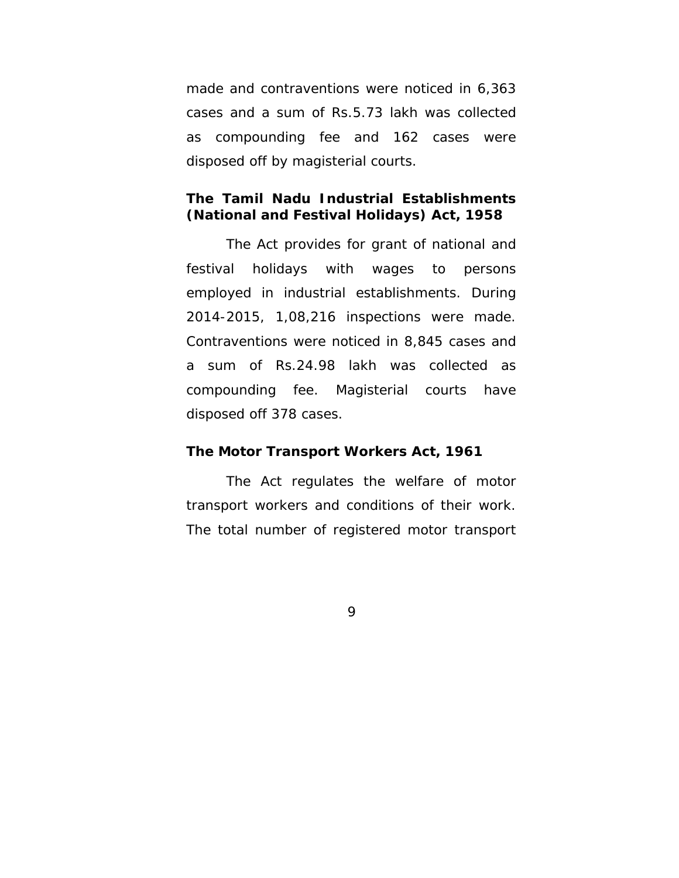made and contraventions were noticed in 6,363 cases and a sum of Rs.5.73 lakh was collected as compounding fee and 162 cases were disposed off by magisterial courts.

## **The Tamil Nadu Industrial Establishments (National and Festival Holidays) Act, 1958**

 The Act provides for grant of national and festival holidays with wages to persons employed in industrial establishments. During 2014-2015, 1,08,216 inspections were made. Contraventions were noticed in 8,845 cases and a sum of Rs.24.98 lakh was collected as compounding fee. Magisterial courts have disposed off 378 cases.

#### **The Motor Transport Workers Act, 1961**

 The Act regulates the welfare of motor transport workers and conditions of their work. The total number of registered motor transport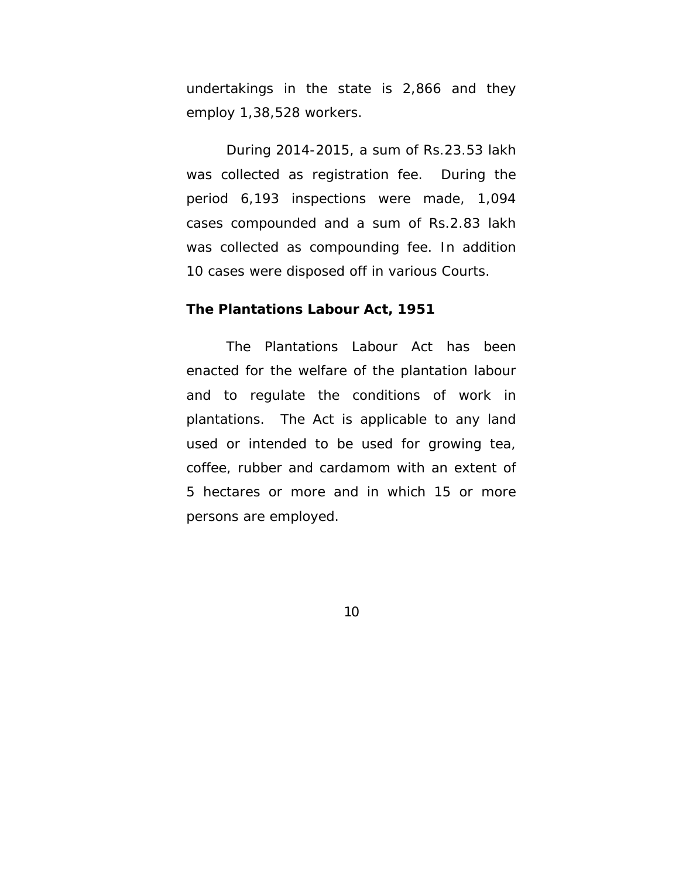undertakings in the state is 2,866 and they employ 1,38,528 workers.

 During 2014-2015, a sum of Rs.23.53 lakh was collected as registration fee. During the period 6,193 inspections were made, 1,094 cases compounded and a sum of Rs.2.83 lakh was collected as compounding fee. In addition 10 cases were disposed off in various Courts.

#### **The Plantations Labour Act, 1951**

 The Plantations Labour Act has been enacted for the welfare of the plantation labour and to regulate the conditions of work in plantations. The Act is applicable to any land used or intended to be used for growing tea, coffee, rubber and cardamom with an extent of 5 hectares or more and in which 15 or more persons are employed.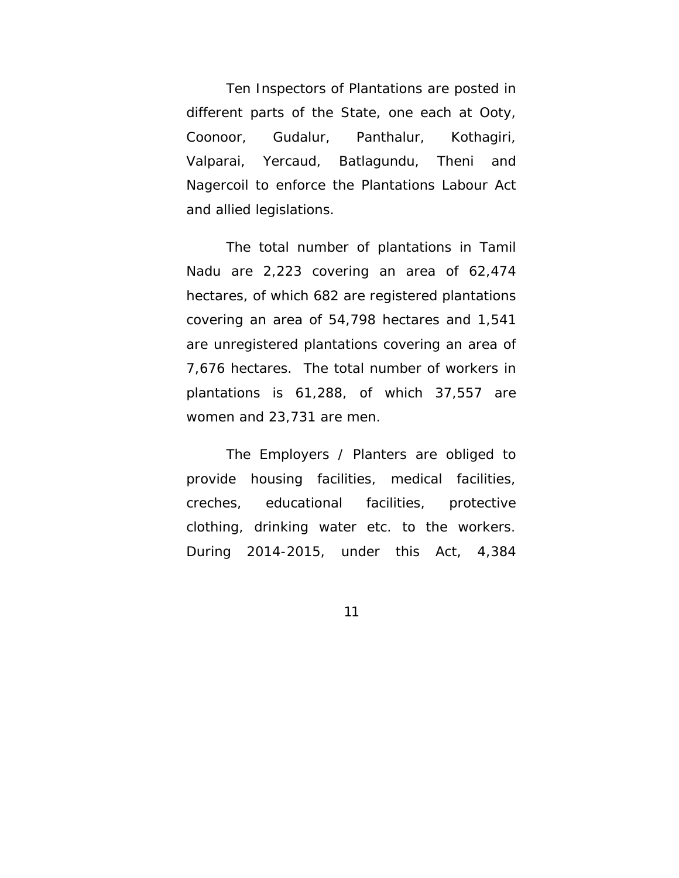Ten Inspectors of Plantations are posted in different parts of the State, one each at Ooty, Coonoor, Gudalur, Panthalur, Kothagiri, Valparai, Yercaud, Batlagundu, Theni and Nagercoil to enforce the Plantations Labour Act and allied legislations.

 The total number of plantations in Tamil Nadu are 2,223 covering an area of 62,474 hectares, of which 682 are registered plantations covering an area of 54,798 hectares and 1,541 are unregistered plantations covering an area of 7,676 hectares. The total number of workers in plantations is 61,288, of which 37,557 are women and 23,731 are men.

 The Employers / Planters are obliged to provide housing facilities, medical facilities, creches, educational facilities, protective clothing, drinking water etc. to the workers. During 2014-2015, under this Act, 4,384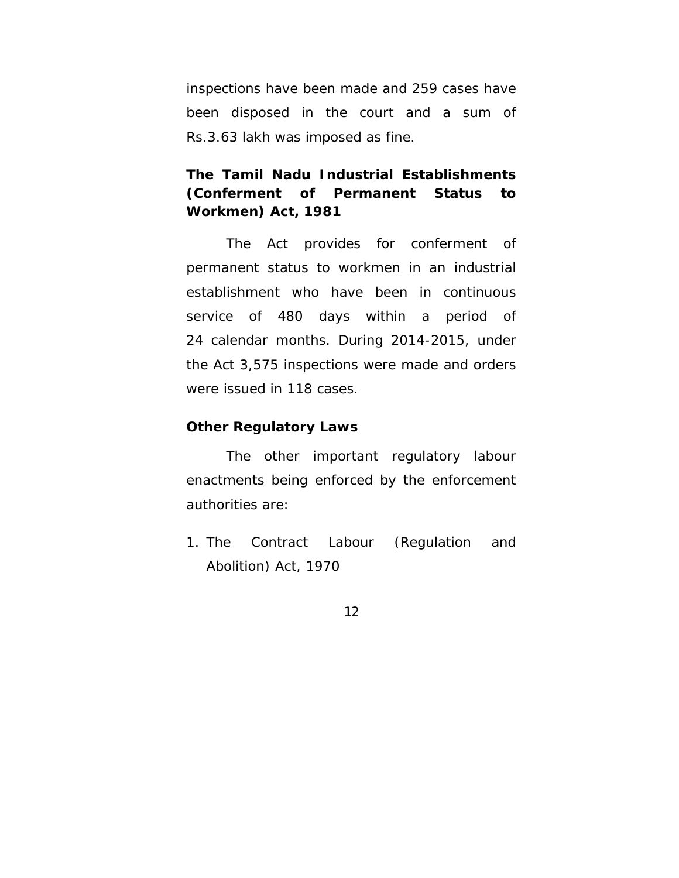inspections have been made and 259 cases have been disposed in the court and a sum of Rs.3.63 lakh was imposed as fine.

## **The Tamil Nadu Industrial Establishments (Conferment of Permanent Status to Workmen) Act, 1981**

 The Act provides for conferment of permanent status to workmen in an industrial establishment who have been in continuous service of 480 days within a period of 24 calendar months. During 2014-2015, under the Act 3,575 inspections were made and orders were issued in 118 cases.

### **Other Regulatory Laws**

The other important regulatory labour enactments being enforced by the enforcement authorities are:

1. The Contract Labour (Regulation and Abolition) Act, 1970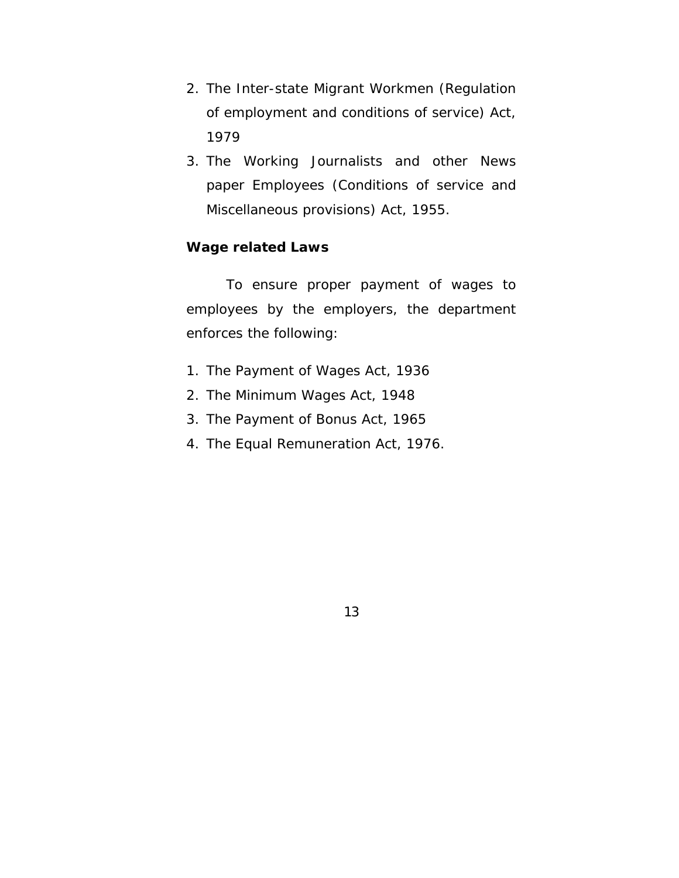- 2. The Inter-state Migrant Workmen (Regulation of employment and conditions of service) Act, 1979
- 3. The Working Journalists and other News paper Employees (Conditions of service and Miscellaneous provisions) Act, 1955.

## **Wage related Laws**

 To ensure proper payment of wages to employees by the employers, the department enforces the following:

- 1. The Payment of Wages Act, 1936
- 2. The Minimum Wages Act, 1948
- 3. The Payment of Bonus Act, 1965
- 4. The Equal Remuneration Act, 1976.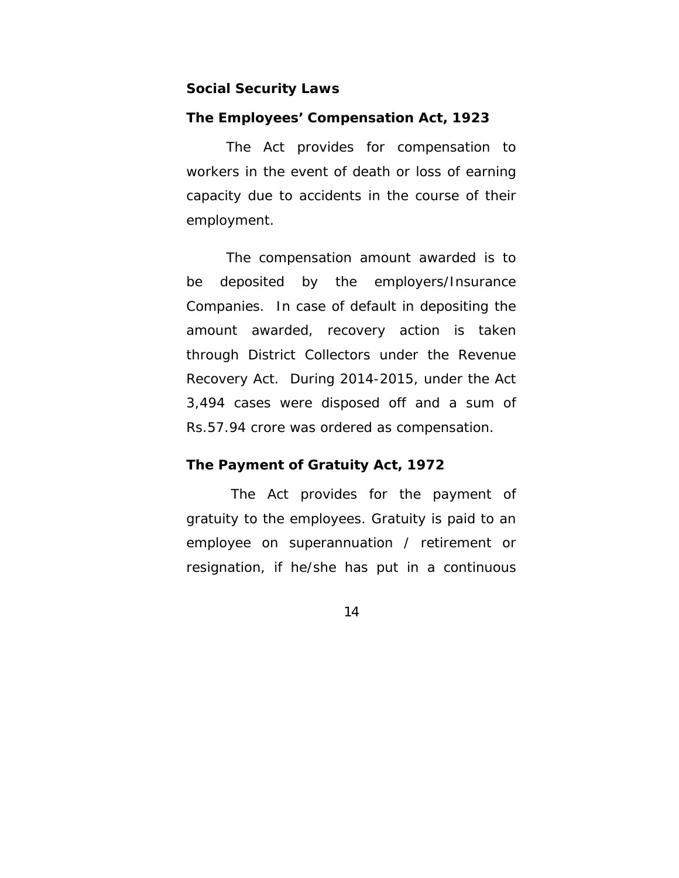#### **Social Security Laws**

#### **The Employees' Compensation Act, 1923**

 The Act provides for compensation to workers in the event of death or loss of earning capacity due to accidents in the course of their employment.

 The compensation amount awarded is to be deposited by the employers/Insurance Companies. In case of default in depositing the amount awarded, recovery action is taken through District Collectors under the Revenue Recovery Act. During 2014-2015, under the Act 3,494 cases were disposed off and a sum of Rs.57.94 crore was ordered as compensation.

#### **The Payment of Gratuity Act, 1972**

 The Act provides for the payment of gratuity to the employees. Gratuity is paid to an employee on superannuation / retirement or resignation, if he/she has put in a continuous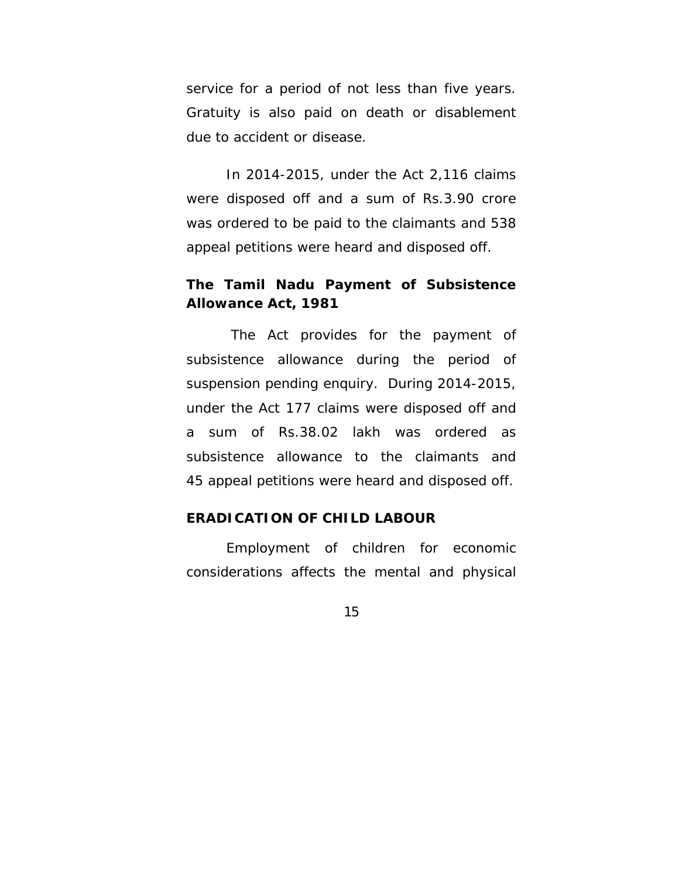service for a period of not less than five years. Gratuity is also paid on death or disablement due to accident or disease.

 In 2014-2015, under the Act 2,116 claims were disposed off and a sum of Rs.3.90 crore was ordered to be paid to the claimants and 538 appeal petitions were heard and disposed off.

## **The Tamil Nadu Payment of Subsistence Allowance Act, 1981**

 The Act provides for the payment of subsistence allowance during the period of suspension pending enquiry. During 2014-2015, under the Act 177 claims were disposed off and a sum of Rs.38.02 lakh was ordered as subsistence allowance to the claimants and 45 appeal petitions were heard and disposed off.

## **ERADICATION OF CHILD LABOUR**

 Employment of children for economic considerations affects the mental and physical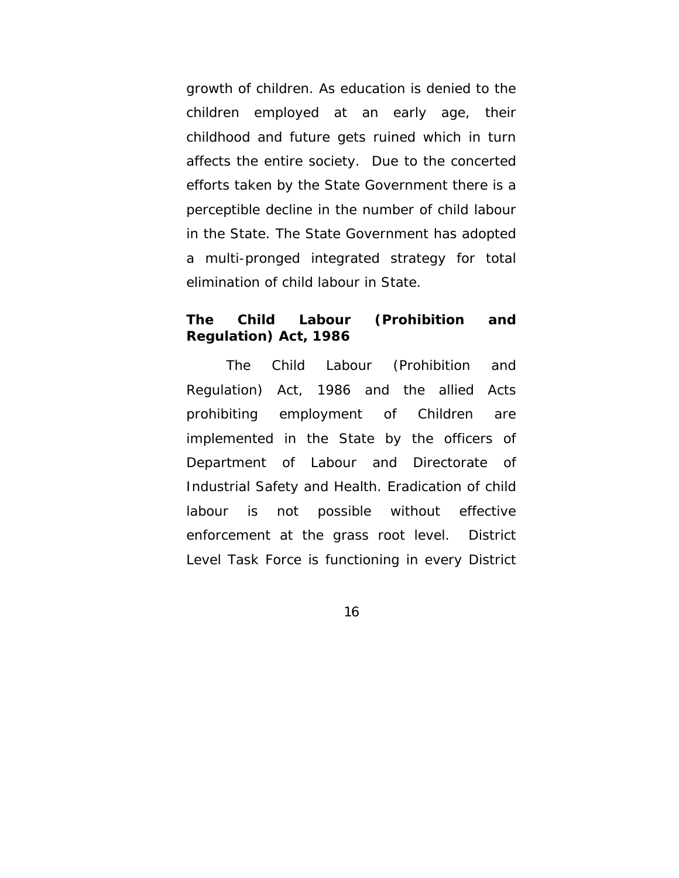growth of children. As education is denied to the children employed at an early age, their childhood and future gets ruined which in turn affects the entire society. Due to the concerted efforts taken by the State Government there is a perceptible decline in the number of child labour in the State. The State Government has adopted a multi-pronged integrated strategy for total elimination of child labour in State.

## **The Child Labour (Prohibition and Regulation) Act, 1986**

The Child Labour (Prohibition and Regulation) Act, 1986 and the allied Acts prohibiting employment of Children are implemented in the State by the officers of Department of Labour and Directorate of Industrial Safety and Health. Eradication of child labour is not possible without effective enforcement at the grass root level. District Level Task Force is functioning in every District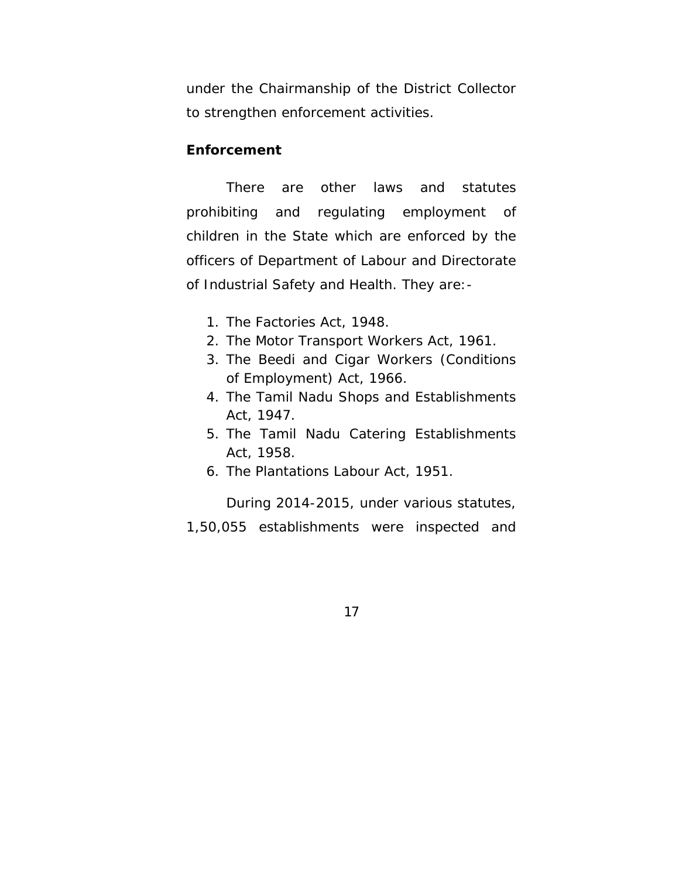under the Chairmanship of the District Collector to strengthen enforcement activities.

#### **Enforcement**

There are other laws and statutes prohibiting and regulating employment of children in the State which are enforced by the officers of Department of Labour and Directorate of Industrial Safety and Health. They are:-

- 1. The Factories Act, 1948.
- 2. The Motor Transport Workers Act, 1961.
- 3. The Beedi and Cigar Workers (Conditions of Employment) Act, 1966.
- 4. The Tamil Nadu Shops and Establishments Act, 1947.
- 5. The Tamil Nadu Catering Establishments Act, 1958.
- 6. The Plantations Labour Act, 1951.

During 2014-2015, under various statutes, 1,50,055 establishments were inspected and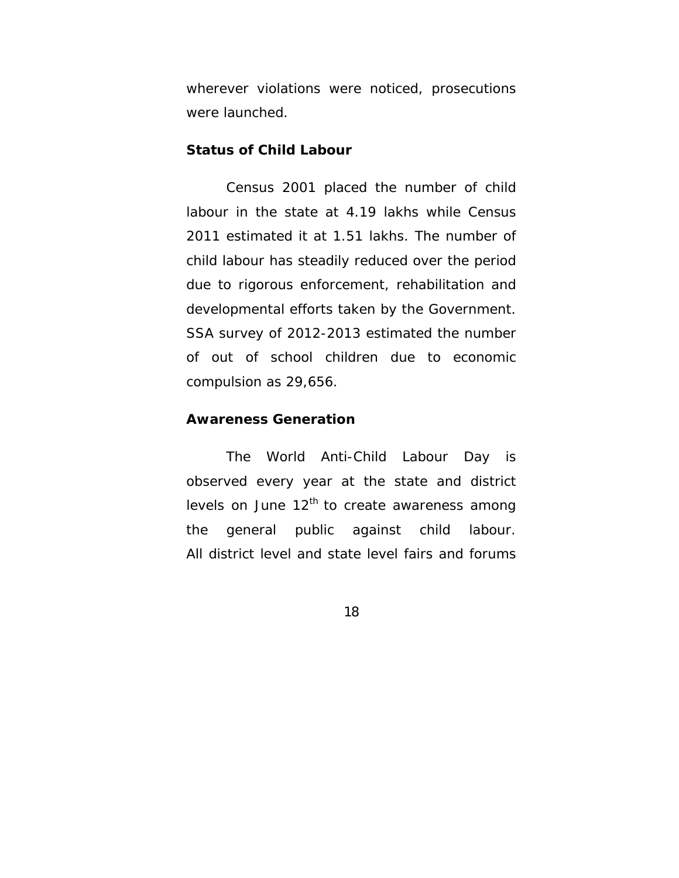wherever violations were noticed, prosecutions were launched.

#### **Status of Child Labour**

Census 2001 placed the number of child labour in the state at 4.19 lakhs while Census 2011 estimated it at 1.51 lakhs. The number of child labour has steadily reduced over the period due to rigorous enforcement, rehabilitation and developmental efforts taken by the Government. SSA survey of 2012-2013 estimated the number of out of school children due to economic compulsion as 29,656.

#### **Awareness Generation**

 The World Anti-Child Labour Day is observed every year at the state and district levels on June  $12<sup>th</sup>$  to create awareness among the general public against child labour. All district level and state level fairs and forums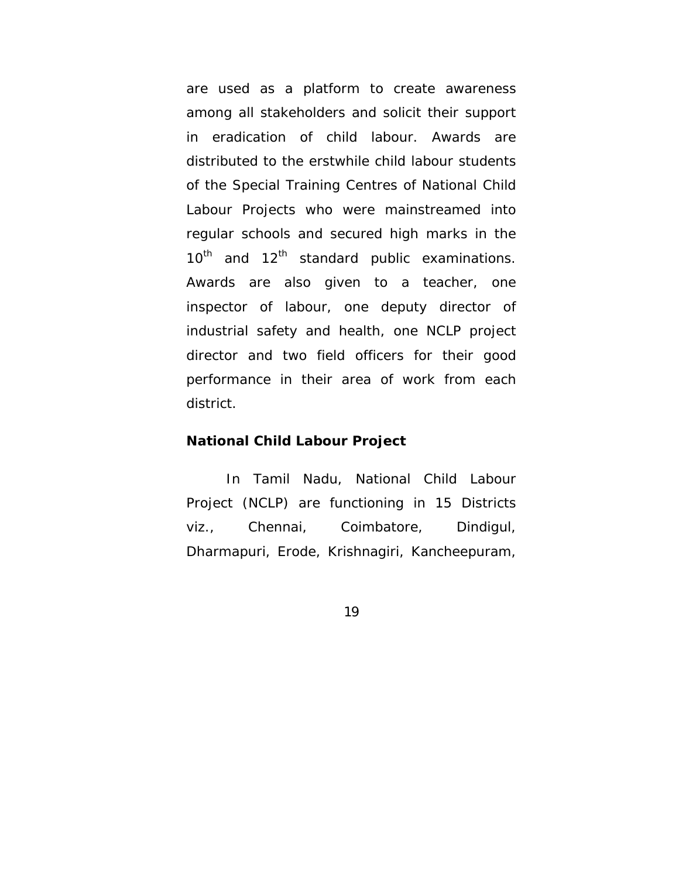are used as a platform to create awareness among all stakeholders and solicit their support in eradication of child labour. Awards are distributed to the erstwhile child labour students of the Special Training Centres of National Child Labour Projects who were mainstreamed into regular schools and secured high marks in the  $10^{th}$  and  $12^{th}$  standard public examinations. Awards are also given to a teacher, one inspector of labour, one deputy director of industrial safety and health, one NCLP project director and two field officers for their good performance in their area of work from each district.

#### **National Child Labour Project**

 In Tamil Nadu, National Child Labour Project (NCLP) are functioning in 15 Districts viz., Chennai, Coimbatore, Dindigul, Dharmapuri, Erode, Krishnagiri, Kancheepuram,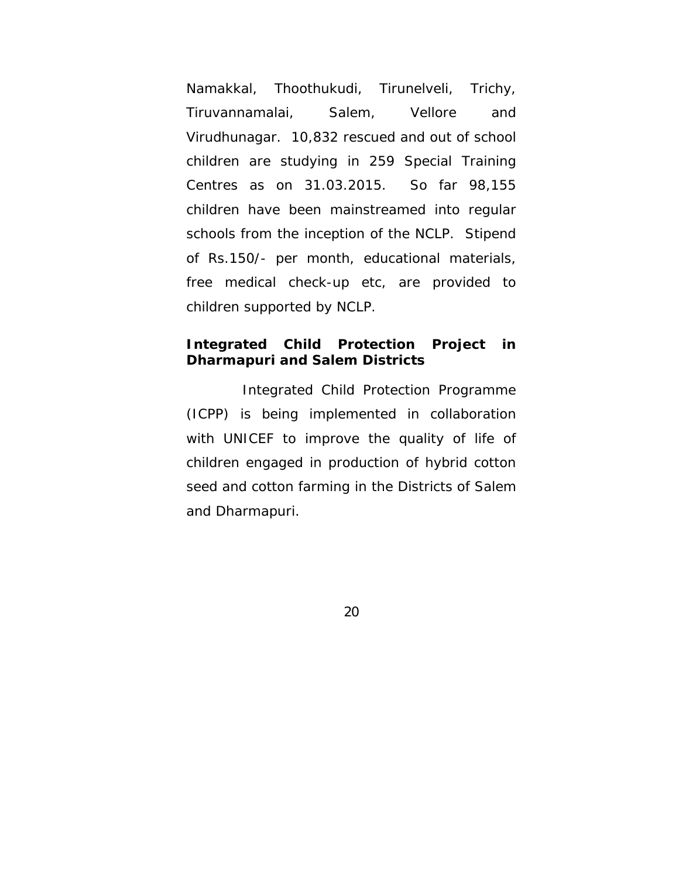Namakkal, Thoothukudi, Tirunelveli, Trichy, Tiruvannamalai, Salem, Vellore and Virudhunagar. 10,832 rescued and out of school children are studying in 259 Special Training Centres as on 31.03.2015. So far 98,155 children have been mainstreamed into regular schools from the inception of the NCLP. Stipend of Rs.150/- per month, educational materials, free medical check-up etc, are provided to children supported by NCLP.

## **Integrated Child Protection Project in Dharmapuri and Salem Districts**

 Integrated Child Protection Programme (ICPP) is being implemented in collaboration with UNICEF to improve the quality of life of children engaged in production of hybrid cotton seed and cotton farming in the Districts of Salem and Dharmapuri.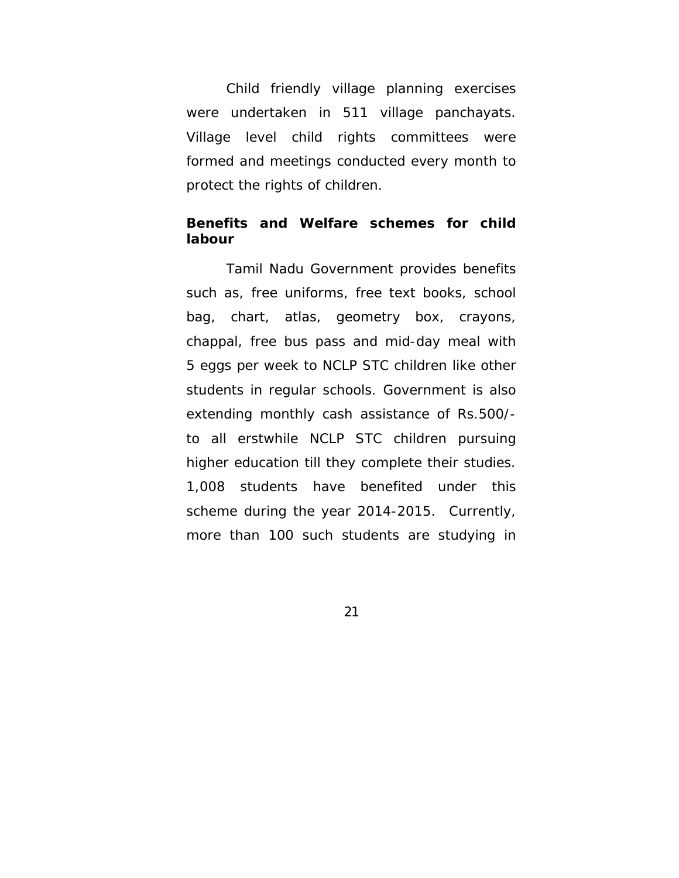Child friendly village planning exercises were undertaken in 511 village panchayats. Village level child rights committees were formed and meetings conducted every month to protect the rights of children.

### **Benefits and Welfare schemes for child labour**

 Tamil Nadu Government provides benefits such as, free uniforms, free text books, school bag, chart, atlas, geometry box, crayons, chappal, free bus pass and mid-day meal with 5 eggs per week to NCLP STC children like other students in regular schools. Government is also extending monthly cash assistance of Rs.500/ to all erstwhile NCLP STC children pursuing higher education till they complete their studies. 1,008 students have benefited under this scheme during the year 2014-2015. Currently, more than 100 such students are studying in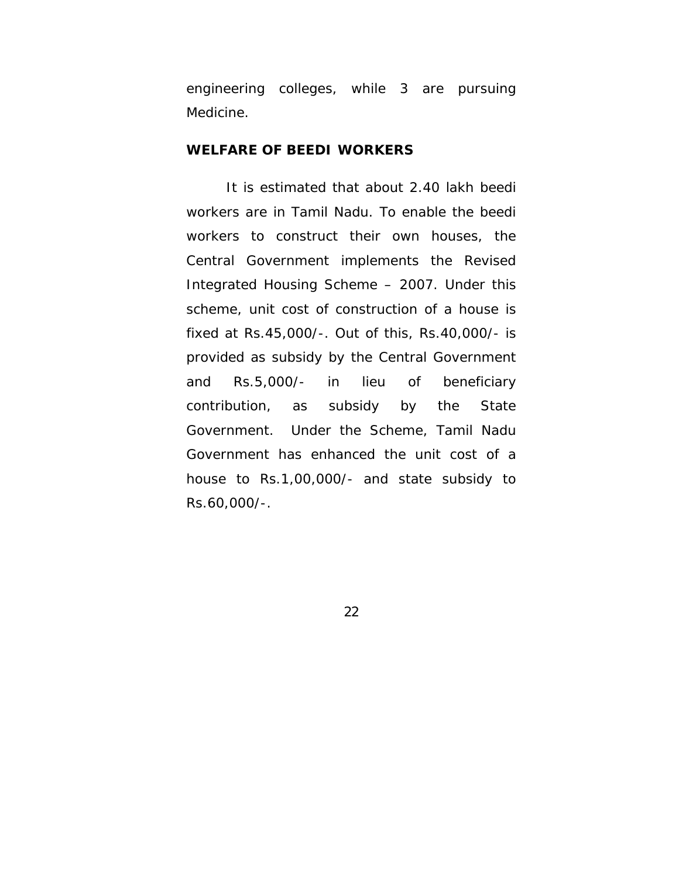engineering colleges, while 3 are pursuing Medicine.

#### **WELFARE OF BEEDI WORKERS**

It is estimated that about 2.40 lakh beedi workers are in Tamil Nadu. To enable the beedi workers to construct their own houses, the Central Government implements the Revised Integrated Housing Scheme – 2007. Under this scheme, unit cost of construction of a house is fixed at Rs.45,000/-. Out of this, Rs.40,000/- is provided as subsidy by the Central Government and Rs.5,000/- in lieu of beneficiary contribution, as subsidy by the State Government. Under the Scheme, Tamil Nadu Government has enhanced the unit cost of a house to Rs.1,00,000/- and state subsidy to Rs.60,000/-.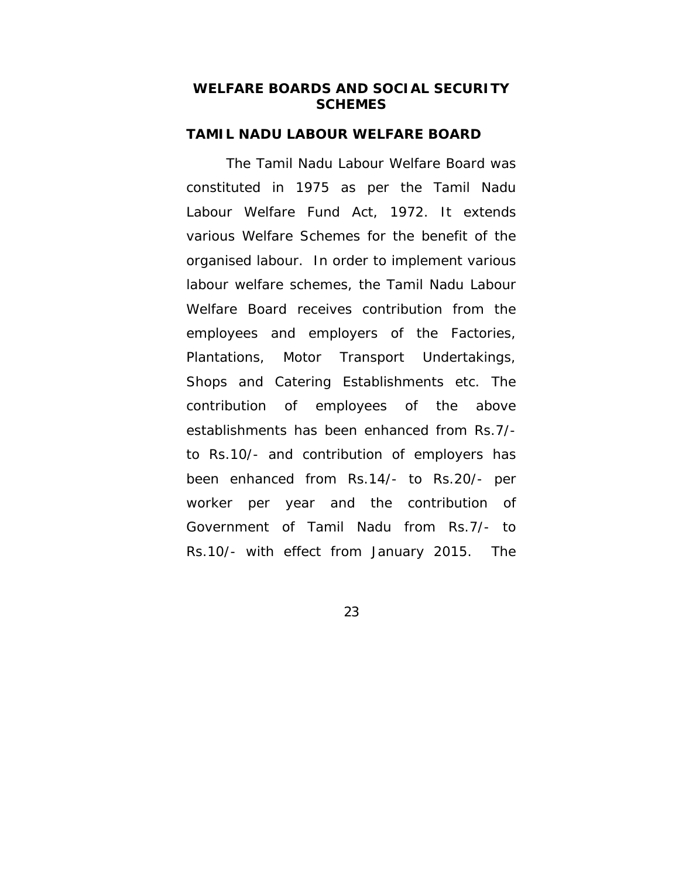### **WELFARE BOARDS AND SOCIAL SECURITY SCHEMES**

#### **TAMIL NADU LABOUR WELFARE BOARD**

 The Tamil Nadu Labour Welfare Board was constituted in 1975 as per the Tamil Nadu Labour Welfare Fund Act, 1972. It extends various Welfare Schemes for the benefit of the organised labour. In order to implement various labour welfare schemes, the Tamil Nadu Labour Welfare Board receives contribution from the employees and employers of the Factories, Plantations, Motor Transport Undertakings, Shops and Catering Establishments etc. The contribution of employees of the above establishments has been enhanced from Rs.7/ to Rs.10/- and contribution of employers has been enhanced from Rs.14/- to Rs.20/- per worker per year and the contribution of Government of Tamil Nadu from Rs.7/- to Rs.10/- with effect from January 2015. The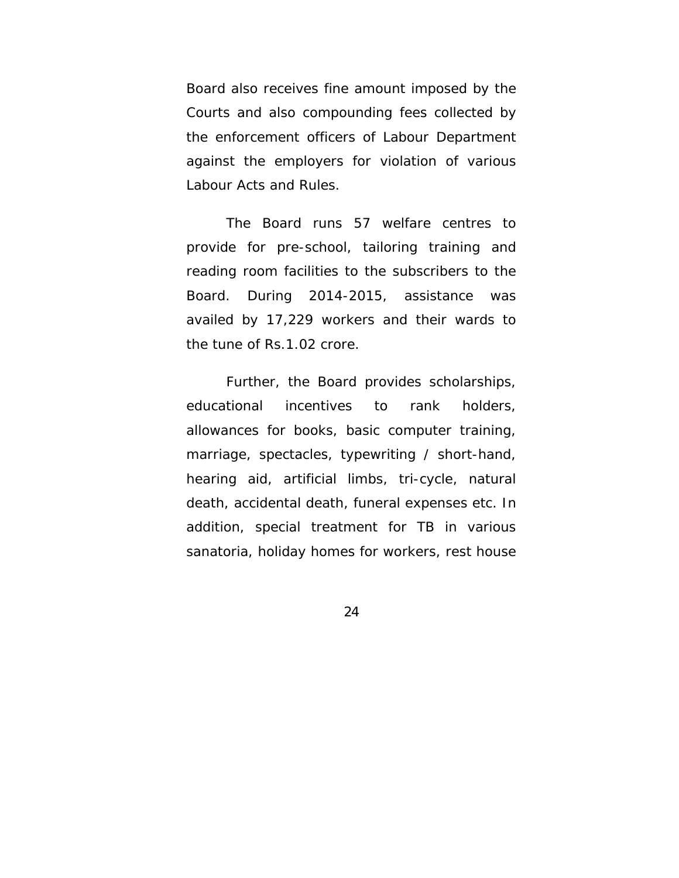Board also receives fine amount imposed by the Courts and also compounding fees collected by the enforcement officers of Labour Department against the employers for violation of various Labour Acts and Rules.

The Board runs 57 welfare centres to provide for pre-school, tailoring training and reading room facilities to the subscribers to the Board. During 2014-2015, assistance was availed by 17,229 workers and their wards to the tune of Rs.1.02 crore.

Further, the Board provides scholarships, educational incentives to rank holders, allowances for books, basic computer training, marriage, spectacles, typewriting / short-hand, hearing aid, artificial limbs, tri-cycle, natural death, accidental death, funeral expenses etc. In addition, special treatment for TB in various sanatoria, holiday homes for workers, rest house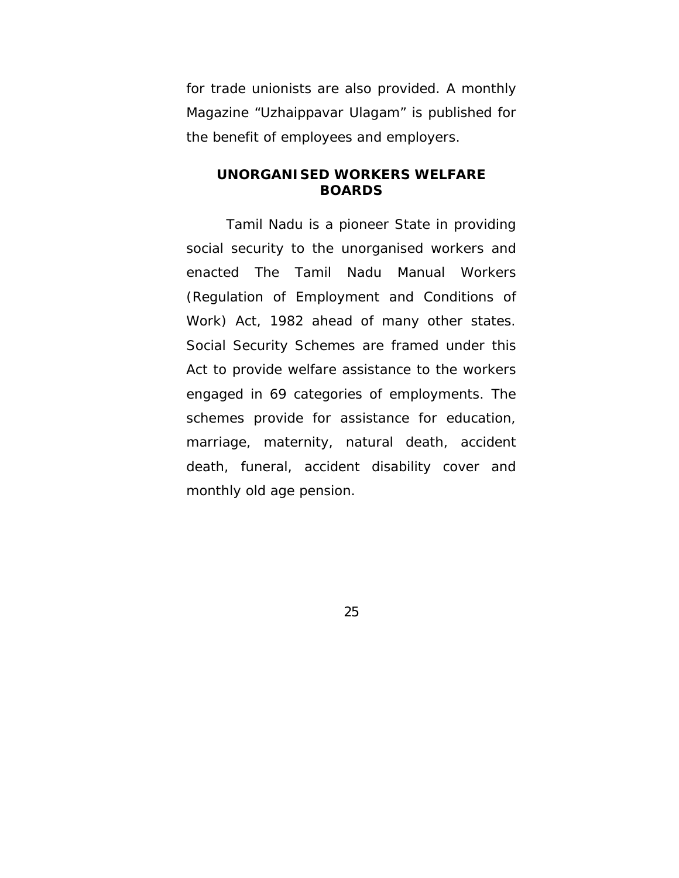for trade unionists are also provided. A monthly Magazine "Uzhaippavar Ulagam" is published for the benefit of employees and employers.

#### **UNORGANISED WORKERS WELFARE BOARDS**

Tamil Nadu is a pioneer State in providing social security to the unorganised workers and enacted The Tamil Nadu Manual Workers (Regulation of Employment and Conditions of Work) Act, 1982 ahead of many other states. Social Security Schemes are framed under this Act to provide welfare assistance to the workers engaged in 69 categories of employments. The schemes provide for assistance for education, marriage, maternity, natural death, accident death, funeral, accident disability cover and monthly old age pension.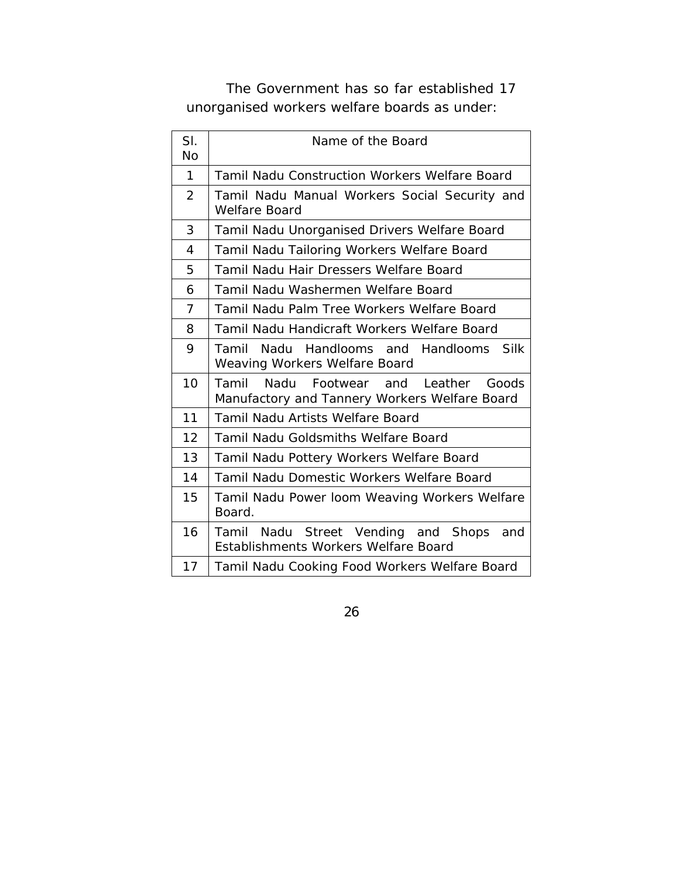The Government has so far established 17 unorganised workers welfare boards as under:

| SI.<br>No      | Name of the Board                                                                            |  |  |
|----------------|----------------------------------------------------------------------------------------------|--|--|
| 1              | <b>Tamil Nadu Construction Workers Welfare Board</b>                                         |  |  |
| $\overline{2}$ | Tamil Nadu Manual Workers Social Security and<br>Welfare Board                               |  |  |
| 3              | Tamil Nadu Unorganised Drivers Welfare Board                                                 |  |  |
| 4              | Tamil Nadu Tailoring Workers Welfare Board                                                   |  |  |
| 5              | Tamil Nadu Hair Dressers Welfare Board                                                       |  |  |
| 6              | Tamil Nadu Washermen Welfare Board                                                           |  |  |
| $\overline{7}$ | Tamil Nadu Palm Tree Workers Welfare Board                                                   |  |  |
| 8              | Tamil Nadu Handicraft Workers Welfare Board                                                  |  |  |
| 9              | Nadu Handlooms and Handlooms Silk<br>Tamil<br>Weaving Workers Welfare Board                  |  |  |
| 10             | Tamil<br>Nadu<br>Footwear and Leather Goods<br>Manufactory and Tannery Workers Welfare Board |  |  |
| 11             | Tamil Nadu Artists Welfare Board                                                             |  |  |
| 12             | <b>Tamil Nadu Goldsmiths Welfare Board</b>                                                   |  |  |
| 13             | Tamil Nadu Pottery Workers Welfare Board                                                     |  |  |
| 14             | Tamil Nadu Domestic Workers Welfare Board                                                    |  |  |
| 15             | Tamil Nadu Power loom Weaving Workers Welfare<br>Board.                                      |  |  |
| 16             | Tamil Nadu Street Vending and Shops<br>and<br>Establishments Workers Welfare Board           |  |  |
| 17             | Tamil Nadu Cooking Food Workers Welfare Board                                                |  |  |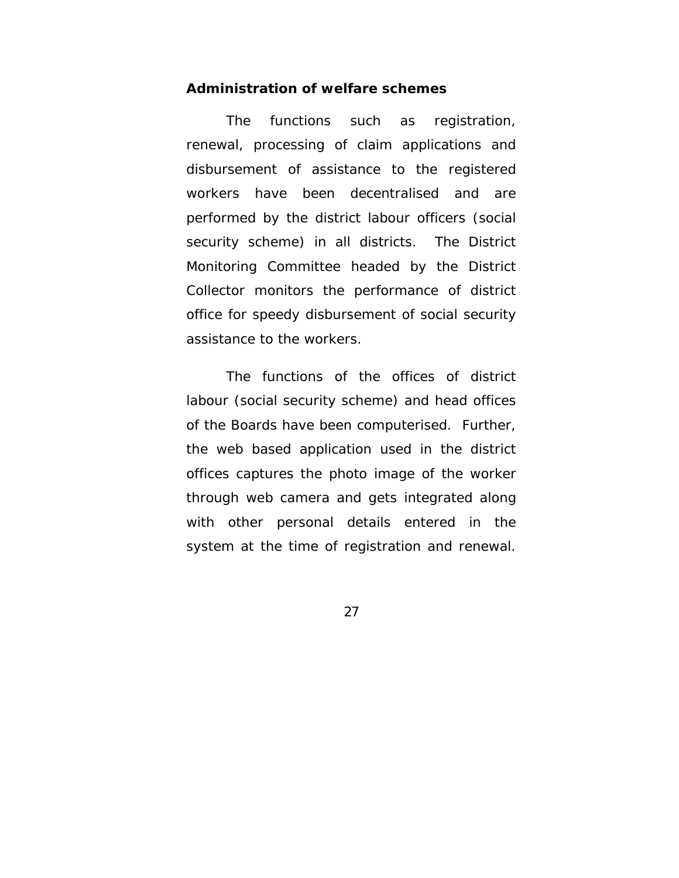#### **Administration of welfare schemes**

The functions such as registration, renewal, processing of claim applications and disbursement of assistance to the registered workers have been decentralised and are performed by the district labour officers (social security scheme) in all districts. The District Monitoring Committee headed by the District Collector monitors the performance of district office for speedy disbursement of social security assistance to the workers.

 The functions of the offices of district labour (social security scheme) and head offices of the Boards have been computerised. Further, the web based application used in the district offices captures the photo image of the worker through web camera and gets integrated along with other personal details entered in the system at the time of registration and renewal.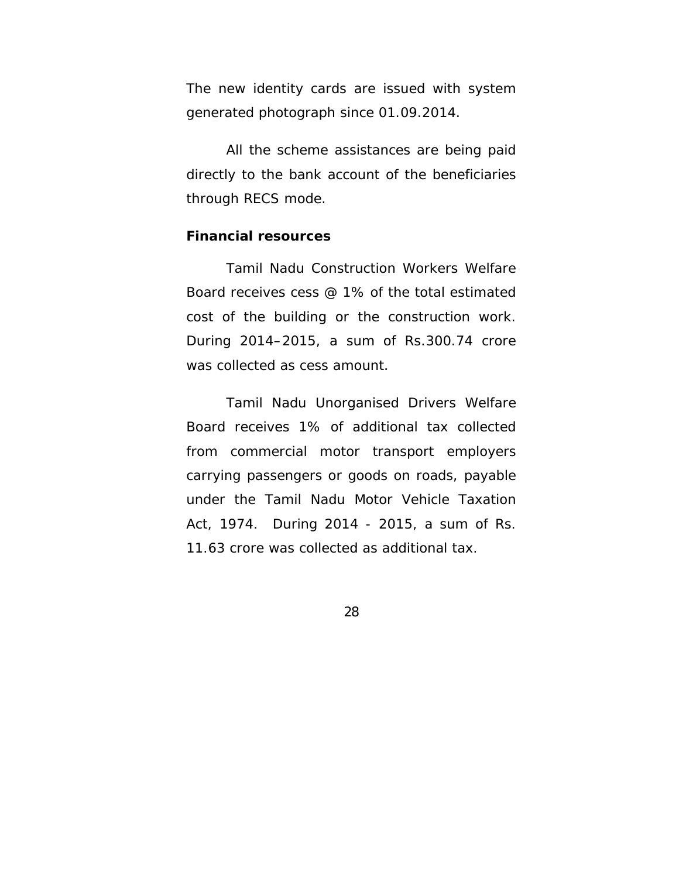The new identity cards are issued with system generated photograph since 01.09.2014.

All the scheme assistances are being paid directly to the bank account of the beneficiaries through RECS mode.

#### **Financial resources**

 Tamil Nadu Construction Workers Welfare Board receives cess @ 1% of the total estimated cost of the building or the construction work. During 2014–2015, a sum of Rs.300.74 crore was collected as cess amount.

 Tamil Nadu Unorganised Drivers Welfare Board receives 1% of additional tax collected from commercial motor transport employers carrying passengers or goods on roads, payable under the Tamil Nadu Motor Vehicle Taxation Act, 1974. During 2014 - 2015, a sum of Rs. 11.63 crore was collected as additional tax.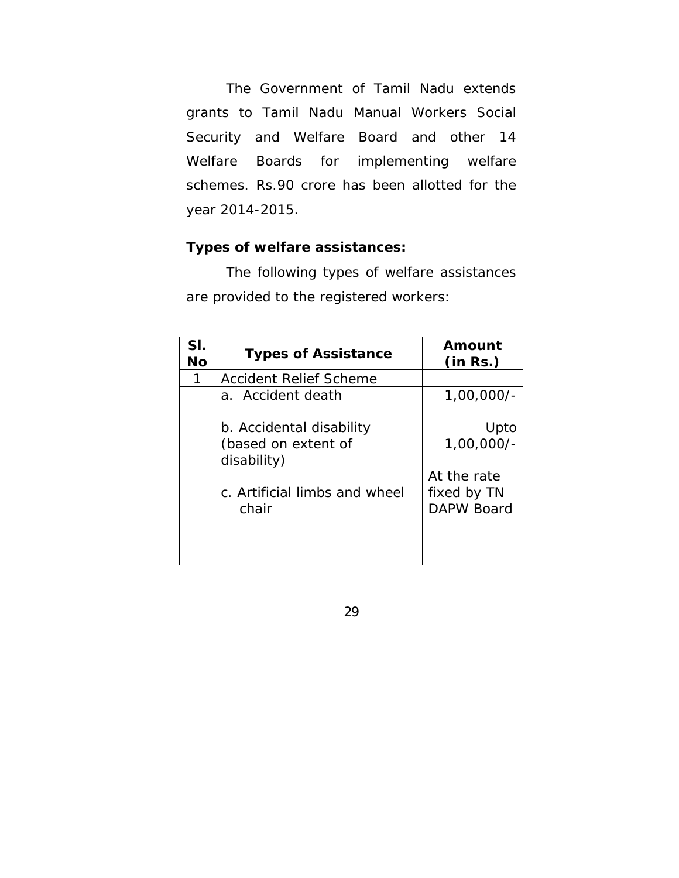The Government of Tamil Nadu extends grants to Tamil Nadu Manual Workers Social Security and Welfare Board and other 14 Welfare Boards for implementing welfare schemes. Rs.90 crore has been allotted for the year 2014-2015.

## **Types of welfare assistances:**

 The following types of welfare assistances are provided to the registered workers:

| SI.<br><b>No</b> | <b>Types of Assistance</b>             | Amount<br>(in Rs.)        |
|------------------|----------------------------------------|---------------------------|
| 1                | Accident Relief Scheme                 |                           |
|                  | a. Accident death                      | $1,00,000/-$              |
|                  | b. Accidental disability               | Upto                      |
|                  | (based on extent of<br>disability)     | $1,00,000/-$              |
|                  |                                        | At the rate               |
|                  | c. Artificial limbs and wheel<br>chair | fixed by TN<br>DAPW Board |
|                  |                                        |                           |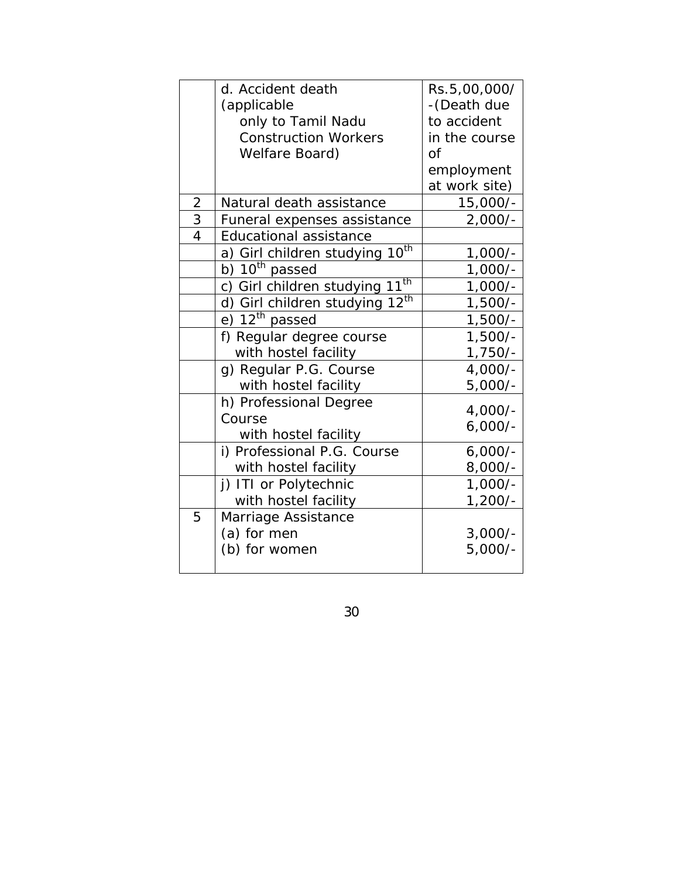|                | d. Accident death                      | Rs.5,00,000/    |
|----------------|----------------------------------------|-----------------|
|                | (applicable                            | -(Death due     |
|                | only to Tamil Nadu                     | to accident     |
|                | <b>Construction Workers</b>            | in the course   |
|                | Welfare Board)                         | $\overline{of}$ |
|                |                                        | employment      |
|                |                                        | at work site)   |
| $\overline{2}$ | Natural death assistance               | 15,000/-        |
| 3              | Funeral expenses assistance            | $2,000/-$       |
| $\overline{4}$ | <b>Educational assistance</b>          |                 |
|                | $10^{th}$<br>a) Girl children studying | $1,000/-$       |
|                | b) $10^{th}$ passed                    | $1,000/-$       |
|                | $11^{th}$<br>c) Girl children studying | $1,000/-$       |
|                | $12^{th}$<br>d) Girl children studying | $1,500/-$       |
|                | e) $12^{th}$ passed                    | $1,500/-$       |
|                | f) Regular degree course               | $1,500/-$       |
|                | with hostel facility                   | $1,750/-$       |
|                | g) Regular P.G. Course                 | $4,000/-$       |
|                | with hostel facility                   | $5,000/-$       |
|                | h) Professional Degree                 | $4,000/-$       |
|                | Course                                 | $6,000/-$       |
|                | with hostel facility                   |                 |
|                | i) Professional P.G. Course            | $6,000/-$       |
|                | with hostel facility                   | $8,000/-$       |
|                | j) ITI or Polytechnic                  | $1,000/-$       |
|                | with hostel facility                   | $1,200/-$       |
| 5              | Marriage Assistance                    |                 |
|                | (a) for men                            | $3,000/-$       |
|                | (b) for women                          | $5,000/-$       |
|                |                                        |                 |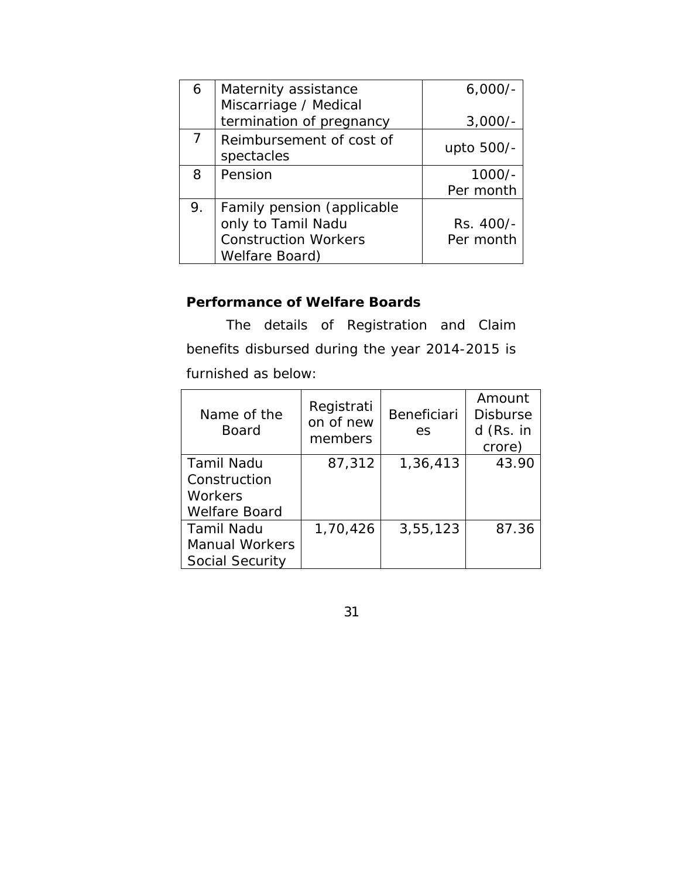| 6  | Maternity assistance                   | $6,000/-$  |
|----|----------------------------------------|------------|
|    | Miscarriage / Medical                  |            |
|    | termination of pregnancy               | $3,000/-$  |
|    | Reimbursement of cost of<br>spectacles | upto 500/- |
| 8  | Pension                                | $1000/-$   |
|    |                                        | Per month  |
| 9. | Family pension (applicable             |            |
|    | only to Tamil Nadu                     | Rs. 400/-  |
|    | <b>Construction Workers</b>            | Per month  |
|    | Welfare Board)                         |            |

## **Performance of Welfare Boards**

 The details of Registration and Claim benefits disbursed during the year 2014-2015 is furnished as below:

| Name of the<br><b>Board</b> | Registrati<br>on of new<br>members | <b>Beneficiari</b><br>es | Amount<br><b>Disburse</b><br>d (Rs. in<br>crore) |
|-----------------------------|------------------------------------|--------------------------|--------------------------------------------------|
| <b>Tamil Nadu</b>           | 87,312                             | 1,36,413                 | 43.90                                            |
| Construction                |                                    |                          |                                                  |
| Workers                     |                                    |                          |                                                  |
| <b>Welfare Board</b>        |                                    |                          |                                                  |
| <b>Tamil Nadu</b>           | 1,70,426                           | 3,55,123                 | 87.36                                            |
| <b>Manual Workers</b>       |                                    |                          |                                                  |
| Social Security             |                                    |                          |                                                  |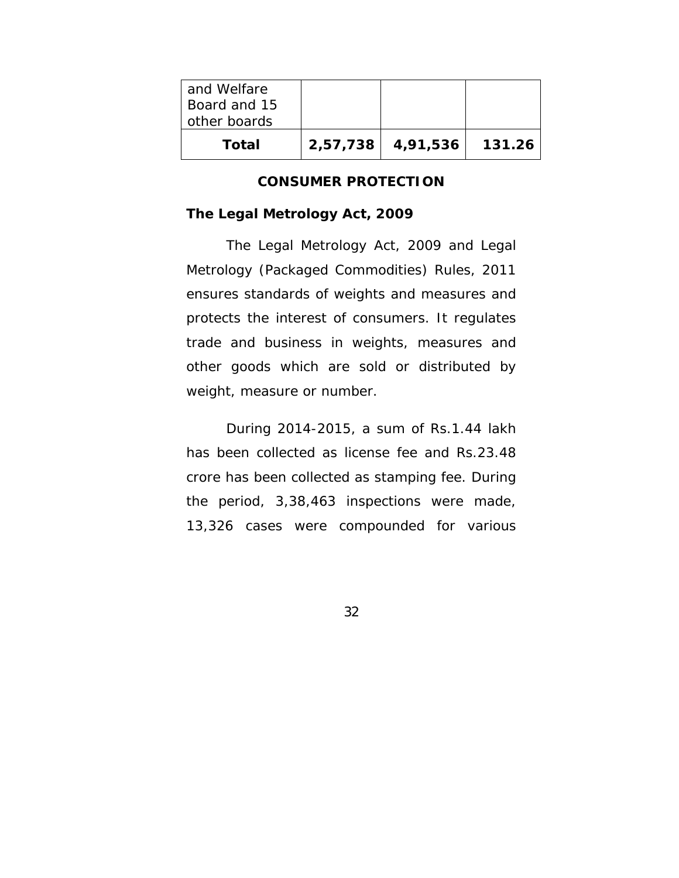| and Welfare<br>Board and 15<br>other boards |                   |        |
|---------------------------------------------|-------------------|--------|
| Total                                       | 2,57,738 4,91,536 | 131.26 |

#### **CONSUMER PROTECTION**

#### **The Legal Metrology Act, 2009**

The Legal Metrology Act, 2009 and Legal Metrology (Packaged Commodities) Rules, 2011 ensures standards of weights and measures and protects the interest of consumers. It regulates trade and business in weights, measures and other goods which are sold or distributed by weight, measure or number.

 During 2014-2015, a sum of Rs.1.44 lakh has been collected as license fee and Rs.23.48 crore has been collected as stamping fee. During the period, 3,38,463 inspections were made, 13,326 cases were compounded for various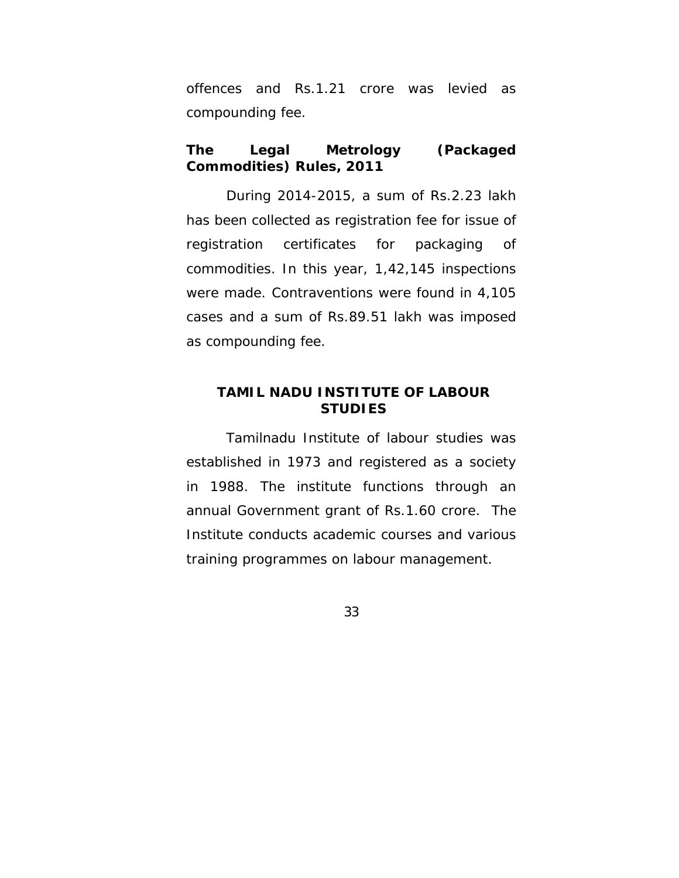offences and Rs.1.21 crore was levied as compounding fee.

# **The Legal Metrology (Packaged Commodities) Rules, 2011**

 During 2014-2015, a sum of Rs.2.23 lakh has been collected as registration fee for issue of registration certificates for packaging of commodities. In this year, 1,42,145 inspections were made. Contraventions were found in 4,105 cases and a sum of Rs.89.51 lakh was imposed as compounding fee.

## **TAMIL NADU INSTITUTE OF LABOUR STUDIES**

 Tamilnadu Institute of labour studies was established in 1973 and registered as a society in 1988. The institute functions through an annual Government grant of Rs.1.60 crore. The Institute conducts academic courses and various training programmes on labour management.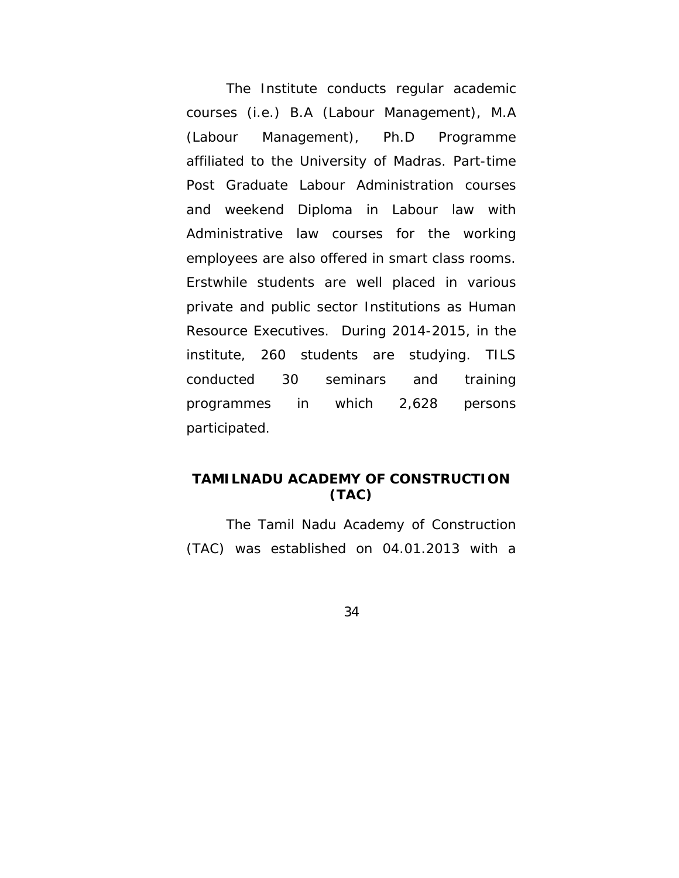The Institute conducts regular academic courses (i.e.) B.A (Labour Management), M.A (Labour Management), Ph.D Programme affiliated to the University of Madras. Part-time Post Graduate Labour Administration courses and weekend Diploma in Labour law with Administrative law courses for the working employees are also offered in smart class rooms. Erstwhile students are well placed in various private and public sector Institutions as Human Resource Executives. During 2014-2015, in the institute, 260 students are studying. TILS conducted 30 seminars and training programmes in which 2,628 persons participated.

# **TAMILNADU ACADEMY OF CONSTRUCTION (TAC)**

The Tamil Nadu Academy of Construction (TAC) was established on 04.01.2013 with a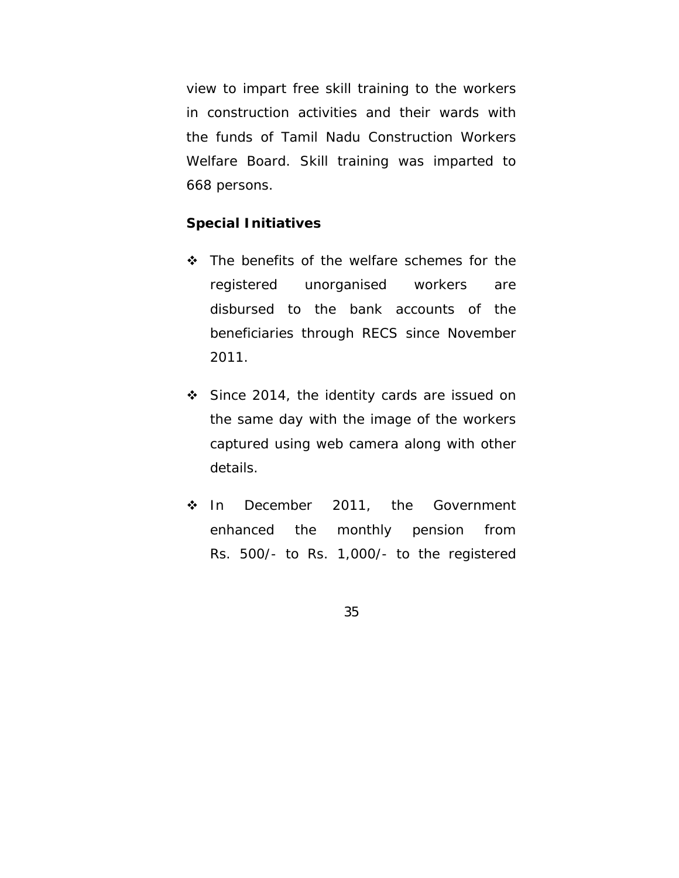view to impart free skill training to the workers in construction activities and their wards with the funds of Tamil Nadu Construction Workers Welfare Board. Skill training was imparted to 668 persons.

### **Special Initiatives**

- $\div$  The benefits of the welfare schemes for the registered unorganised workers are disbursed to the bank accounts of the beneficiaries through RECS since November 2011.
- Since 2014, the identity cards are issued on the same day with the image of the workers captured using web camera along with other details.
- ❖ In December 2011, the Government enhanced the monthly pension from Rs. 500/- to Rs. 1,000/- to the registered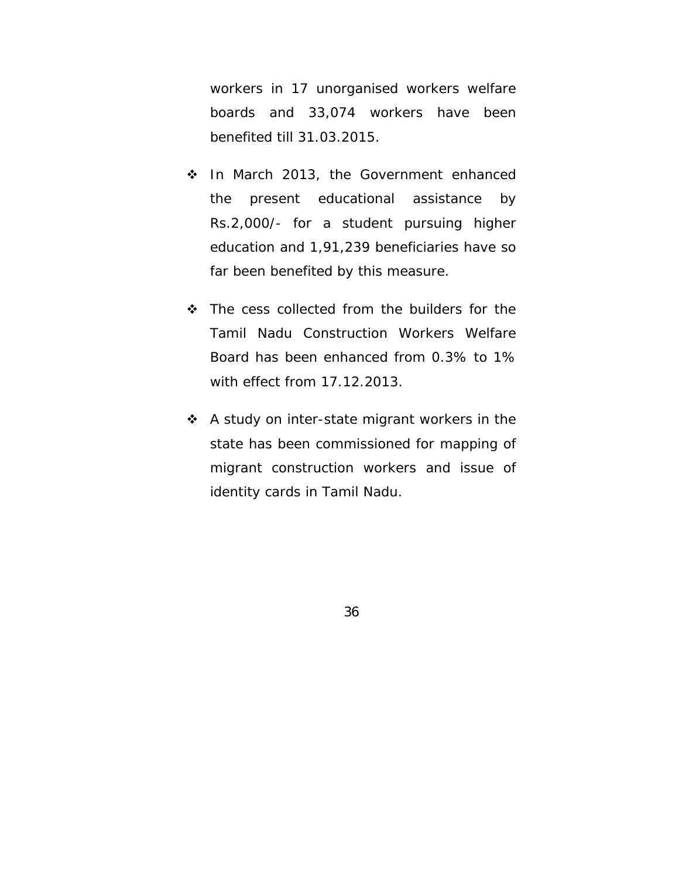workers in 17 unorganised workers welfare boards and 33,074 workers have been benefited till 31.03.2015.

- In March 2013, the Government enhanced the present educational assistance by Rs.2,000/- for a student pursuing higher education and 1,91,239 beneficiaries have so far been benefited by this measure.
- The cess collected from the builders for the Tamil Nadu Construction Workers Welfare Board has been enhanced from 0.3% to 1% with effect from 17.12.2013.
- ❖ A study on inter-state migrant workers in the state has been commissioned for mapping of migrant construction workers and issue of identity cards in Tamil Nadu.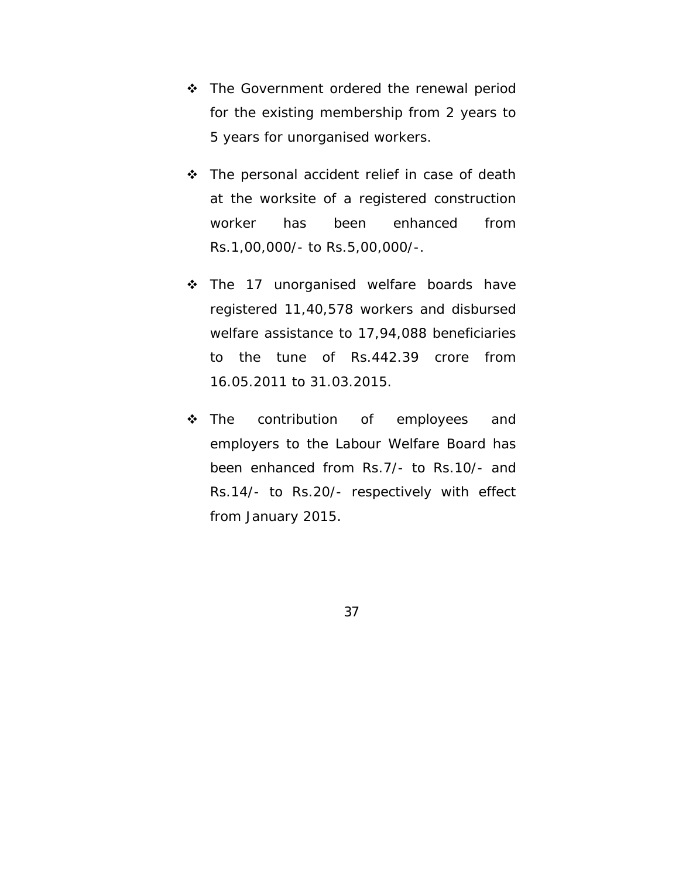- ❖ The Government ordered the renewal period for the existing membership from 2 years to 5 years for unorganised workers.
- The personal accident relief in case of death at the worksite of a registered construction worker has been enhanced from Rs.1,00,000/- to Rs.5,00,000/-.
- **❖** The 17 unorganised welfare boards have registered 11,40,578 workers and disbursed welfare assistance to 17,94,088 beneficiaries to the tune of Rs.442.39 crore from 16.05.2011 to 31.03.2015.
- \* The contribution of employees and employers to the Labour Welfare Board has been enhanced from Rs.7/- to Rs.10/- and Rs.14/- to Rs.20/- respectively with effect from January 2015.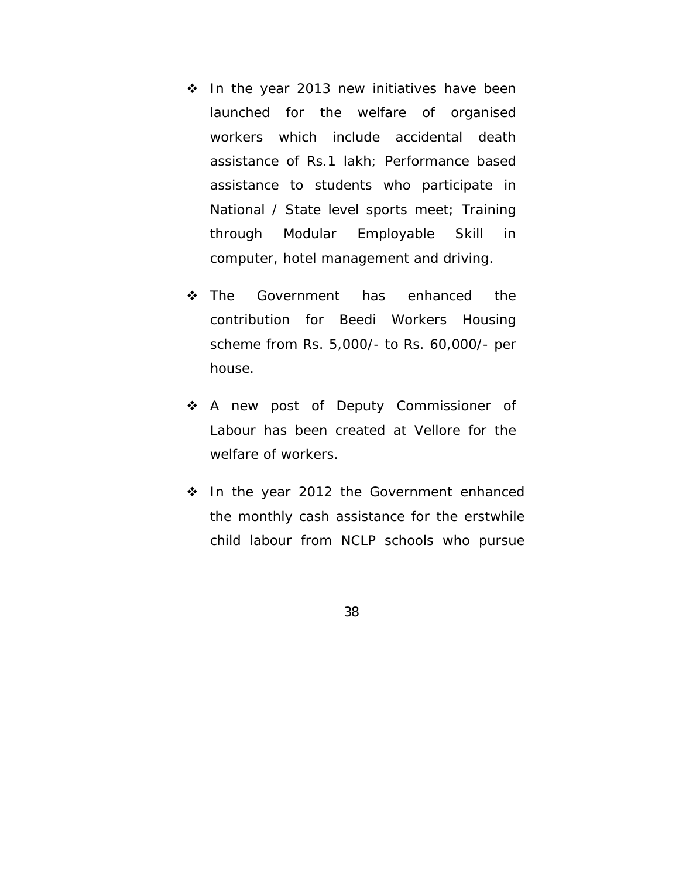- $\cdot$  In the year 2013 new initiatives have been launched for the welfare of organised workers which include accidental death assistance of Rs.1 lakh; Performance based assistance to students who participate in National / State level sports meet; Training through Modular Employable Skill in computer, hotel management and driving.
- **\*** The Government has enhanced the contribution for Beedi Workers Housing scheme from Rs. 5,000/- to Rs. 60,000/- per house.
- \* A new post of Deputy Commissioner of Labour has been created at Vellore for the welfare of workers.
- $\cdot$  In the year 2012 the Government enhanced the monthly cash assistance for the erstwhile child labour from NCLP schools who pursue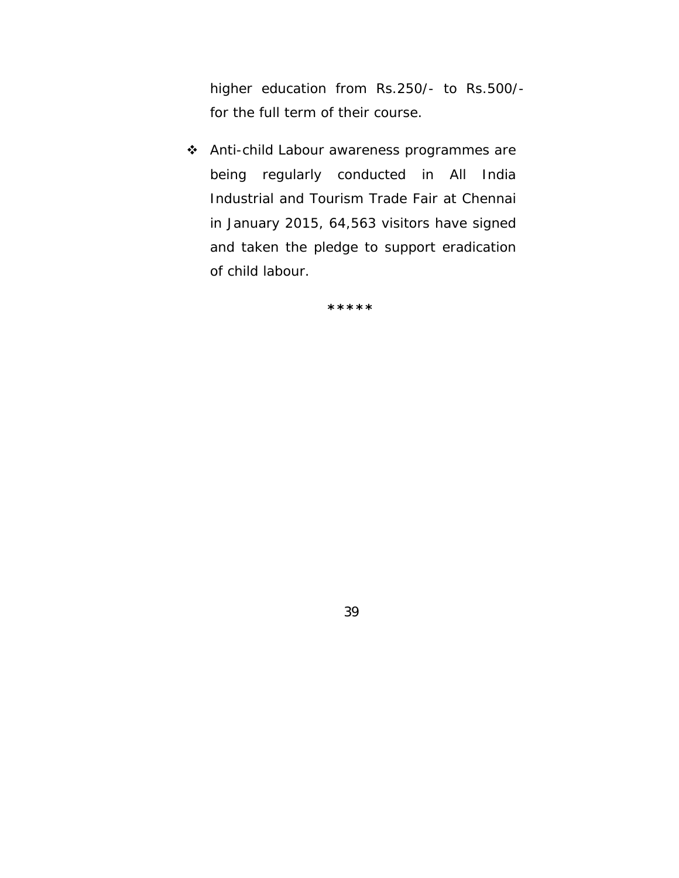higher education from Rs.250/- to Rs.500/ for the full term of their course.

 Anti-child Labour awareness programmes are being regularly conducted in All India Industrial and Tourism Trade Fair at Chennai in January 2015, 64,563 visitors have signed and taken the pledge to support eradication of child labour.

**\*\*\*\*\***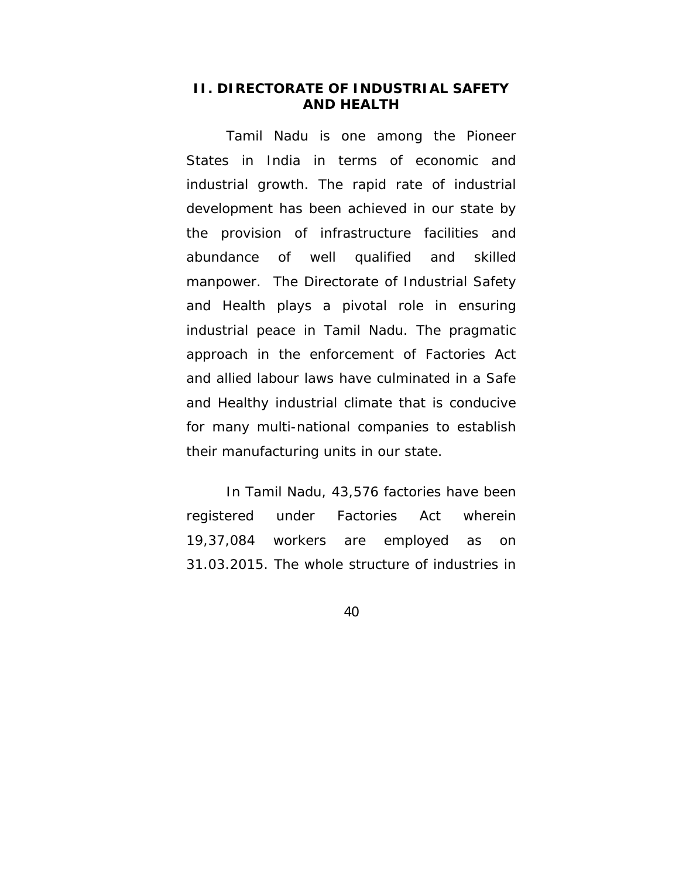## **II. DIRECTORATE OF INDUSTRIAL SAFETY AND HEALTH**

 Tamil Nadu is one among the Pioneer States in India in terms of economic and industrial growth. The rapid rate of industrial development has been achieved in our state by the provision of infrastructure facilities and abundance of well qualified and skilled manpower. The Directorate of Industrial Safety and Health plays a pivotal role in ensuring industrial peace in Tamil Nadu. The pragmatic approach in the enforcement of Factories Act and allied labour laws have culminated in a Safe and Healthy industrial climate that is conducive for many multi-national companies to establish their manufacturing units in our state.

 In Tamil Nadu, 43,576 factories have been registered under Factories Act wherein 19,37,084 workers are employed as on 31.03.2015. The whole structure of industries in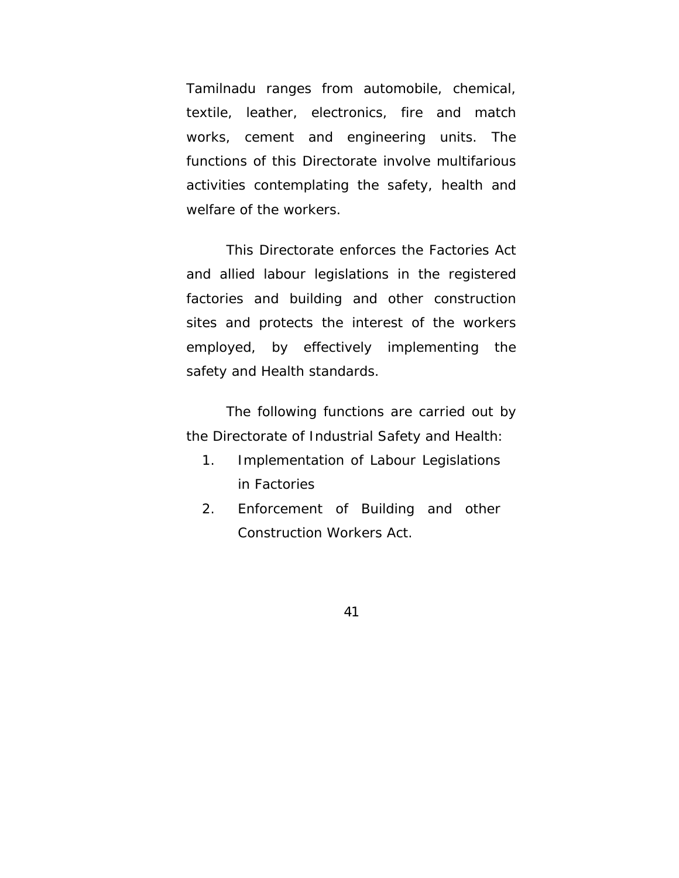Tamilnadu ranges from automobile, chemical, textile, leather, electronics, fire and match works, cement and engineering units. The functions of this Directorate involve multifarious activities contemplating the safety, health and welfare of the workers.

 This Directorate enforces the Factories Act and allied labour legislations in the registered factories and building and other construction sites and protects the interest of the workers employed, by effectively implementing the safety and Health standards.

The following functions are carried out by the Directorate of Industrial Safety and Health:

- 1. Implementation of Labour Legislations in Factories
- 2. Enforcement of Building and other Construction Workers Act.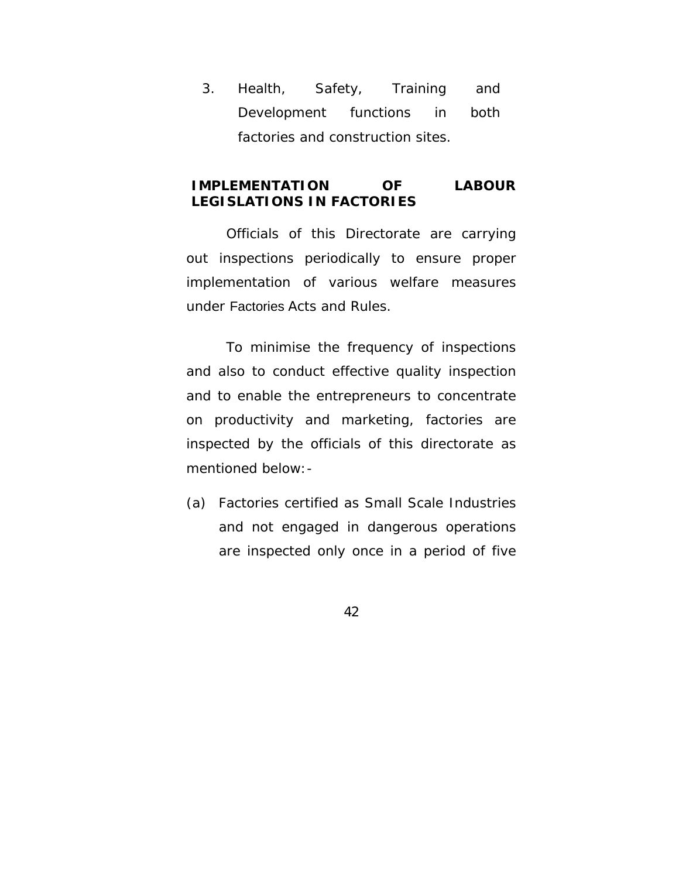3. Health, Safety, Training and Development functions in both factories and construction sites.

# **IMPLEMENTATION OF LABOUR LEGISLATIONS IN FACTORIES**

 Officials of this Directorate are carrying out inspections periodically to ensure proper implementation of various welfare measures under Factories Acts and Rules.

To minimise the frequency of inspections and also to conduct effective quality inspection and to enable the entrepreneurs to concentrate on productivity and marketing, factories are inspected by the officials of this directorate as mentioned below:-

(a) Factories certified as Small Scale Industries and not engaged in dangerous operations are inspected only once in a period of five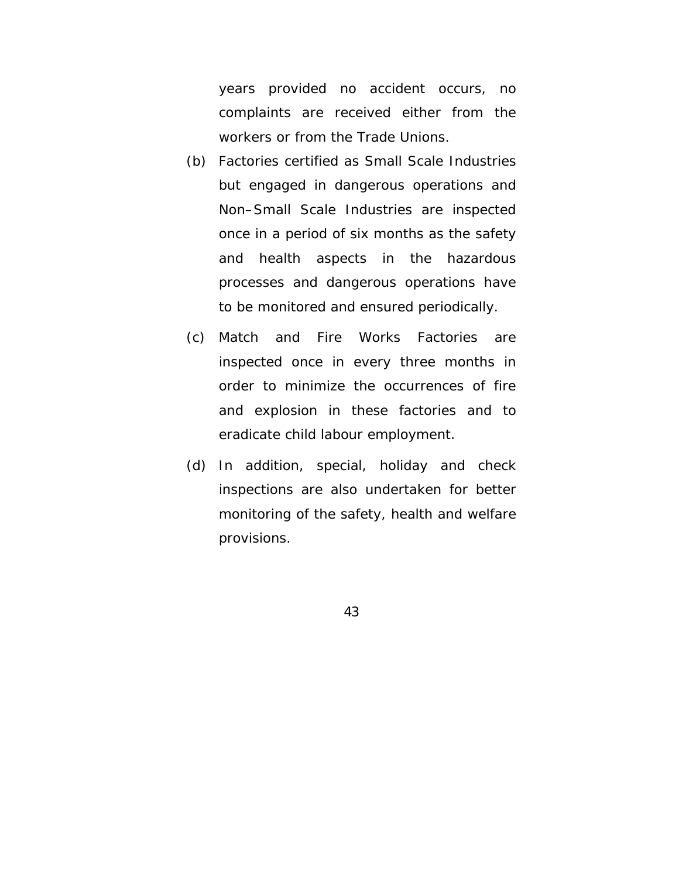years provided no accident occurs, no complaints are received either from the workers or from the Trade Unions.

- (b) Factories certified as Small Scale Industries but engaged in dangerous operations and Non–Small Scale Industries are inspected once in a period of six months as the safety and health aspects in the hazardous processes and dangerous operations have to be monitored and ensured periodically.
- (c) Match and Fire Works Factories are inspected once in every three months in order to minimize the occurrences of fire and explosion in these factories and to eradicate child labour employment.
- (d) In addition, special, holiday and check inspections are also undertaken for better monitoring of the safety, health and welfare provisions.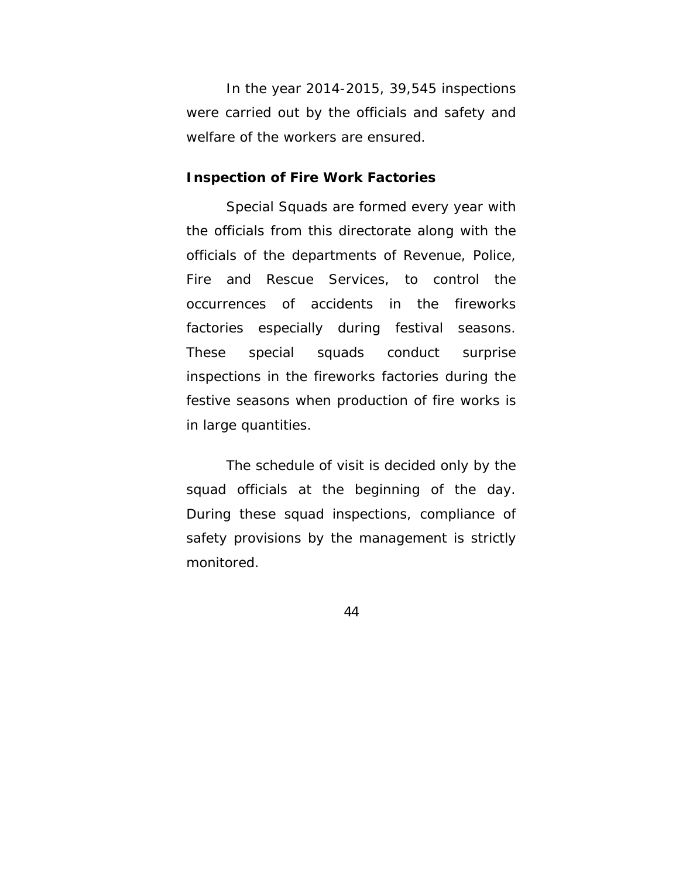In the year 2014-2015, 39,545 inspections were carried out by the officials and safety and welfare of the workers are ensured.

### **Inspection of Fire Work Factories**

Special Squads are formed every year with the officials from this directorate along with the officials of the departments of Revenue, Police, Fire and Rescue Services, to control the occurrences of accidents in the fireworks factories especially during festival seasons. These special squads conduct surprise inspections in the fireworks factories during the festive seasons when production of fire works is in large quantities.

The schedule of visit is decided only by the squad officials at the beginning of the day. During these squad inspections, compliance of safety provisions by the management is strictly monitored.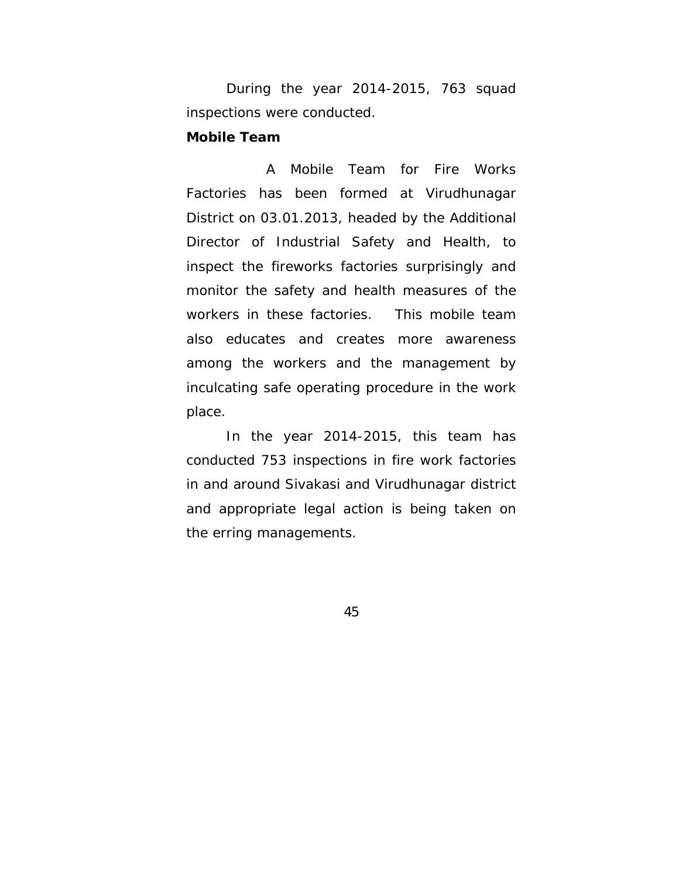During the year 2014-2015, 763 squad inspections were conducted.

### **Mobile Team**

 A Mobile Team for Fire Works Factories has been formed at Virudhunagar District on 03.01.2013, headed by the Additional Director of Industrial Safety and Health, to inspect the fireworks factories surprisingly and monitor the safety and health measures of the workers in these factories. This mobile team also educates and creates more awareness among the workers and the management by inculcating safe operating procedure in the work place.

 In the year 2014-2015, this team has conducted 753 inspections in fire work factories in and around Sivakasi and Virudhunagar district and appropriate legal action is being taken on the erring managements.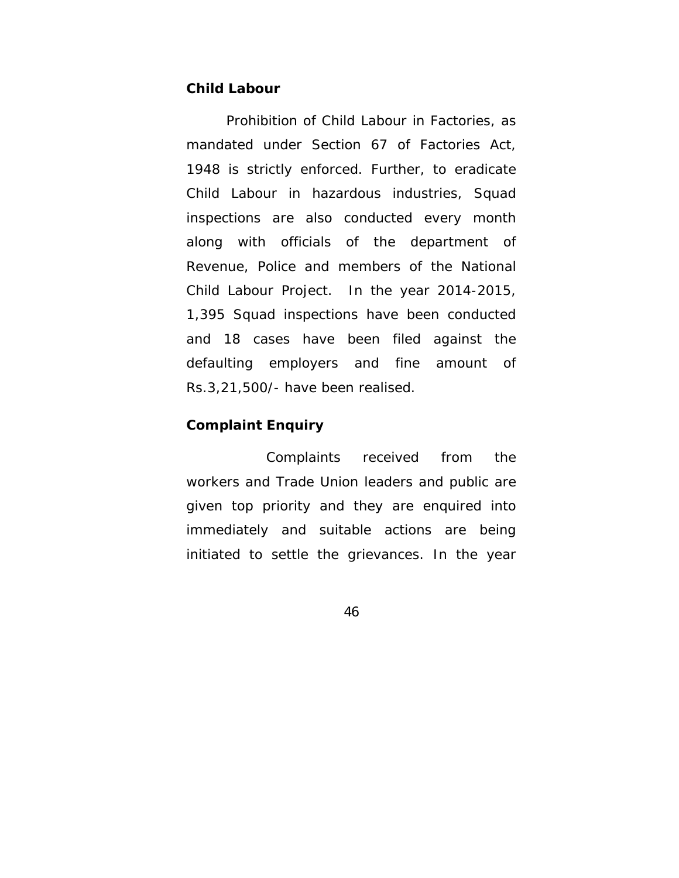# **Child Labour**

Prohibition of Child Labour in Factories, as mandated under Section 67 of Factories Act, 1948 is strictly enforced. Further, to eradicate Child Labour in hazardous industries, Squad inspections are also conducted every month along with officials of the department of Revenue, Police and members of the National Child Labour Project. In the year 2014-2015, 1,395 Squad inspections have been conducted and 18 cases have been filed against the defaulting employers and fine amount of Rs.3,21,500/- have been realised.

### **Complaint Enquiry**

 Complaints received from the workers and Trade Union leaders and public are given top priority and they are enquired into immediately and suitable actions are being initiated to settle the grievances. In the year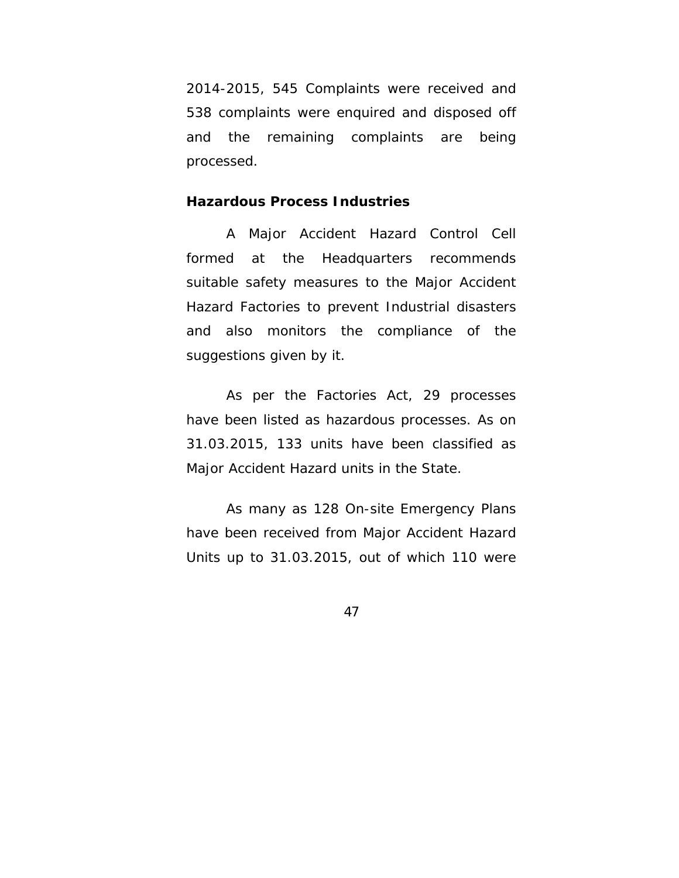2014-2015, 545 Complaints were received and 538 complaints were enquired and disposed off and the remaining complaints are being processed.

# **Hazardous Process Industries**

A Major Accident Hazard Control Cell formed at the Headquarters recommends suitable safety measures to the Major Accident Hazard Factories to prevent Industrial disasters and also monitors the compliance of the suggestions given by it.

As per the Factories Act, 29 processes have been listed as hazardous processes. As on 31.03.2015, 133 units have been classified as Major Accident Hazard units in the State.

As many as 128 On-site Emergency Plans have been received from Major Accident Hazard Units up to 31.03.2015, out of which 110 were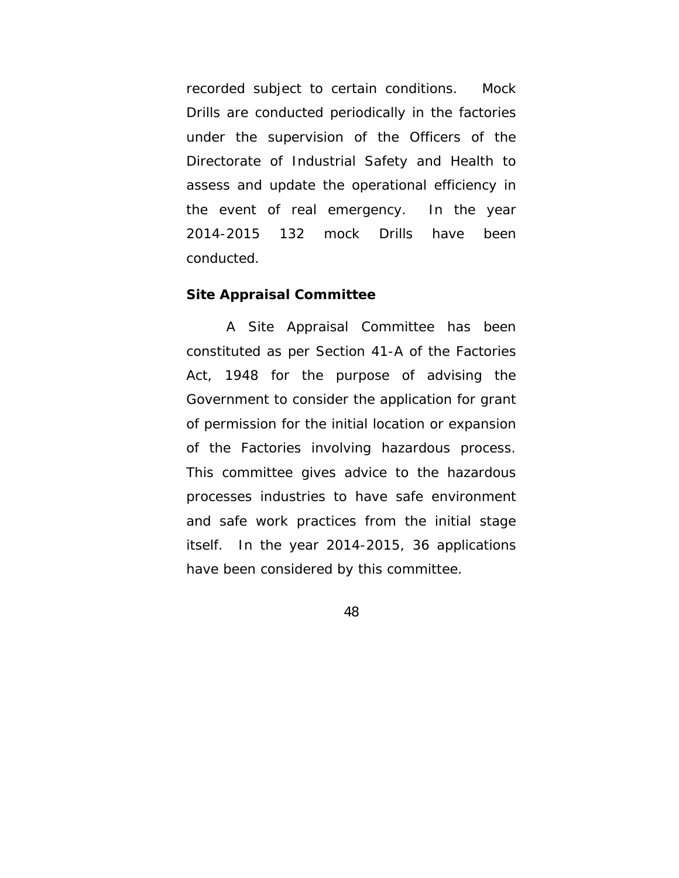recorded subject to certain conditions. Mock Drills are conducted periodically in the factories under the supervision of the Officers of the Directorate of Industrial Safety and Health to assess and update the operational efficiency in the event of real emergency. In the year 2014-2015 132 mock Drills have been conducted.

#### **Site Appraisal Committee**

A Site Appraisal Committee has been constituted as per Section 41-A of the Factories Act, 1948 for the purpose of advising the Government to consider the application for grant of permission for the initial location or expansion of the Factories involving hazardous process. This committee gives advice to the hazardous processes industries to have safe environment and safe work practices from the initial stage itself. In the year 2014-2015, 36 applications have been considered by this committee.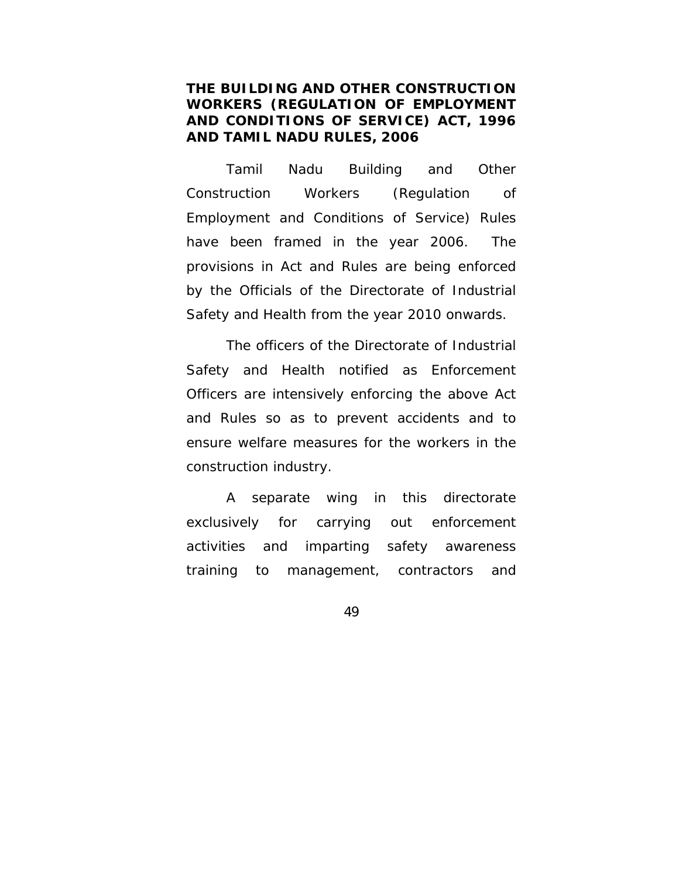# **THE BUILDING AND OTHER CONSTRUCTION WORKERS (REGULATION OF EMPLOYMENT AND CONDITIONS OF SERVICE) ACT, 1996 AND TAMIL NADU RULES, 2006**

 Tamil Nadu Building and Other Construction Workers (Regulation of Employment and Conditions of Service) Rules have been framed in the year 2006. The provisions in Act and Rules are being enforced by the Officials of the Directorate of Industrial Safety and Health from the year 2010 onwards.

 The officers of the Directorate of Industrial Safety and Health notified as Enforcement Officers are intensively enforcing the above Act and Rules so as to prevent accidents and to ensure welfare measures for the workers in the construction industry.

 A separate wing in this directorate exclusively for carrying out enforcement activities and imparting safety awareness training to management, contractors and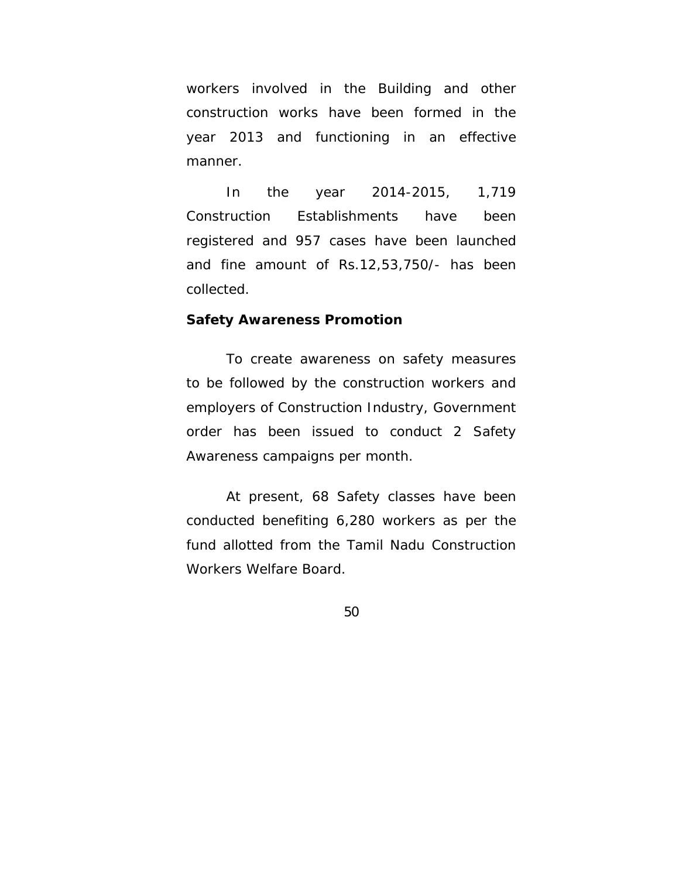workers involved in the Building and other construction works have been formed in the year 2013 and functioning in an effective manner.

 In the year 2014-2015, 1,719 Construction Establishments have been registered and 957 cases have been launched and fine amount of Rs.12,53,750/- has been collected.

#### **Safety Awareness Promotion**

 To create awareness on safety measures to be followed by the construction workers and employers of Construction Industry, Government order has been issued to conduct 2 Safety Awareness campaigns per month.

 At present, 68 Safety classes have been conducted benefiting 6,280 workers as per the fund allotted from the Tamil Nadu Construction Workers Welfare Board.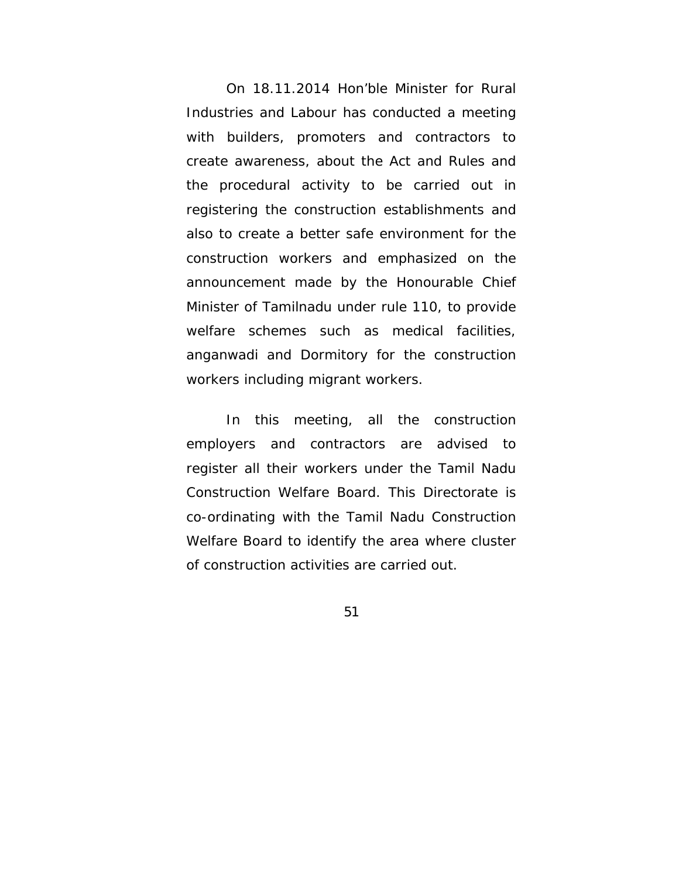On 18.11.2014 Hon'ble Minister for Rural Industries and Labour has conducted a meeting with builders, promoters and contractors to create awareness, about the Act and Rules and the procedural activity to be carried out in registering the construction establishments and also to create a better safe environment for the construction workers and emphasized on the announcement made by the Honourable Chief Minister of Tamilnadu under rule 110, to provide welfare schemes such as medical facilities, anganwadi and Dormitory for the construction workers including migrant workers.

In this meeting, all the construction employers and contractors are advised to register all their workers under the Tamil Nadu Construction Welfare Board. This Directorate is co-ordinating with the Tamil Nadu Construction Welfare Board to identify the area where cluster of construction activities are carried out.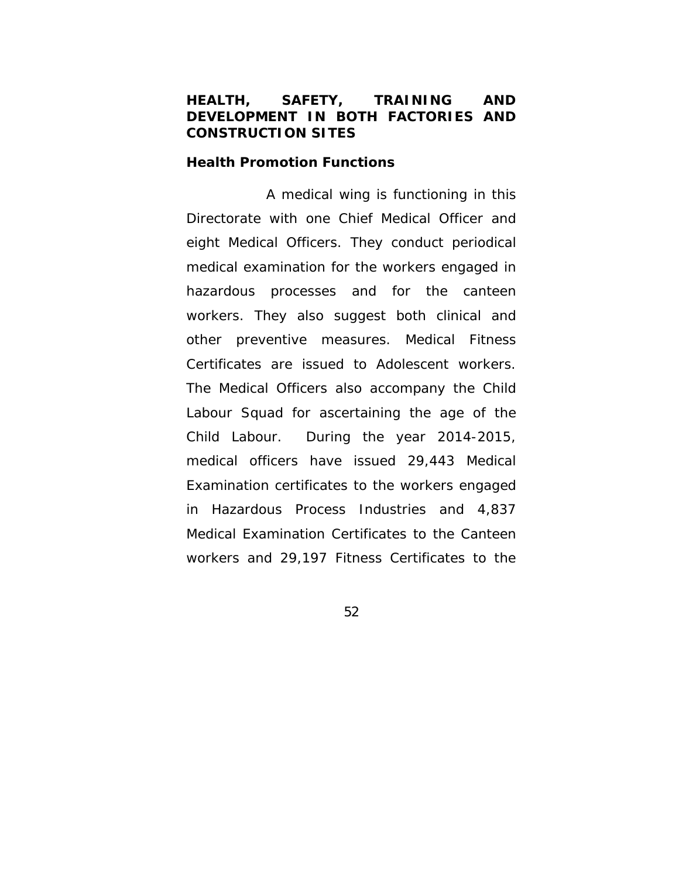# **HEALTH, SAFETY, TRAINING AND DEVELOPMENT IN BOTH FACTORIES AND CONSTRUCTION SITES**

#### **Health Promotion Functions**

 A medical wing is functioning in this Directorate with one Chief Medical Officer and eight Medical Officers. They conduct periodical medical examination for the workers engaged in hazardous processes and for the canteen workers. They also suggest both clinical and other preventive measures. Medical Fitness Certificates are issued to Adolescent workers. The Medical Officers also accompany the Child Labour Squad for ascertaining the age of the Child Labour. During the year 2014-2015, medical officers have issued 29,443 Medical Examination certificates to the workers engaged in Hazardous Process Industries and 4,837 Medical Examination Certificates to the Canteen workers and 29,197 Fitness Certificates to the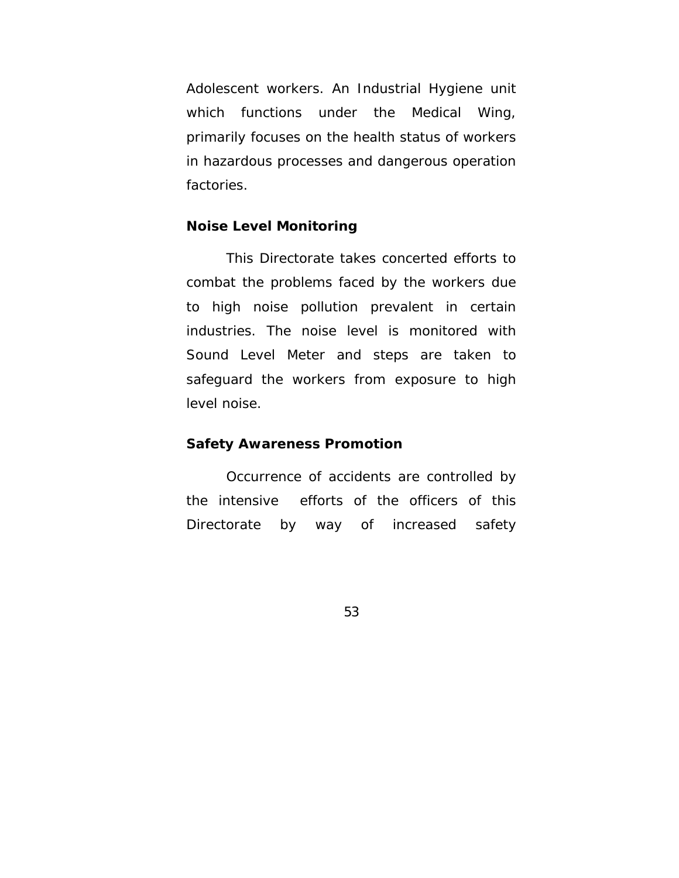Adolescent workers. An Industrial Hygiene unit which functions under the Medical Wing, primarily focuses on the health status of workers in hazardous processes and dangerous operation factories.

### **Noise Level Monitoring**

 This Directorate takes concerted efforts to combat the problems faced by the workers due to high noise pollution prevalent in certain industries. The noise level is monitored with Sound Level Meter and steps are taken to safeguard the workers from exposure to high level noise.

#### **Safety Awareness Promotion**

Occurrence of accidents are controlled by the intensive efforts of the officers of this Directorate by way of increased safety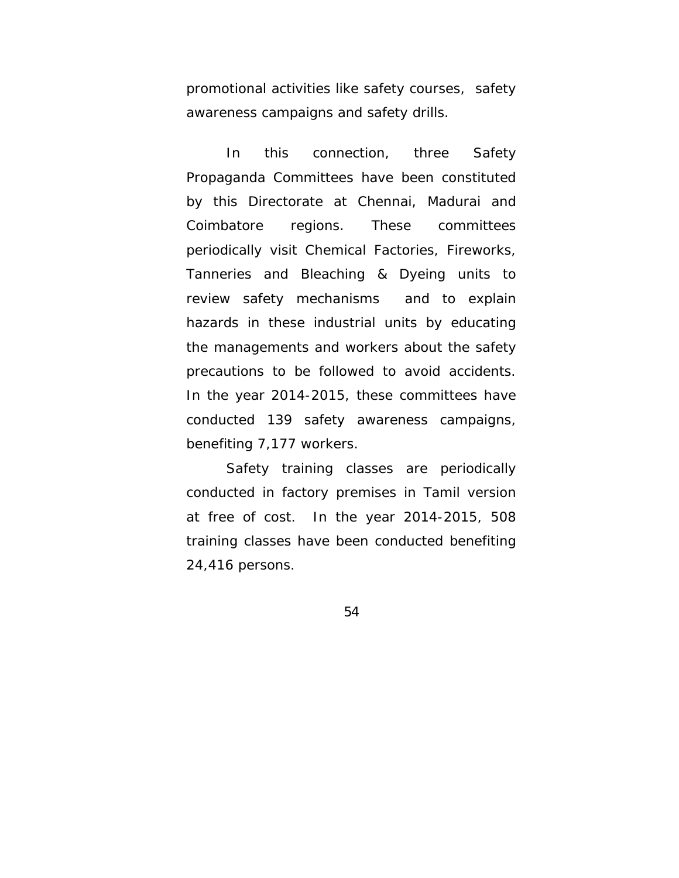promotional activities like safety courses, safety awareness campaigns and safety drills.

In this connection, three Safety Propaganda Committees have been constituted by this Directorate at Chennai, Madurai and Coimbatore regions. These committees periodically visit Chemical Factories, Fireworks, Tanneries and Bleaching & Dyeing units to review safety mechanisms and to explain hazards in these industrial units by educating the managements and workers about the safety precautions to be followed to avoid accidents. In the year 2014-2015, these committees have conducted 139 safety awareness campaigns, benefiting 7,177 workers.

Safety training classes are periodically conducted in factory premises in Tamil version at free of cost. In the year 2014-2015, 508 training classes have been conducted benefiting 24,416 persons.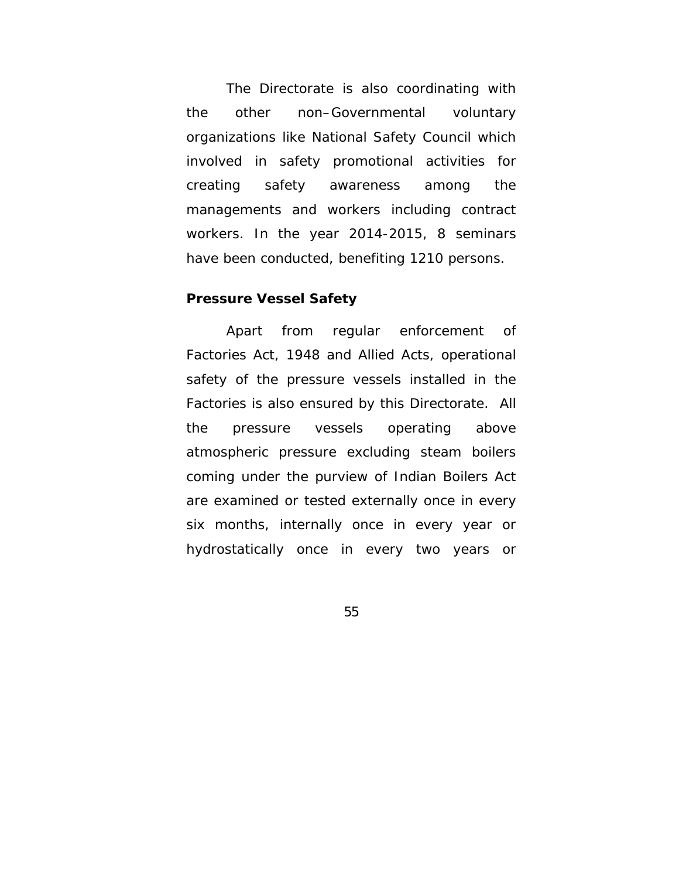The Directorate is also coordinating with the other non–Governmental voluntary organizations like National Safety Council which involved in safety promotional activities for creating safety awareness among the managements and workers including contract workers. In the year 2014-2015, 8 seminars have been conducted, benefiting 1210 persons.

#### **Pressure Vessel Safety**

Apart from regular enforcement of Factories Act, 1948 and Allied Acts, operational safety of the pressure vessels installed in the Factories is also ensured by this Directorate. All the pressure vessels operating above atmospheric pressure excluding steam boilers coming under the purview of Indian Boilers Act are examined or tested externally once in every six months, internally once in every year or hydrostatically once in every two years or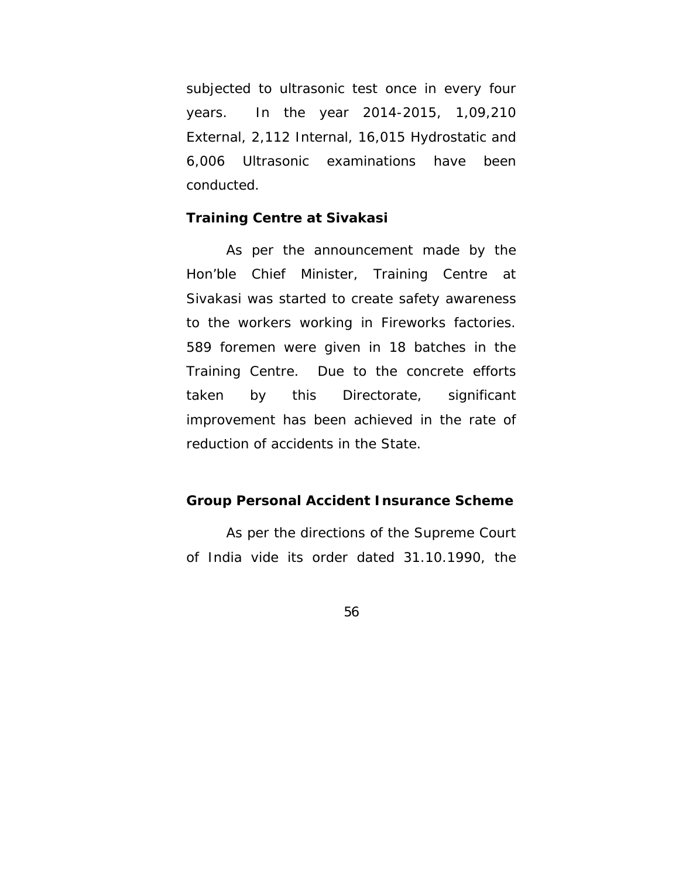subjected to ultrasonic test once in every four years. In the year 2014-2015, 1,09,210 External, 2,112 Internal, 16,015 Hydrostatic and 6,006 Ultrasonic examinations have been conducted.

### **Training Centre at Sivakasi**

 As per the announcement made by the Hon'ble Chief Minister, Training Centre at Sivakasi was started to create safety awareness to the workers working in Fireworks factories. 589 foremen were given in 18 batches in the Training Centre. Due to the concrete efforts taken by this Directorate, significant improvement has been achieved in the rate of reduction of accidents in the State.

### **Group Personal Accident Insurance Scheme**

As per the directions of the Supreme Court of India vide its order dated 31.10.1990, the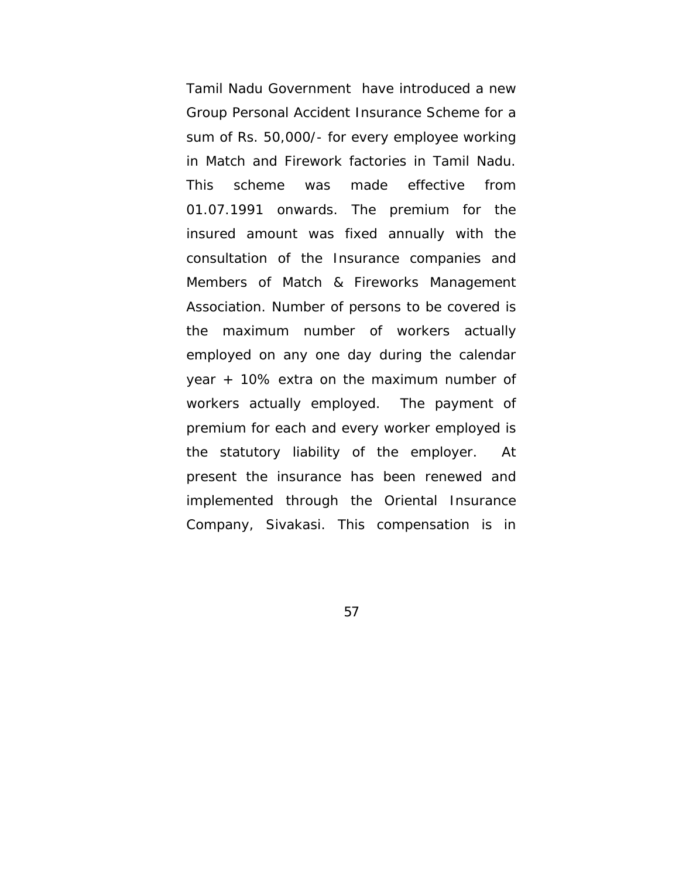Tamil Nadu Government have introduced a new Group Personal Accident Insurance Scheme for a sum of Rs. 50,000/- for every employee working in Match and Firework factories in Tamil Nadu. This scheme was made effective from 01.07.1991 onwards. The premium for the insured amount was fixed annually with the consultation of the Insurance companies and Members of Match & Fireworks Management Association. Number of persons to be covered is the maximum number of workers actually employed on any one day during the calendar year + 10% extra on the maximum number of workers actually employed. The payment of premium for each and every worker employed is the statutory liability of the employer. At present the insurance has been renewed and implemented through the Oriental Insurance Company, Sivakasi. This compensation is in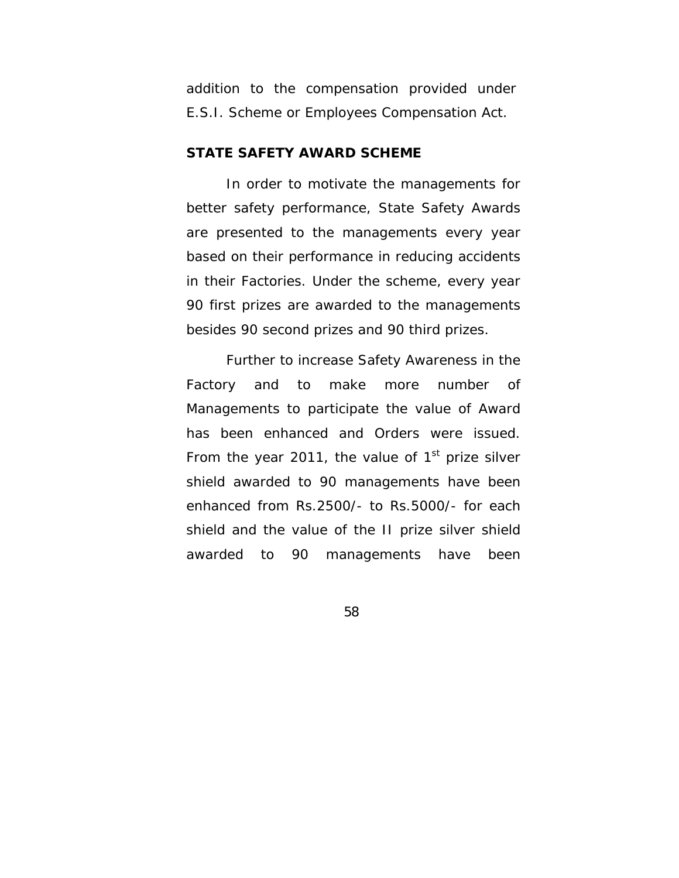addition to the compensation provided under E.S.I. Scheme or Employees Compensation Act.

### **STATE SAFETY AWARD SCHEME**

In order to motivate the managements for better safety performance, State Safety Awards are presented to the managements every year based on their performance in reducing accidents in their Factories. Under the scheme, every year 90 first prizes are awarded to the managements besides 90 second prizes and 90 third prizes.

Further to increase Safety Awareness in the Factory and to make more number of Managements to participate the value of Award has been enhanced and Orders were issued. From the year 2011, the value of  $1<sup>st</sup>$  prize silver shield awarded to 90 managements have been enhanced from Rs.2500/- to Rs.5000/- for each shield and the value of the II prize silver shield awarded to 90 managements have been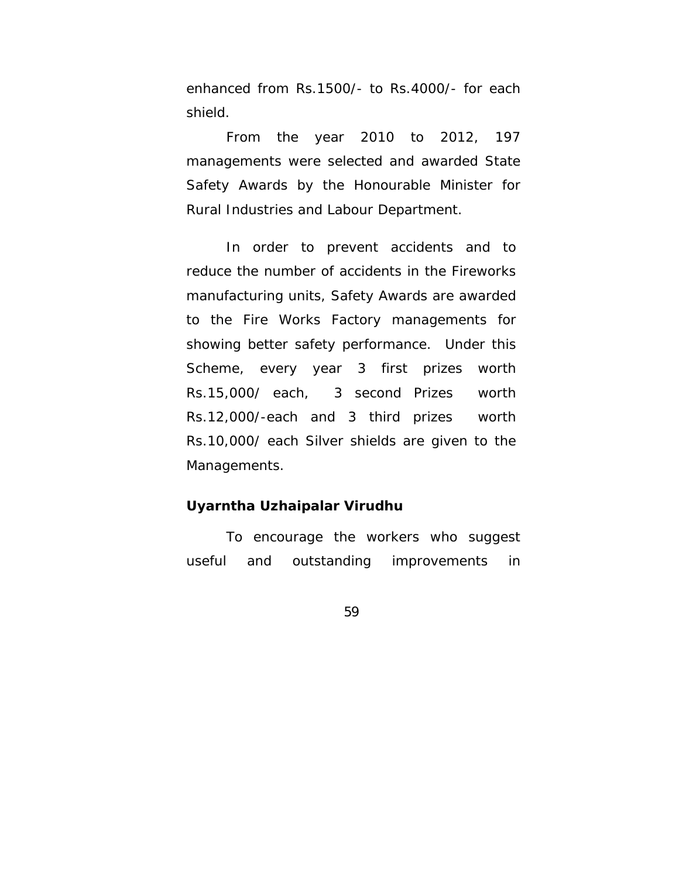enhanced from Rs.1500/- to Rs.4000/- for each shield.

From the year 2010 to 2012, 197 managements were selected and awarded State Safety Awards by the Honourable Minister for Rural Industries and Labour Department.

In order to prevent accidents and to reduce the number of accidents in the Fireworks manufacturing units, Safety Awards are awarded to the Fire Works Factory managements for showing better safety performance. Under this Scheme, every year 3 first prizes worth Rs.15,000/ each, 3 second Prizes worth Rs.12,000/-each and 3 third prizes worth Rs.10,000/ each Silver shields are given to the Managements.

### **Uyarntha Uzhaipalar Virudhu**

To encourage the workers who suggest useful and outstanding improvements in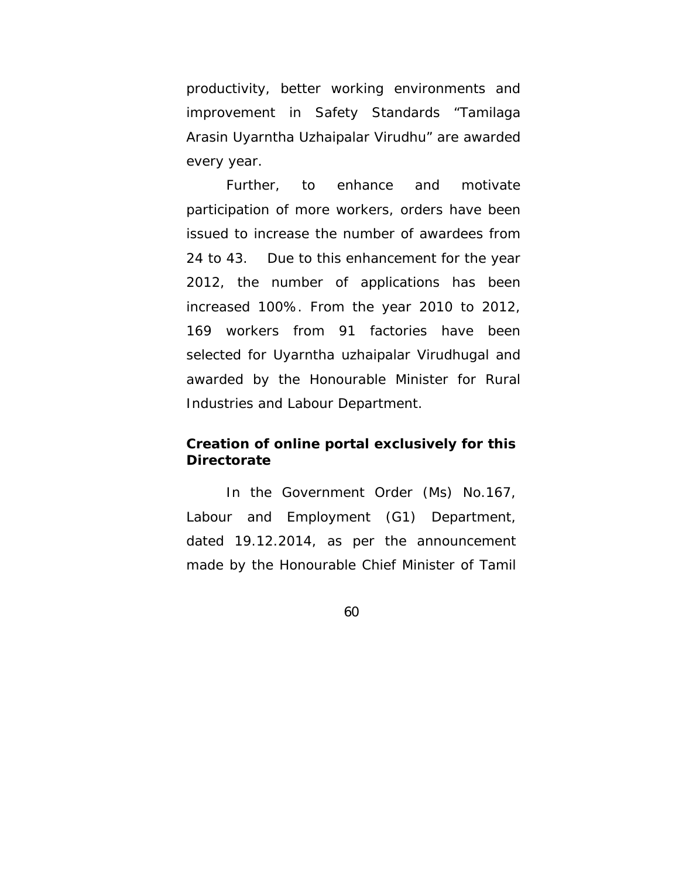productivity, better working environments and improvement in Safety Standards "Tamilaga Arasin Uyarntha Uzhaipalar Virudhu" are awarded every year.

Further, to enhance and motivate participation of more workers, orders have been issued to increase the number of awardees from 24 to 43. Due to this enhancement for the year 2012, the number of applications has been increased 100%. From the year 2010 to 2012, 169 workers from 91 factories have been selected for Uyarntha uzhaipalar Virudhugal and awarded by the Honourable Minister for Rural Industries and Labour Department.

# **Creation of online portal exclusively for this Directorate**

In the Government Order (Ms) No.167, Labour and Employment (G1) Department, dated 19.12.2014, as per the announcement made by the Honourable Chief Minister of Tamil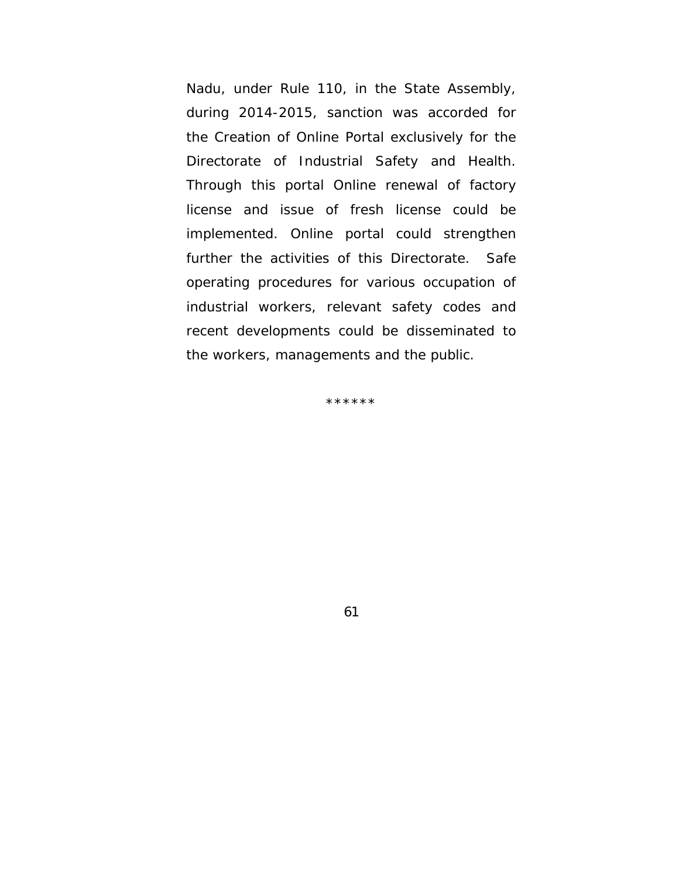Nadu, under Rule 110, in the State Assembly, during 2014-2015, sanction was accorded for the Creation of Online Portal exclusively for the Directorate of Industrial Safety and Health. Through this portal Online renewal of factory license and issue of fresh license could be implemented. Online portal could strengthen further the activities of this Directorate. Safe operating procedures for various occupation of industrial workers, relevant safety codes and recent developments could be disseminated to the workers, managements and the public.

\*\*\*\*\*\*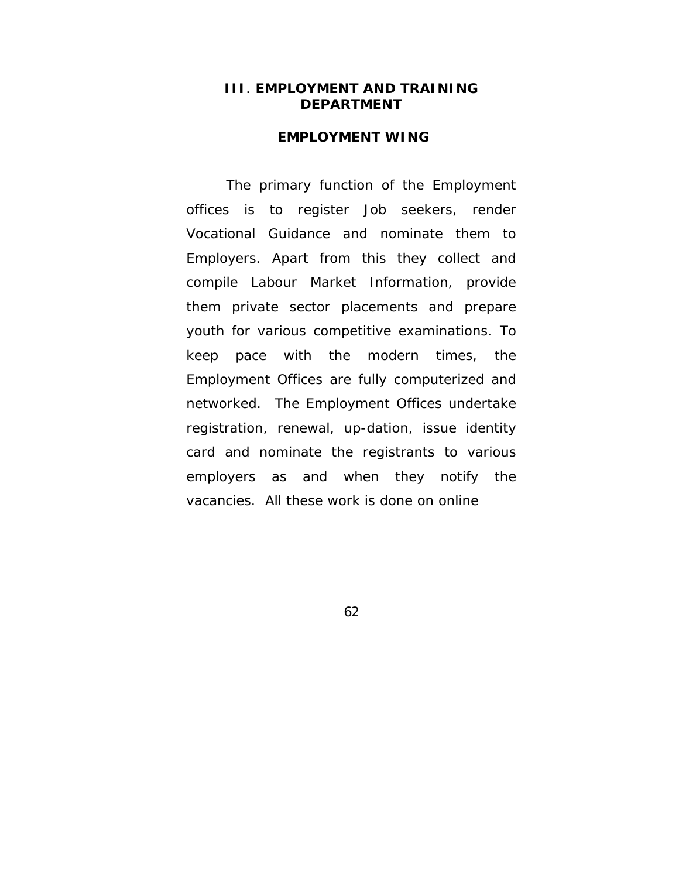### **III**. **EMPLOYMENT AND TRAINING DEPARTMENT**

### **EMPLOYMENT WING**

 The primary function of the Employment offices is to register Job seekers, render Vocational Guidance and nominate them to Employers. Apart from this they collect and compile Labour Market Information, provide them private sector placements and prepare youth for various competitive examinations. To keep pace with the modern times, the Employment Offices are fully computerized and networked. The Employment Offices undertake registration, renewal, up-dation, issue identity card and nominate the registrants to various employers as and when they notify the vacancies. All these work is done on online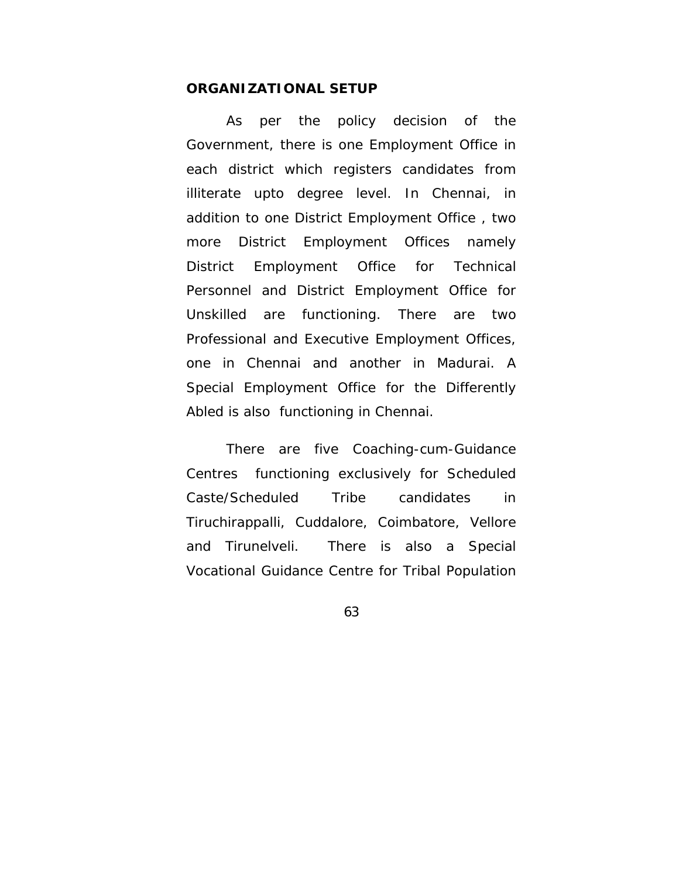#### **ORGANIZATIONAL SETUP**

 As per the policy decision of the Government, there is one Employment Office in each district which registers candidates from illiterate upto degree level. In Chennai, in addition to one District Employment Office , two more District Employment Offices namely District Employment Office for Technical Personnel and District Employment Office for Unskilled are functioning. There are two Professional and Executive Employment Offices, one in Chennai and another in Madurai. A Special Employment Office for the Differently Abled is also functioning in Chennai.

 There are five Coaching-cum-Guidance Centres functioning exclusively for Scheduled Caste/Scheduled Tribe candidates in Tiruchirappalli, Cuddalore, Coimbatore, Vellore and Tirunelveli. There is also a Special Vocational Guidance Centre for Tribal Population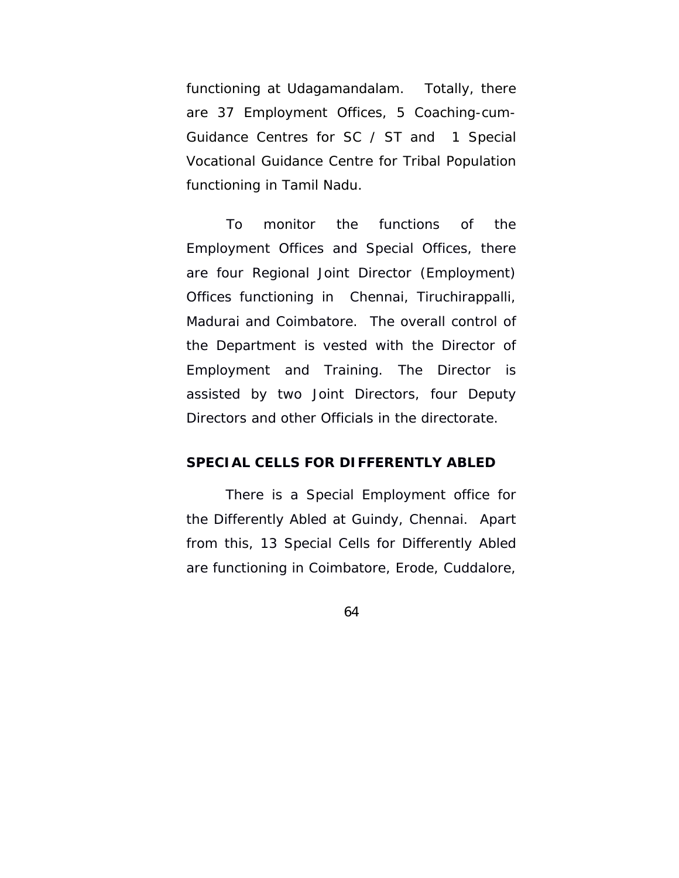functioning at Udagamandalam. Totally, there are 37 Employment Offices, 5 Coaching-cum-Guidance Centres for SC / ST and 1 Special Vocational Guidance Centre for Tribal Population functioning in Tamil Nadu.

 To monitor the functions of the Employment Offices and Special Offices, there are four Regional Joint Director (Employment) Offices functioning in Chennai, Tiruchirappalli, Madurai and Coimbatore. The overall control of the Department is vested with the Director of Employment and Training. The Director is assisted by two Joint Directors, four Deputy Directors and other Officials in the directorate.

#### **SPECIAL CELLS FOR DIFFERENTLY ABLED**

 There is a Special Employment office for the Differently Abled at Guindy, Chennai. Apart from this, 13 Special Cells for Differently Abled are functioning in Coimbatore, Erode, Cuddalore,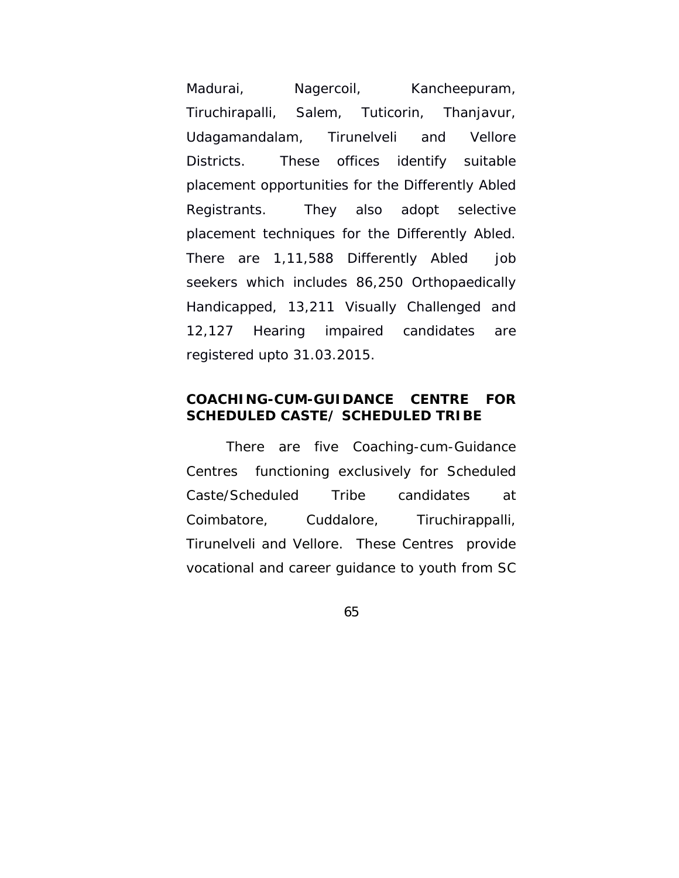Madurai, Nagercoil, Kancheepuram, Tiruchirapalli, Salem, Tuticorin, Thanjavur, Udagamandalam, Tirunelveli and Vellore Districts. These offices identify suitable placement opportunities for the Differently Abled Registrants. They also adopt selective placement techniques for the Differently Abled. There are 1,11,588 Differently Abled job seekers which includes 86,250 Orthopaedically Handicapped, 13,211 Visually Challenged and 12,127 Hearing impaired candidates are registered upto 31.03.2015.

# **COACHING-CUM-GUIDANCE CENTRE FOR SCHEDULED CASTE/ SCHEDULED TRIBE**

 There are five Coaching-cum-Guidance Centres functioning exclusively for Scheduled Caste/Scheduled Tribe candidates at Coimbatore, Cuddalore, Tiruchirappalli, Tirunelveli and Vellore. These Centres provide vocational and career guidance to youth from SC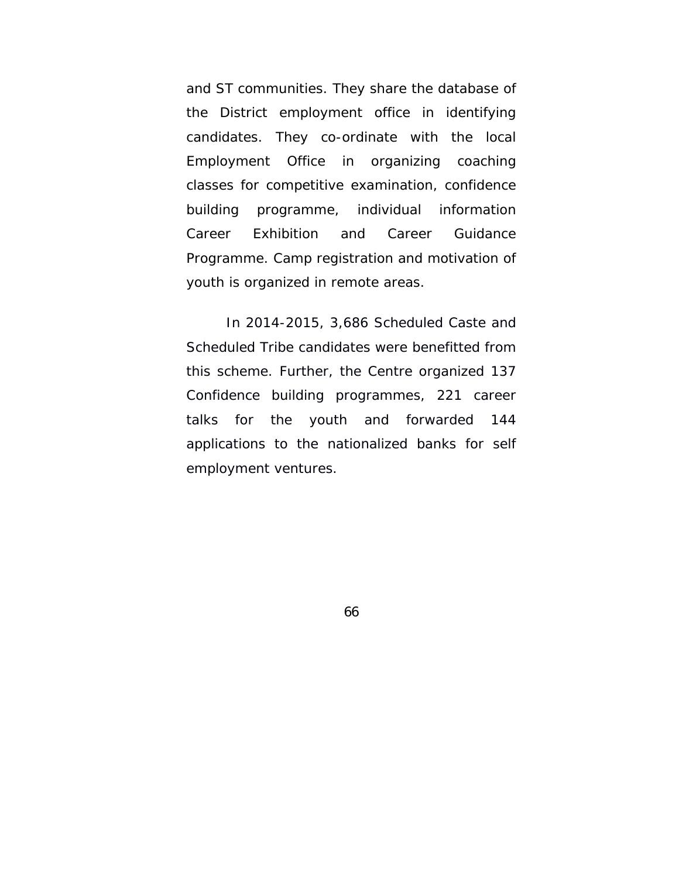and ST communities. They share the database of the District employment office in identifying candidates. They co-ordinate with the local Employment Office in organizing coaching classes for competitive examination, confidence building programme, individual information Career Exhibition and Career Guidance Programme. Camp registration and motivation of youth is organized in remote areas.

In 2014-2015, 3,686 Scheduled Caste and Scheduled Tribe candidates were benefitted from this scheme. Further, the Centre organized 137 Confidence building programmes, 221 career talks for the youth and forwarded 144 applications to the nationalized banks for self employment ventures.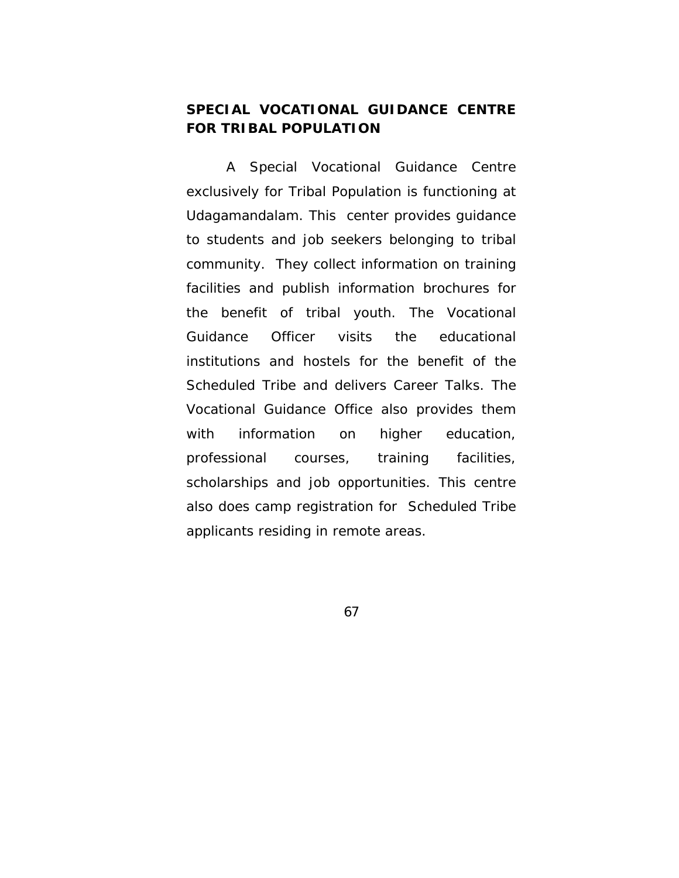# **SPECIAL VOCATIONAL GUIDANCE CENTRE FOR TRIBAL POPULATION**

 A Special Vocational Guidance Centre exclusively for Tribal Population is functioning at Udagamandalam. This center provides guidance to students and job seekers belonging to tribal community. They collect information on training facilities and publish information brochures for the benefit of tribal youth. The Vocational Guidance Officer visits the educational institutions and hostels for the benefit of the Scheduled Tribe and delivers Career Talks. The Vocational Guidance Office also provides them with information on higher education, professional courses, training facilities, scholarships and job opportunities. This centre also does camp registration for Scheduled Tribe applicants residing in remote areas.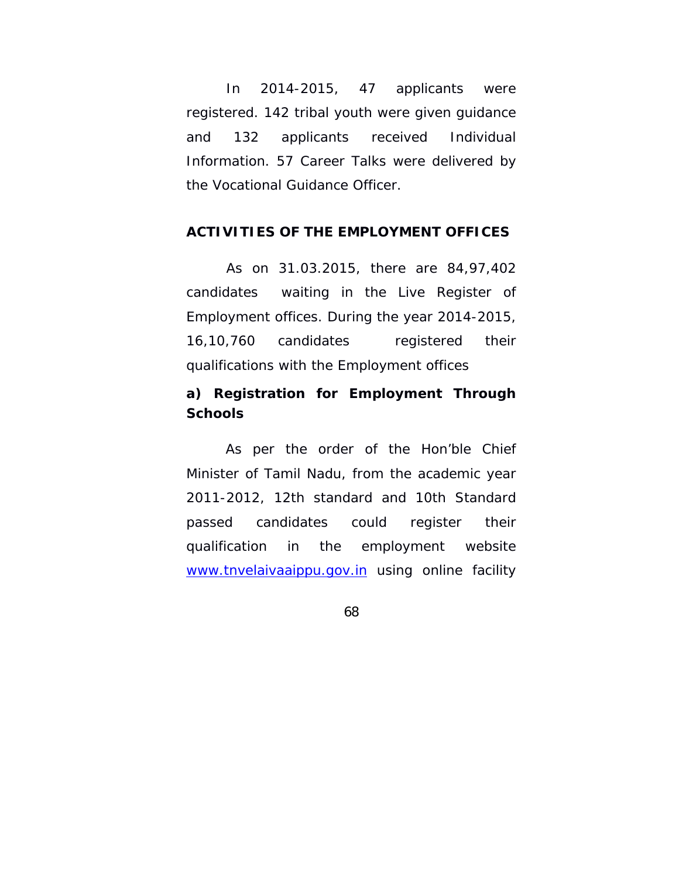In 2014-2015, 47 applicants were registered. 142 tribal youth were given guidance and 132 applicants received Individual Information. 57 Career Talks were delivered by the Vocational Guidance Officer.

### **ACTIVITIES OF THE EMPLOYMENT OFFICES**

 As on 31.03.2015, there are 84,97,402 candidates waiting in the Live Register of Employment offices. During the year 2014-2015, 16,10,760 candidates registered their qualifications with the Employment offices

# **a) Registration for Employment Through Schools**

 As per the order of the Hon'ble Chief Minister of Tamil Nadu, from the academic year 2011-2012, 12th standard and 10th Standard passed candidates could register their qualification in the employment website www.tnvelaivaaippu.gov.in using online facility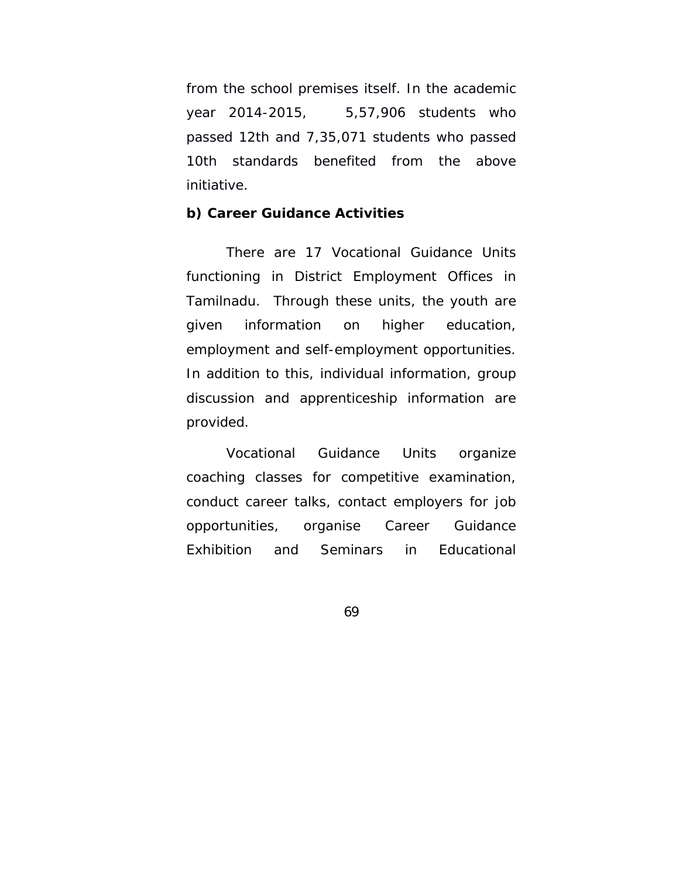from the school premises itself. In the academic year 2014-2015, 5,57,906 students who passed 12th and 7,35,071 students who passed 10th standards benefited from the above initiative.

### **b) Career Guidance Activities**

 There are 17 Vocational Guidance Units functioning in District Employment Offices in Tamilnadu. Through these units, the youth are given information on higher education, employment and self-employment opportunities. In addition to this, individual information, group discussion and apprenticeship information are provided.

 Vocational Guidance Units organize coaching classes for competitive examination, conduct career talks, contact employers for job opportunities, organise Career Guidance Exhibition and Seminars in Educational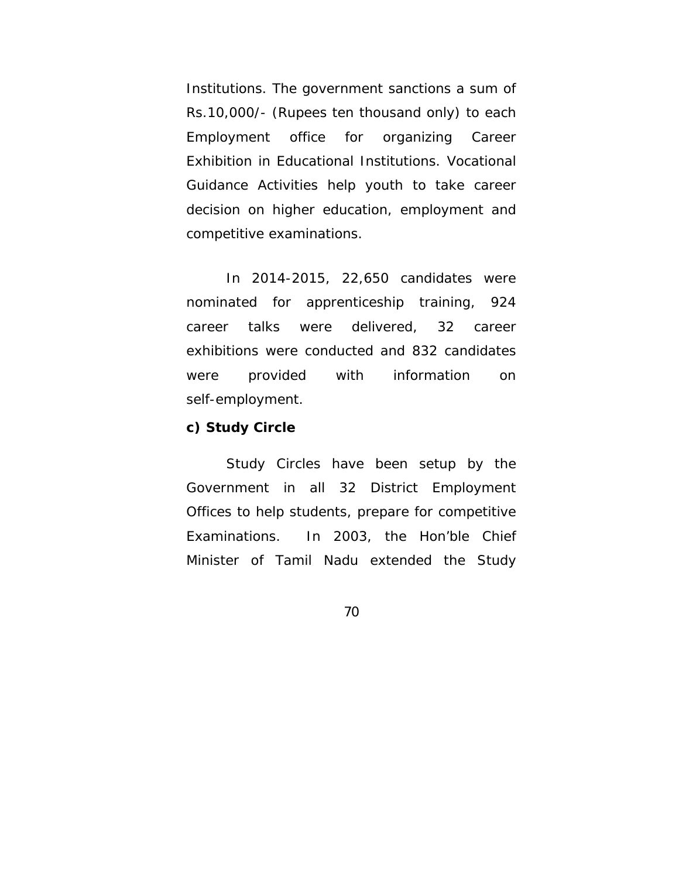Institutions. The government sanctions a sum of Rs.10,000/- (Rupees ten thousand only) to each Employment office for organizing Career Exhibition in Educational Institutions. Vocational Guidance Activities help youth to take career decision on higher education, employment and competitive examinations.

 In 2014-2015, 22,650 candidates were nominated for apprenticeship training, 924 career talks were delivered, 32 career exhibitions were conducted and 832 candidates were provided with information on self-employment.

### **c) Study Circle**

 Study Circles have been setup by the Government in all 32 District Employment Offices to help students, prepare for competitive Examinations. In 2003, the Hon'ble Chief Minister of Tamil Nadu extended the Study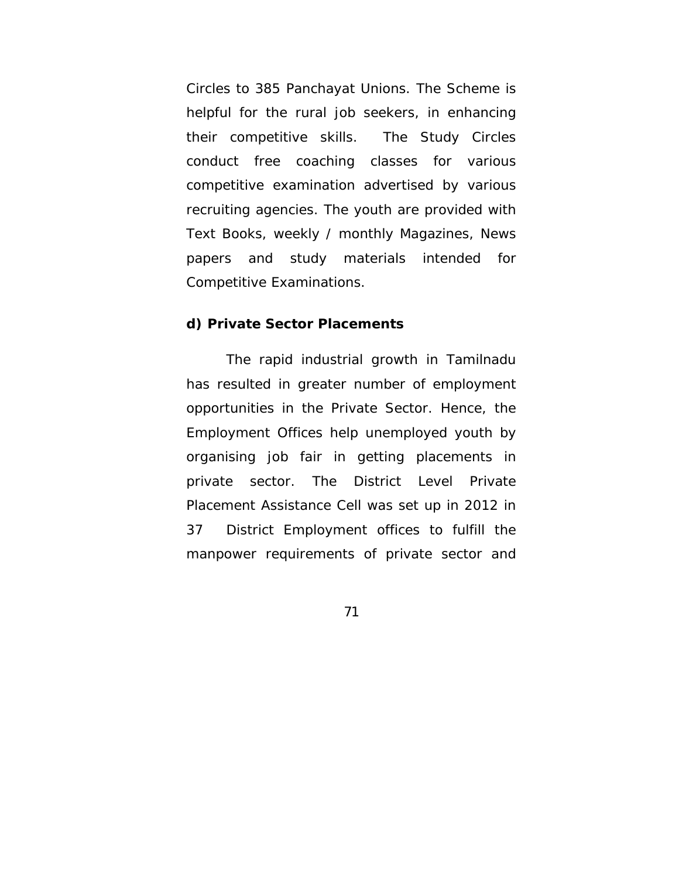Circles to 385 Panchayat Unions. The Scheme is helpful for the rural job seekers, in enhancing their competitive skills. The Study Circles conduct free coaching classes for various competitive examination advertised by various recruiting agencies. The youth are provided with Text Books, weekly / monthly Magazines, News papers and study materials intended for Competitive Examinations.

#### **d) Private Sector Placements**

 The rapid industrial growth in Tamilnadu has resulted in greater number of employment opportunities in the Private Sector. Hence, the Employment Offices help unemployed youth by organising job fair in getting placements in private sector. The District Level Private Placement Assistance Cell was set up in 2012 in 37 District Employment offices to fulfill the manpower requirements of private sector and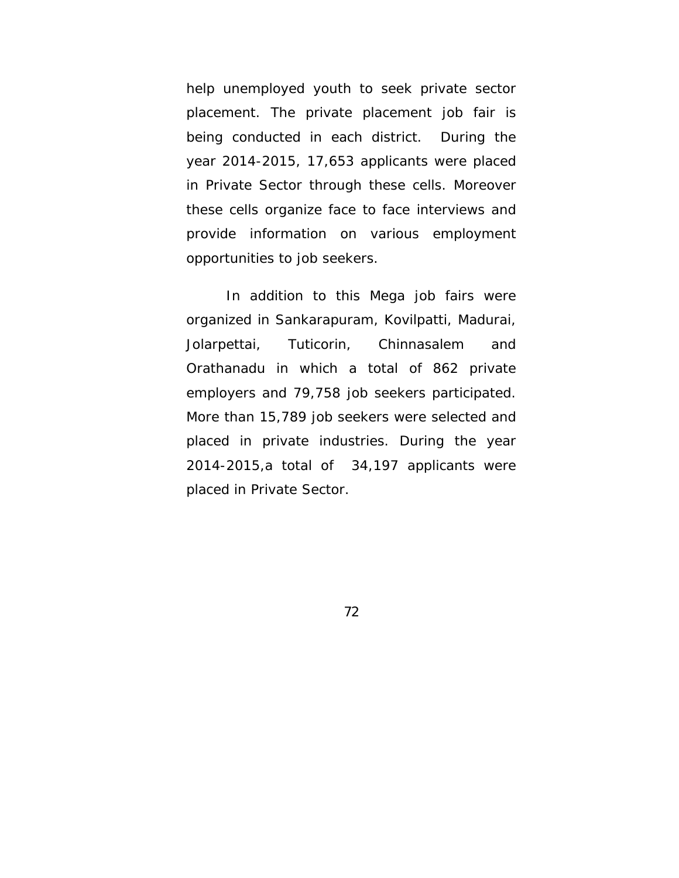help unemployed youth to seek private sector placement. The private placement job fair is being conducted in each district. During the year 2014-2015, 17,653 applicants were placed in Private Sector through these cells. Moreover these cells organize face to face interviews and provide information on various employment opportunities to job seekers.

 In addition to this Mega job fairs were organized in Sankarapuram, Kovilpatti, Madurai, Jolarpettai, Tuticorin, Chinnasalem and Orathanadu in which a total of 862 private employers and 79,758 job seekers participated. More than 15,789 job seekers were selected and placed in private industries. During the year 2014-2015,a total of 34,197 applicants were placed in Private Sector.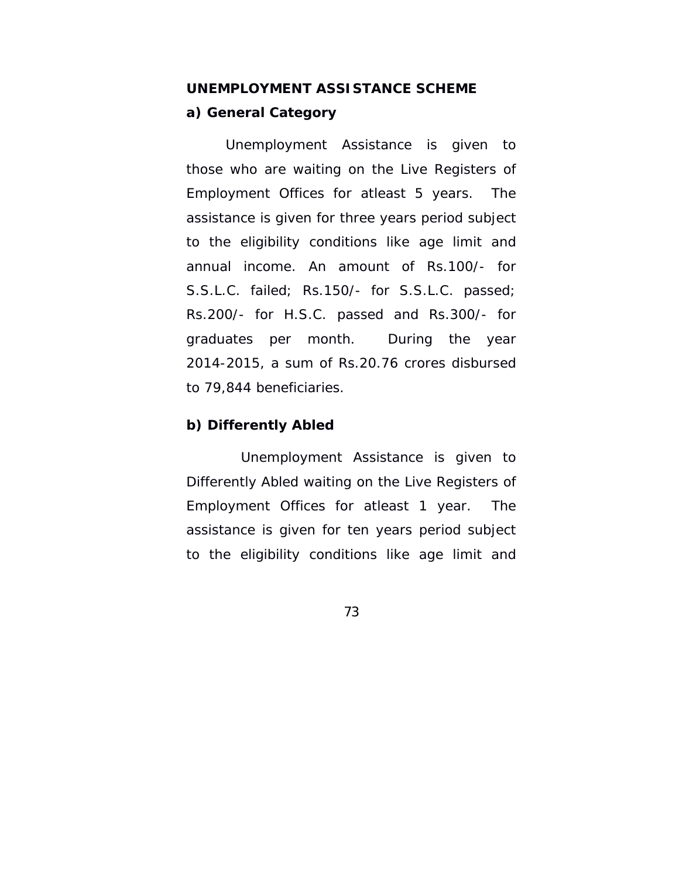# **UNEMPLOYMENT ASSISTANCE SCHEME a) General Category**

 Unemployment Assistance is given to those who are waiting on the Live Registers of Employment Offices for atleast 5 years. The assistance is given for three years period subject to the eligibility conditions like age limit and annual income. An amount of Rs.100/- for S.S.L.C. failed; Rs.150/- for S.S.L.C. passed; Rs.200/- for H.S.C. passed and Rs.300/- for graduates per month. During the year 2014-2015, a sum of Rs.20.76 crores disbursed to 79,844 beneficiaries.

## **b) Differently Abled**

Unemployment Assistance is given to Differently Abled waiting on the Live Registers of Employment Offices for atleast 1 year. The assistance is given for ten years period subject to the eligibility conditions like age limit and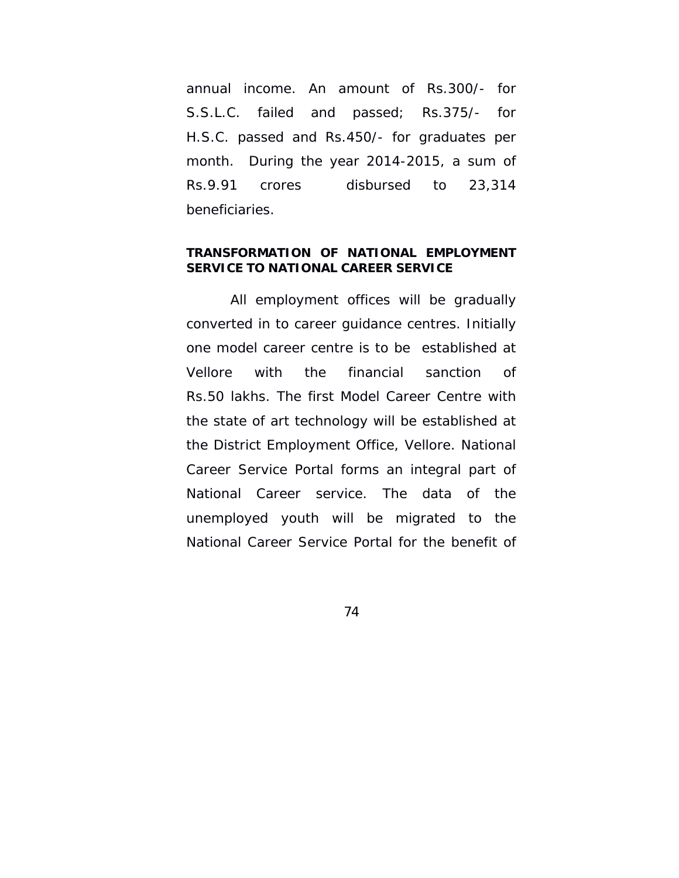annual income. An amount of Rs.300/- for S.S.L.C. failed and passed; Rs.375/- for H.S.C. passed and Rs.450/- for graduates per month. During the year 2014-2015, a sum of Rs.9.91 crores disbursed to 23,314 beneficiaries.

#### **TRANSFORMATION OF NATIONAL EMPLOYMENT SERVICE TO NATIONAL CAREER SERVICE**

 All employment offices will be gradually converted in to career guidance centres. Initially one model career centre is to be established at Vellore with the financial sanction of Rs.50 lakhs. The first Model Career Centre with the state of art technology will be established at the District Employment Office, Vellore. National Career Service Portal forms an integral part of National Career service. The data of the unemployed youth will be migrated to the National Career Service Portal for the benefit of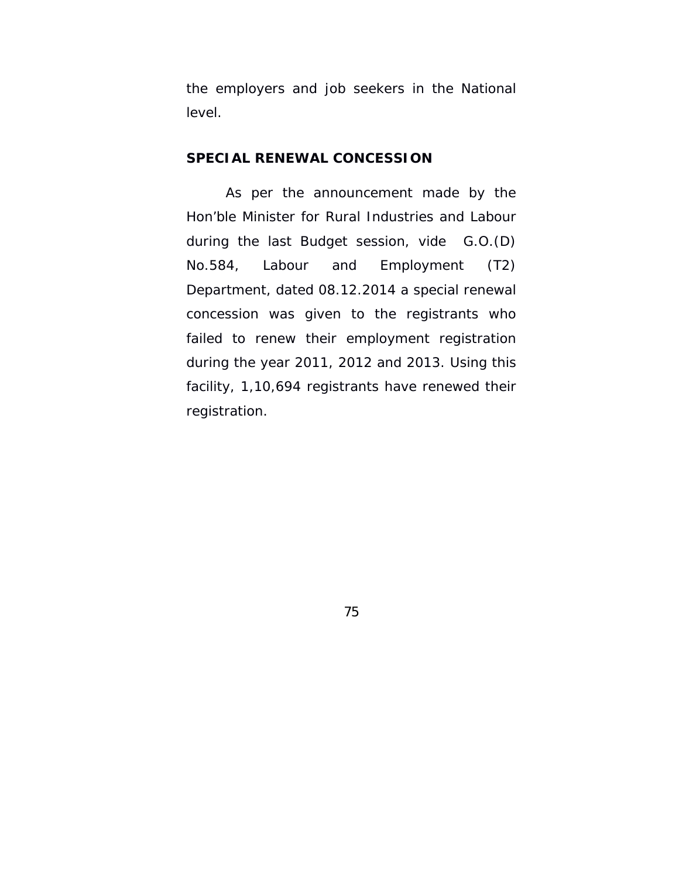the employers and job seekers in the National level.

#### **SPECIAL RENEWAL CONCESSION**

 As per the announcement made by the Hon'ble Minister for Rural Industries and Labour during the last Budget session, vide G.O.(D) No.584, Labour and Employment (T2) Department, dated 08.12.2014 a special renewal concession was given to the registrants who failed to renew their employment registration during the year 2011, 2012 and 2013. Using this facility, 1,10,694 registrants have renewed their registration.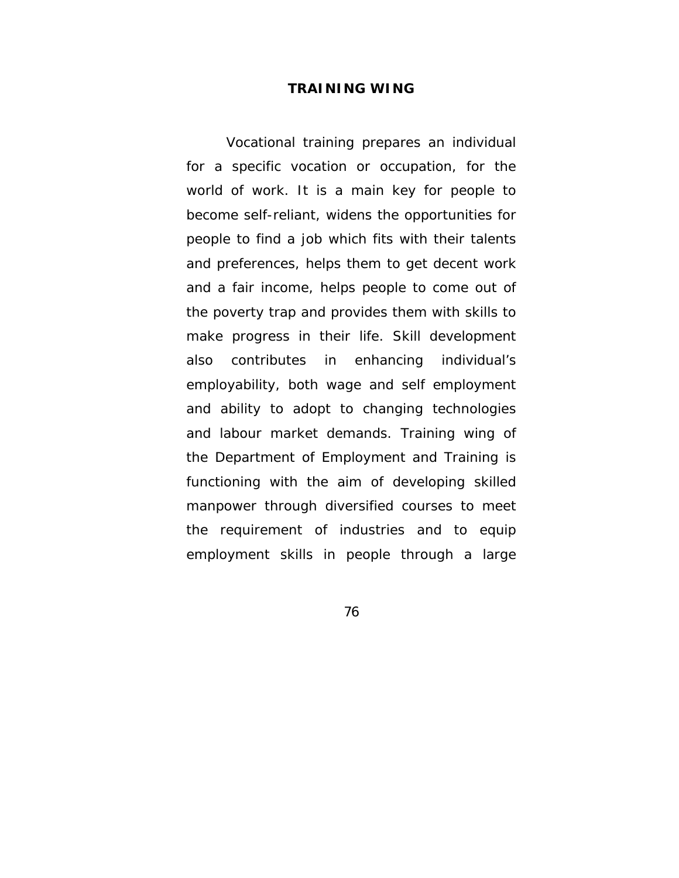#### **TRAINING WING**

Vocational training prepares an individual for a specific vocation or occupation, for the world of work. It is a main key for people to become self-reliant, widens the opportunities for people to find a job which fits with their talents and preferences, helps them to get decent work and a fair income, helps people to come out of the poverty trap and provides them with skills to make progress in their life. Skill development also contributes in enhancing individual's employability, both wage and self employment and ability to adopt to changing technologies and labour market demands. Training wing of the Department of Employment and Training is functioning with the aim of developing skilled manpower through diversified courses to meet the requirement of industries and to equip employment skills in people through a large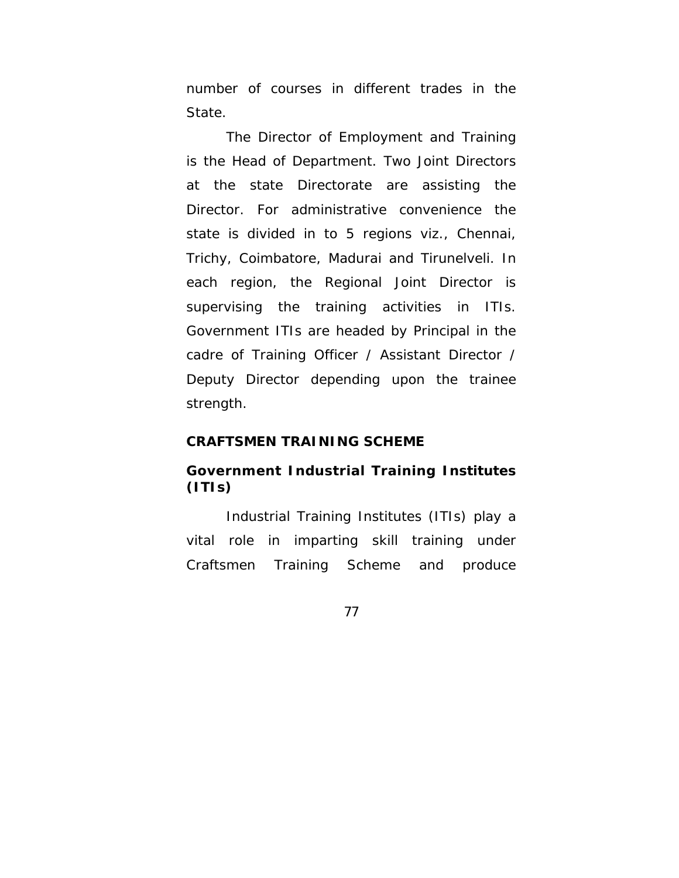number of courses in different trades in the State.

The Director of Employment and Training is the Head of Department. Two Joint Directors at the state Directorate are assisting the Director. For administrative convenience the state is divided in to 5 regions viz., Chennai, Trichy, Coimbatore, Madurai and Tirunelveli. In each region, the Regional Joint Director is supervising the training activities in ITIs. Government ITIs are headed by Principal in the cadre of Training Officer / Assistant Director / Deputy Director depending upon the trainee strength.

#### **CRAFTSMEN TRAINING SCHEME**

## **Government Industrial Training Institutes (ITIs)**

Industrial Training Institutes (ITIs) play a vital role in imparting skill training under Craftsmen Training Scheme and produce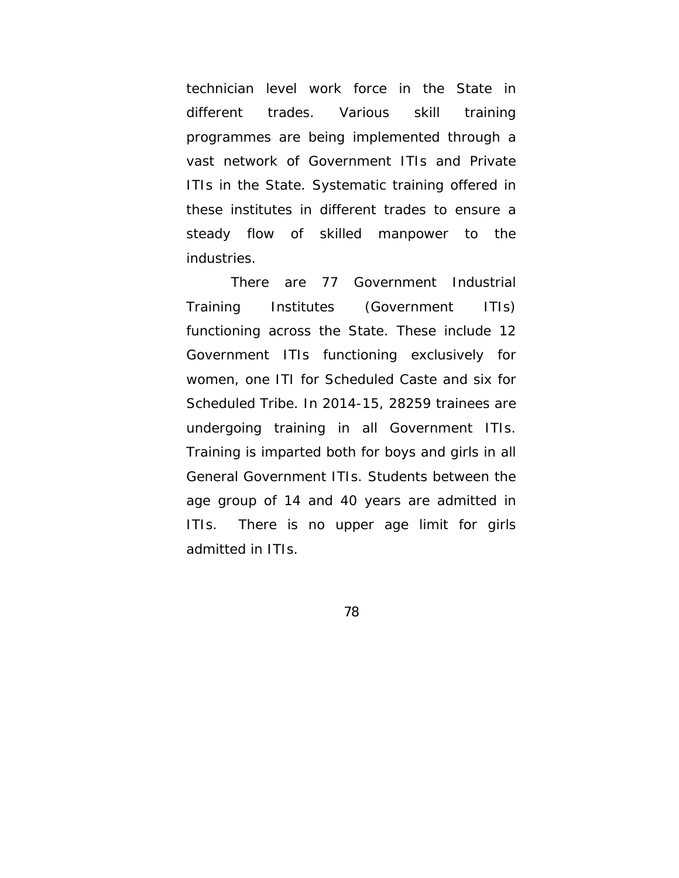technician level work force in the State in different trades. Various skill training programmes are being implemented through a vast network of Government ITIs and Private ITIs in the State. Systematic training offered in these institutes in different trades to ensure a steady flow of skilled manpower to the industries.

 There are 77 Government Industrial Training Institutes (Government ITIs) functioning across the State. These include 12 Government ITIs functioning exclusively for women, one ITI for Scheduled Caste and six for Scheduled Tribe. In 2014-15, 28259 trainees are undergoing training in all Government ITIs. Training is imparted both for boys and girls in all General Government ITIs. Students between the age group of 14 and 40 years are admitted in ITIs. There is no upper age limit for girls admitted in ITIs.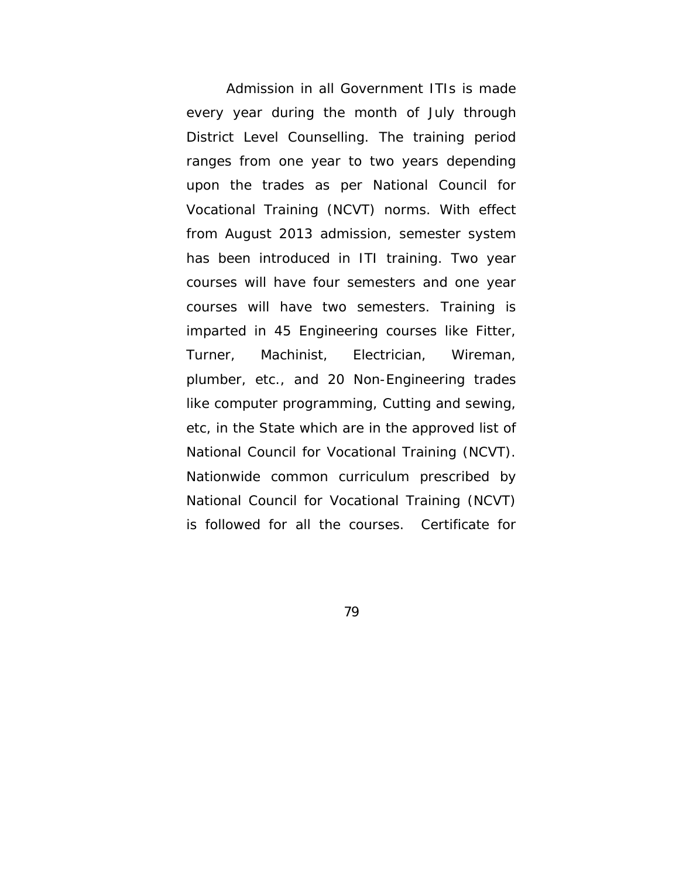Admission in all Government ITIs is made every year during the month of July through District Level Counselling. The training period ranges from one year to two years depending upon the trades as per National Council for Vocational Training (NCVT) norms. With effect from August 2013 admission, semester system has been introduced in ITI training. Two year courses will have four semesters and one year courses will have two semesters. Training is imparted in 45 Engineering courses like Fitter, Turner, Machinist, Electrician, Wireman, plumber, etc., and 20 Non-Engineering trades like computer programming, Cutting and sewing, etc, in the State which are in the approved list of National Council for Vocational Training (NCVT). Nationwide common curriculum prescribed by National Council for Vocational Training (NCVT) is followed for all the courses. Certificate for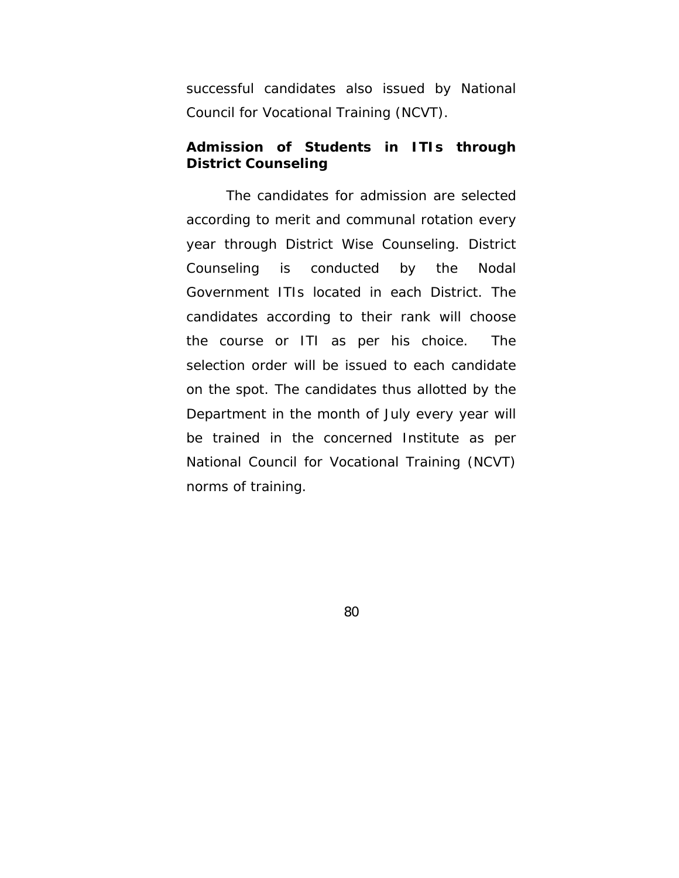successful candidates also issued by National Council for Vocational Training (NCVT).

## **Admission of Students in ITIs through District Counseling**

The candidates for admission are selected according to merit and communal rotation every year through District Wise Counseling. District Counseling is conducted by the Nodal Government ITIs located in each District. The candidates according to their rank will choose the course or ITI as per his choice. The selection order will be issued to each candidate on the spot. The candidates thus allotted by the Department in the month of July every year will be trained in the concerned Institute as per National Council for Vocational Training (NCVT) norms of training.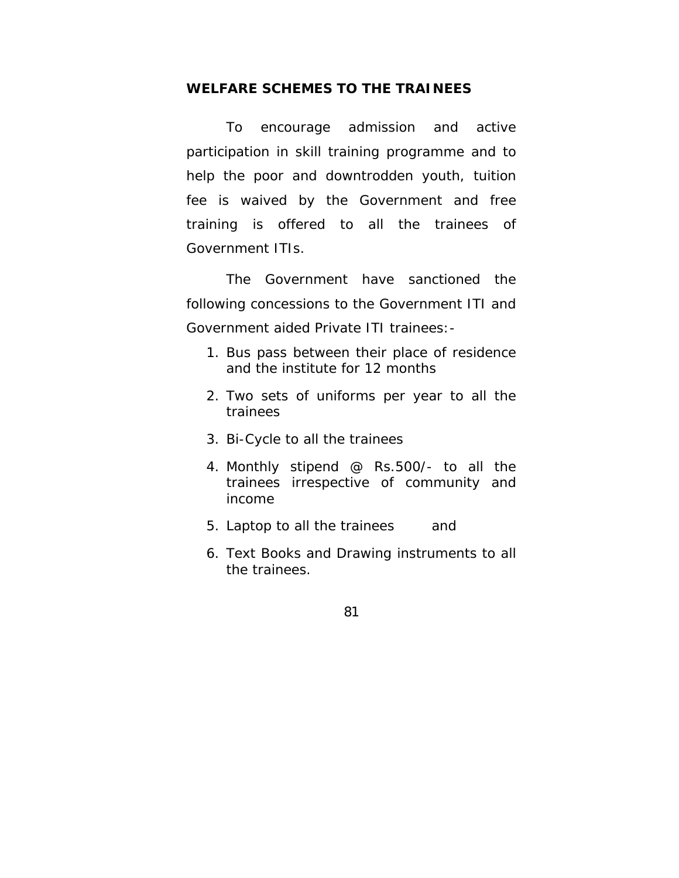#### **WELFARE SCHEMES TO THE TRAINEES**

 To encourage admission and active participation in skill training programme and to help the poor and downtrodden youth, tuition fee is waived by the Government and free training is offered to all the trainees of Government ITIs.

The Government have sanctioned the following concessions to the Government ITI and Government aided Private ITI trainees:-

- 1. Bus pass between their place of residence and the institute for 12 months
- 2. Two sets of uniforms per year to all the trainees
- 3. Bi-Cycle to all the trainees
- 4. Monthly stipend @ Rs.500/- to all the trainees irrespective of community and income
- 5. Laptop to all the trainees and
- 6. Text Books and Drawing instruments to all the trainees.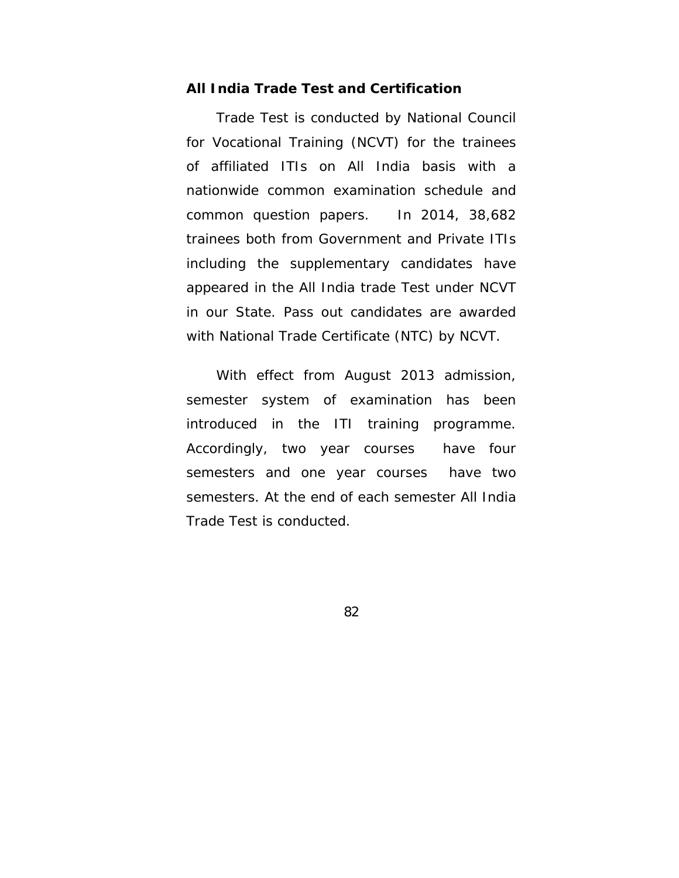#### **All India Trade Test and Certification**

Trade Test is conducted by National Council for Vocational Training (NCVT) for the trainees of affiliated ITIs on All India basis with a nationwide common examination schedule and common question papers. In 2014, 38,682 trainees both from Government and Private ITIs including the supplementary candidates have appeared in the All India trade Test under NCVT in our State. Pass out candidates are awarded with National Trade Certificate (NTC) by NCVT.

 With effect from August 2013 admission, semester system of examination has been introduced in the ITI training programme. Accordingly, two year courses have four semesters and one year courses have two semesters. At the end of each semester All India Trade Test is conducted.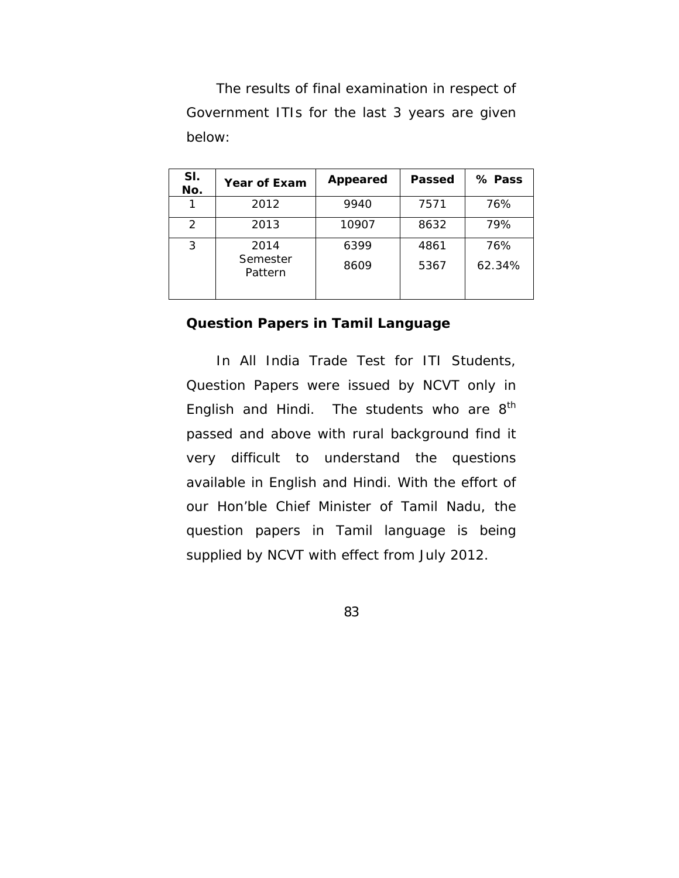The results of final examination in respect of Government ITIs for the last 3 years are given below:

| SI.<br>No.    | <b>Year of Exam</b> | Appeared | Passed | % Pass |
|---------------|---------------------|----------|--------|--------|
|               | 2012                | 9940     | 7571   | 76%    |
| $\mathcal{P}$ | 2013                | 10907    | 8632   | 79%    |
| 3             | 2014                | 6399     | 4861   | 76%    |
|               | Semester<br>Pattern | 8609     | 5367   | 62.34% |

## **Question Papers in Tamil Language**

 In All India Trade Test for ITI Students, Question Papers were issued by NCVT only in English and Hindi. The students who are 8<sup>th</sup> passed and above with rural background find it very difficult to understand the questions available in English and Hindi. With the effort of our Hon'ble Chief Minister of Tamil Nadu, the question papers in Tamil language is being supplied by NCVT with effect from July 2012.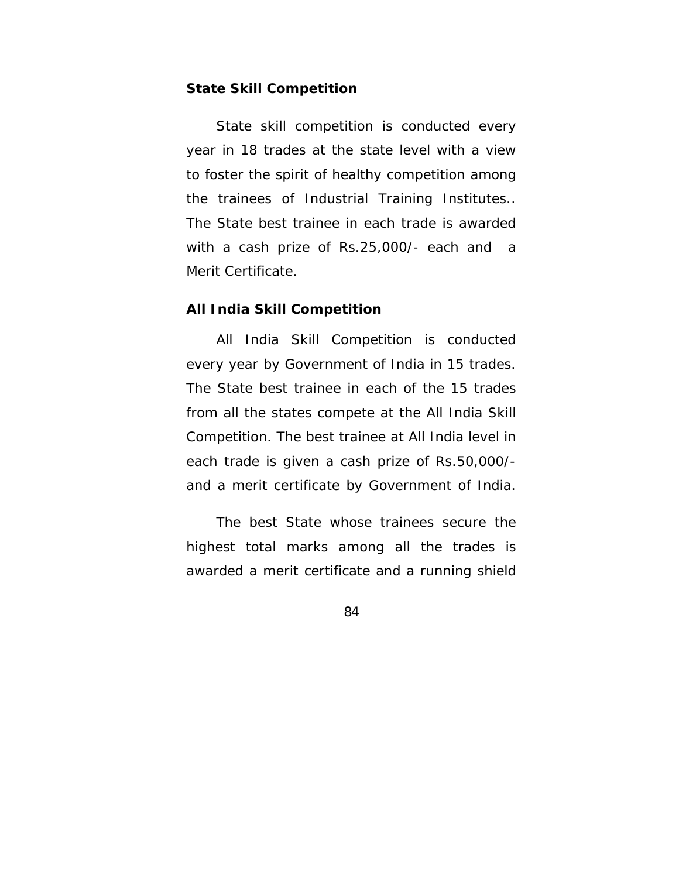#### **State Skill Competition**

State skill competition is conducted every year in 18 trades at the state level with a view to foster the spirit of healthy competition among the trainees of Industrial Training Institutes.. The State best trainee in each trade is awarded with a cash prize of Rs.25,000/- each and a Merit Certificate.

#### **All India Skill Competition**

 All India Skill Competition is conducted every year by Government of India in 15 trades. The State best trainee in each of the 15 trades from all the states compete at the All India Skill Competition. The best trainee at All India level in each trade is given a cash prize of Rs.50,000/ and a merit certificate by Government of India.

 The best State whose trainees secure the highest total marks among all the trades is awarded a merit certificate and a running shield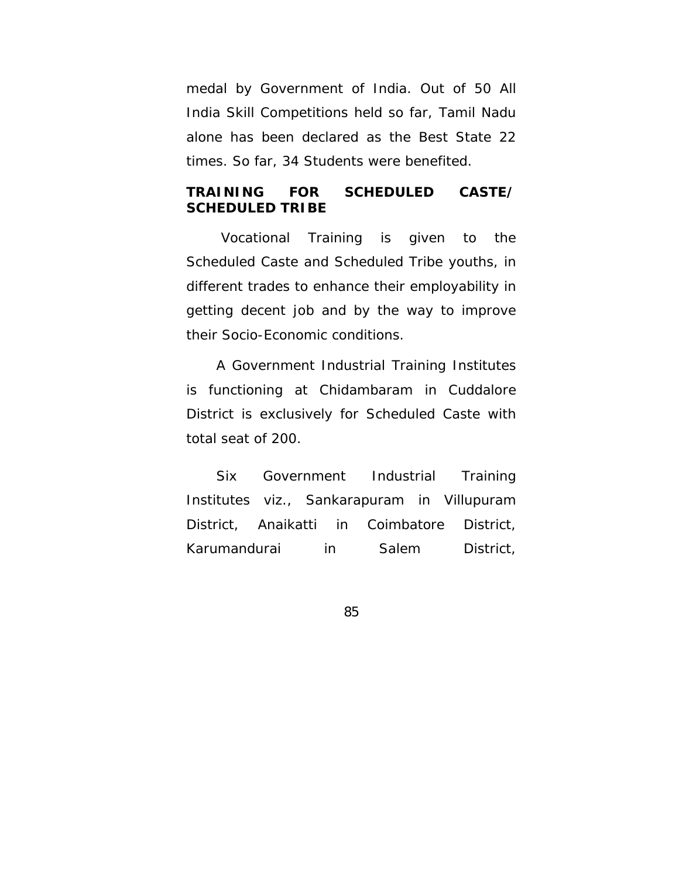medal by Government of India. Out of 50 All India Skill Competitions held so far, Tamil Nadu alone has been declared as the Best State 22 times. So far, 34 Students were benefited.

## **TRAINING FOR SCHEDULED CASTE/ SCHEDULED TRIBE**

 Vocational Training is given to the Scheduled Caste and Scheduled Tribe youths, in different trades to enhance their employability in getting decent job and by the way to improve their Socio-Economic conditions.

 A Government Industrial Training Institutes is functioning at Chidambaram in Cuddalore District is exclusively for Scheduled Caste with total seat of 200.

 Six Government Industrial Training Institutes viz., Sankarapuram in Villupuram District, Anaikatti in Coimbatore District, Karumandurai in Salem District,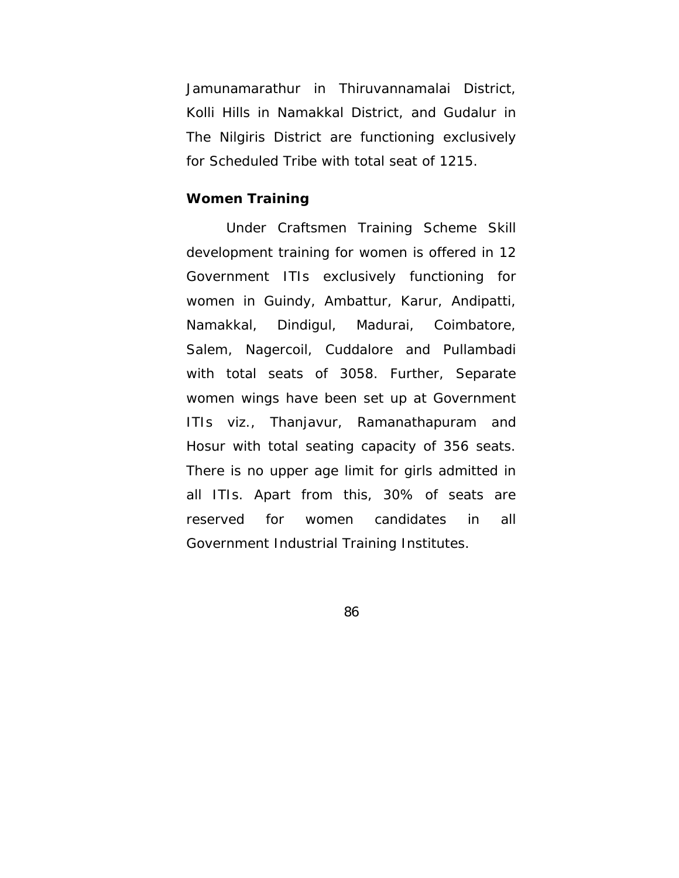Jamunamarathur in Thiruvannamalai District, Kolli Hills in Namakkal District, and Gudalur in The Nilgiris District are functioning exclusively for Scheduled Tribe with total seat of 1215.

#### **Women Training**

Under Craftsmen Training Scheme Skill development training for women is offered in 12 Government ITIs exclusively functioning for women in Guindy, Ambattur, Karur, Andipatti, Namakkal, Dindigul, Madurai, Coimbatore, Salem, Nagercoil, Cuddalore and Pullambadi with total seats of 3058. Further, Separate women wings have been set up at Government ITIs viz., Thanjavur, Ramanathapuram and Hosur with total seating capacity of 356 seats. There is no upper age limit for girls admitted in all ITIs. Apart from this, 30% of seats are reserved for women candidates in all Government Industrial Training Institutes.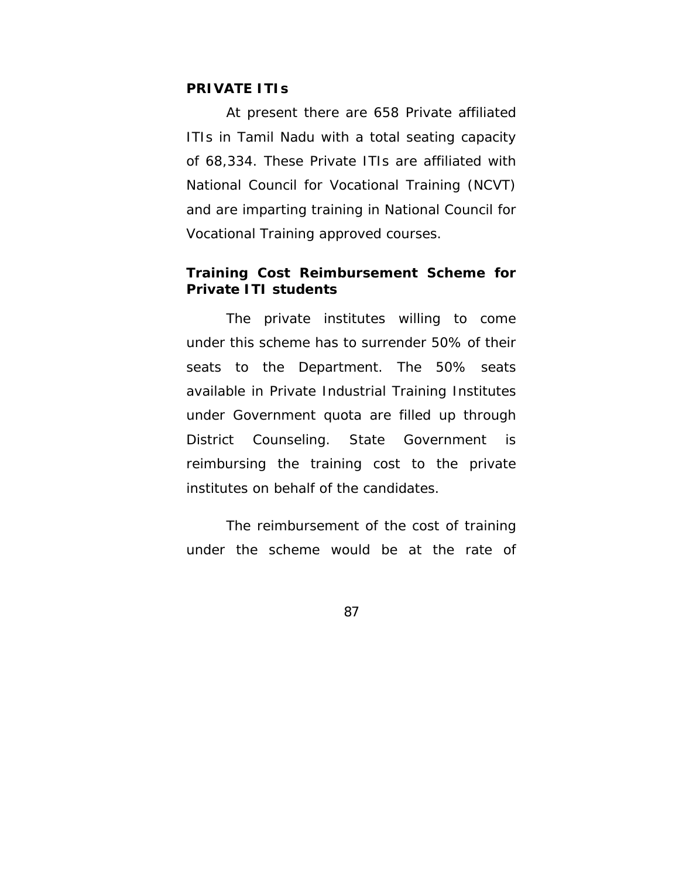### **PRIVATE ITIs**

At present there are 658 Private affiliated ITIs in Tamil Nadu with a total seating capacity of 68,334. These Private ITIs are affiliated with National Council for Vocational Training (NCVT) and are imparting training in National Council for Vocational Training approved courses.

### **Training Cost Reimbursement Scheme for Private ITI students**

The private institutes willing to come under this scheme has to surrender 50% of their seats to the Department. The 50% seats available in Private Industrial Training Institutes under Government quota are filled up through District Counseling. State Government is reimbursing the training cost to the private institutes on behalf of the candidates.

The reimbursement of the cost of training under the scheme would be at the rate of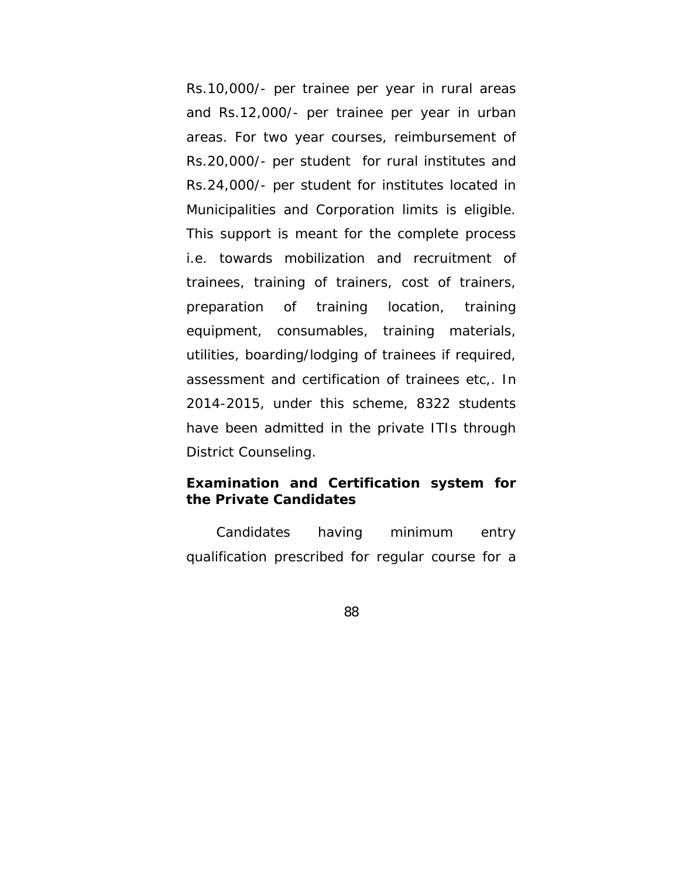Rs.10,000/- per trainee per year in rural areas and Rs.12,000/- per trainee per year in urban areas. For two year courses, reimbursement of Rs.20,000/- per student for rural institutes and Rs.24,000/- per student for institutes located in Municipalities and Corporation limits is eligible. This support is meant for the complete process i.e. towards mobilization and recruitment of trainees, training of trainers, cost of trainers, preparation of training location, training equipment, consumables, training materials, utilities, boarding/lodging of trainees if required, assessment and certification of trainees etc,. In 2014-2015, under this scheme, 8322 students have been admitted in the private ITIs through District Counseling.

## **Examination and Certification system for the Private Candidates**

 Candidates having minimum entry qualification prescribed for regular course for a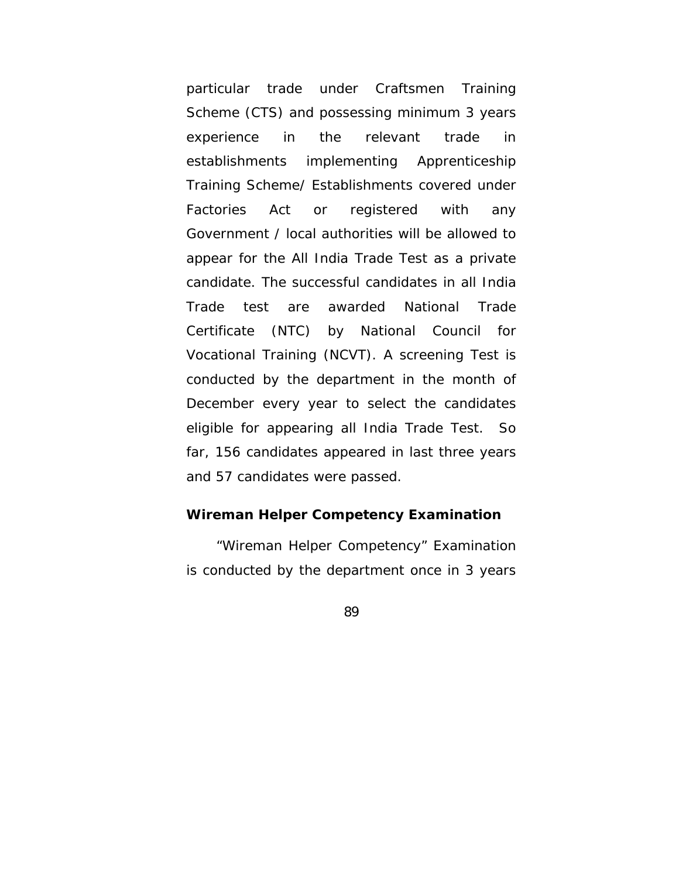particular trade under Craftsmen Training Scheme (CTS) and possessing minimum 3 years experience in the relevant trade in establishments implementing Apprenticeship Training Scheme/ Establishments covered under Factories Act or registered with any Government / local authorities will be allowed to appear for the All India Trade Test as a private candidate. The successful candidates in all India Trade test are awarded National Trade Certificate (NTC) by National Council for Vocational Training (NCVT). A screening Test is conducted by the department in the month of December every year to select the candidates eligible for appearing all India Trade Test. So far, 156 candidates appeared in last three years and 57 candidates were passed.

#### **Wireman Helper Competency Examination**

"Wireman Helper Competency" Examination is conducted by the department once in 3 years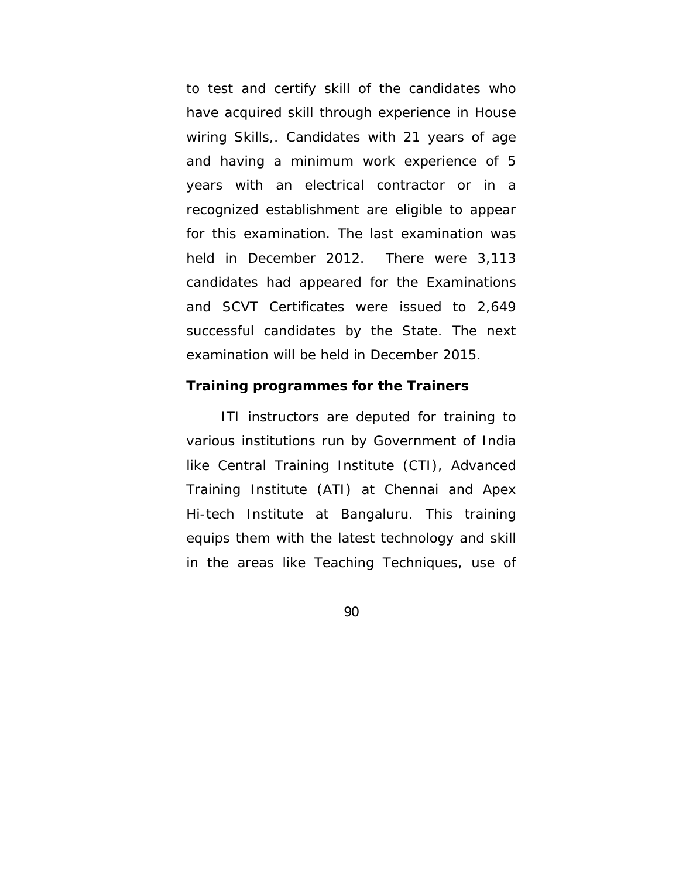to test and certify skill of the candidates who have acquired skill through experience in House wiring Skills,. Candidates with 21 years of age and having a minimum work experience of 5 years with an electrical contractor or in a recognized establishment are eligible to appear for this examination. The last examination was held in December 2012. There were 3,113 candidates had appeared for the Examinations and SCVT Certificates were issued to 2,649 successful candidates by the State. The next examination will be held in December 2015.

#### **Training programmes for the Trainers**

 ITI instructors are deputed for training to various institutions run by Government of India like Central Training Institute (CTI), Advanced Training Institute (ATI) at Chennai and Apex Hi-tech Institute at Bangaluru. This training equips them with the latest technology and skill in the areas like Teaching Techniques, use of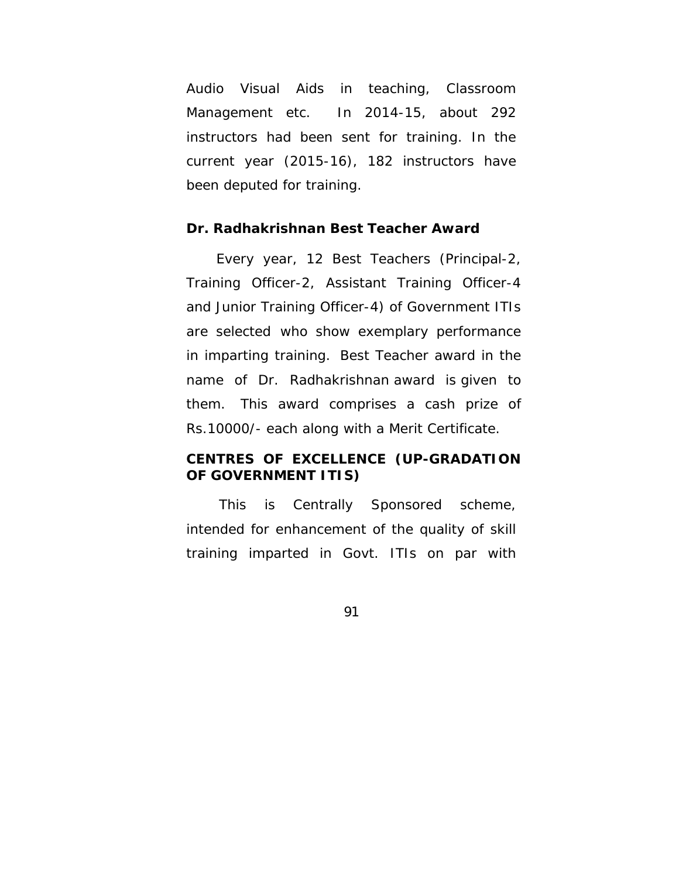Audio Visual Aids in teaching, Classroom Management etc. In 2014-15, about 292 instructors had been sent for training. In the current year (2015-16), 182 instructors have been deputed for training.

#### **Dr. Radhakrishnan Best Teacher Award**

 Every year, 12 Best Teachers (Principal-2, Training Officer-2, Assistant Training Officer-4 and Junior Training Officer-4) of Government ITIs are selected who show exemplary performance in imparting training. Best Teacher award in the name of Dr. Radhakrishnan award is given to them. This award comprises a cash prize of Rs.10000/- each along with a Merit Certificate.

## **CENTRES OF EXCELLENCE (UP-GRADATION OF GOVERNMENT ITIS)**

 This is Centrally Sponsored scheme, intended for enhancement of the quality of skill training imparted in Govt. ITIs on par with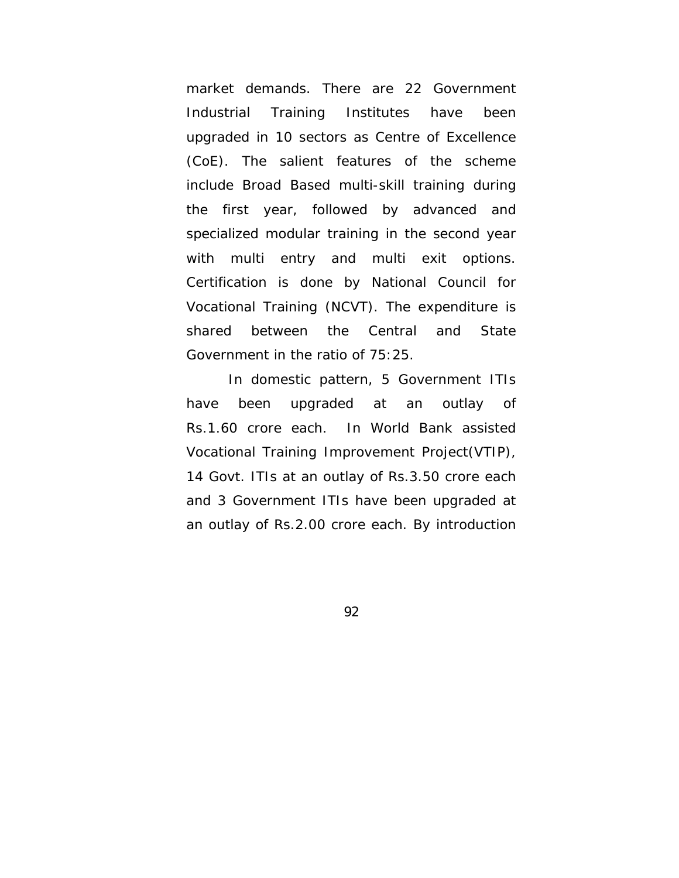market demands. There are 22 Government Industrial Training Institutes have been upgraded in 10 sectors as Centre of Excellence (CoE). The salient features of the scheme include Broad Based multi-skill training during the first year, followed by advanced and specialized modular training in the second year with multi entry and multi exit options. Certification is done by National Council for Vocational Training (NCVT). The expenditure is shared between the Central and State Government in the ratio of 75:25.

 In domestic pattern, 5 Government ITIs have been upgraded at an outlay of Rs.1.60 crore each. In World Bank assisted Vocational Training Improvement Project(VTIP), 14 Govt. ITIs at an outlay of Rs.3.50 crore each and 3 Government ITIs have been upgraded at an outlay of Rs.2.00 crore each. By introduction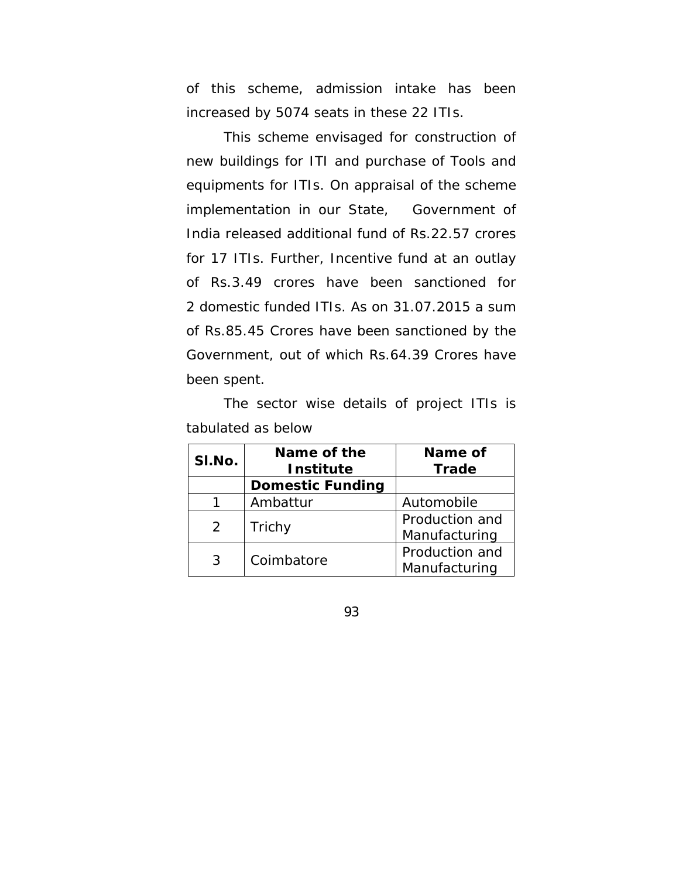of this scheme, admission intake has been increased by 5074 seats in these 22 ITIs.

 This scheme envisaged for construction of new buildings for ITI and purchase of Tools and equipments for ITIs. On appraisal of the scheme implementation in our State, Government of India released additional fund of Rs.22.57 crores for 17 ITIs. Further, Incentive fund at an outlay of Rs.3.49 crores have been sanctioned for 2 domestic funded ITIs. As on 31.07.2015 a sum of Rs.85.45 Crores have been sanctioned by the Government, out of which Rs.64.39 Crores have been spent.

 The sector wise details of project ITIs is tabulated as below

| SI.No. | Name of the<br><b>Institute</b> | Name of<br><b>Trade</b> |  |
|--------|---------------------------------|-------------------------|--|
|        | <b>Domestic Funding</b>         |                         |  |
|        | Ambattur                        | Automobile              |  |
| 2      | Trichy                          | Production and          |  |
|        |                                 | Manufacturing           |  |
| 3      | Coimbatore                      | Production and          |  |
|        |                                 | Manufacturing           |  |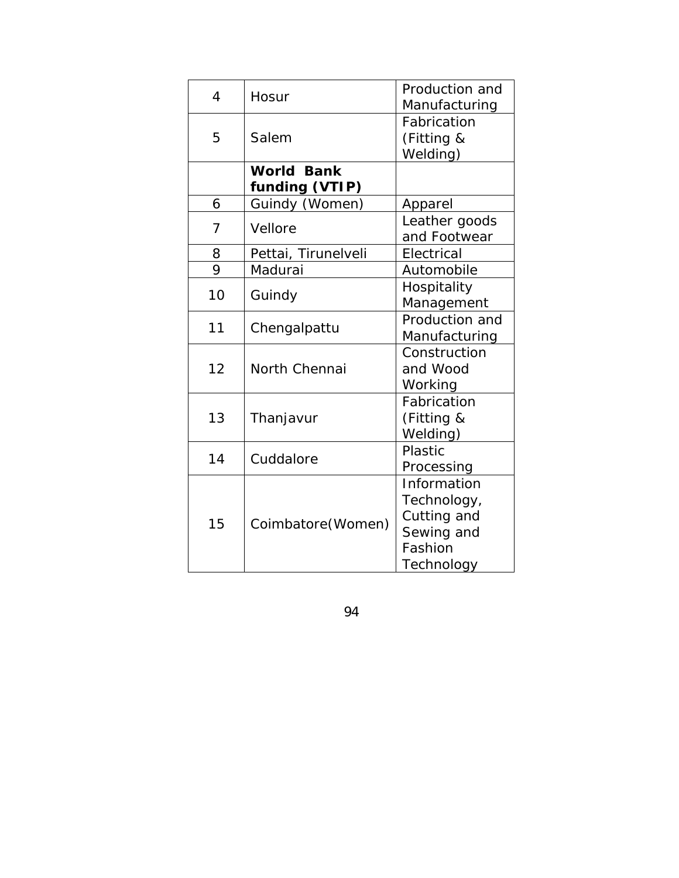| $\overline{4}$ | Hosur               | Production and<br>Manufacturing |  |
|----------------|---------------------|---------------------------------|--|
| 5              |                     | Fabrication                     |  |
|                | Salem               | (Fitting &                      |  |
|                |                     | Welding)                        |  |
|                | <b>World Bank</b>   |                                 |  |
|                | funding (VTIP)      |                                 |  |
| 6              | Guindy (Women)      | Apparel                         |  |
| $\overline{7}$ | Vellore             | Leather goods                   |  |
|                |                     | and Footwear                    |  |
| 8              | Pettai, Tirunelveli | Electrical                      |  |
| 9              | Madurai             | Automobile                      |  |
| 10             |                     | Hospitality                     |  |
|                | Guindy              | Management                      |  |
| 11             | Chengalpattu        | Production and                  |  |
|                |                     | Manufacturing                   |  |
|                | North Chennai       | Construction                    |  |
| 12             |                     | and Wood                        |  |
|                |                     | Working                         |  |
|                |                     | Fabrication                     |  |
| 13             | Thanjavur           | (Fitting &                      |  |
|                |                     | Welding)                        |  |
| 14             | Cuddalore           | Plastic                         |  |
|                |                     | Processing                      |  |
|                | Coimbatore (Women)  | Information                     |  |
|                |                     | Technology,                     |  |
| 15             |                     | Cutting and                     |  |
|                |                     | Sewing and                      |  |
|                |                     | Fashion                         |  |
|                |                     | Technology                      |  |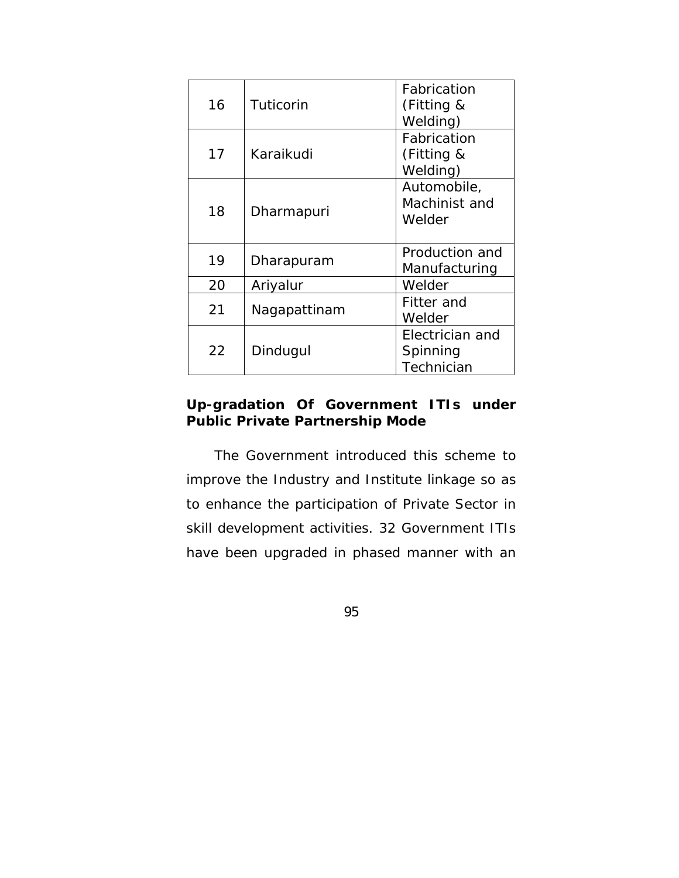| 16 | Tuticorin    | Fabrication<br>(Fitting &<br>Welding)     |  |
|----|--------------|-------------------------------------------|--|
| 17 | Karaikudi    | Fabrication<br>(Fitting &<br>Welding)     |  |
| 18 | Dharmapuri   | Automobile,<br>Machinist and<br>Welder    |  |
| 19 | Dharapuram   | Production and<br>Manufacturing           |  |
| 20 | Ariyalur     | Welder                                    |  |
| 21 | Nagapattinam | Fitter and<br>Welder                      |  |
| 22 | Dindugul     | Electrician and<br>Spinning<br>Technician |  |

## **Up-gradation Of Government ITIs under Public Private Partnership Mode**

 The Government introduced this scheme to improve the Industry and Institute linkage so as to enhance the participation of Private Sector in skill development activities. 32 Government ITIs have been upgraded in phased manner with an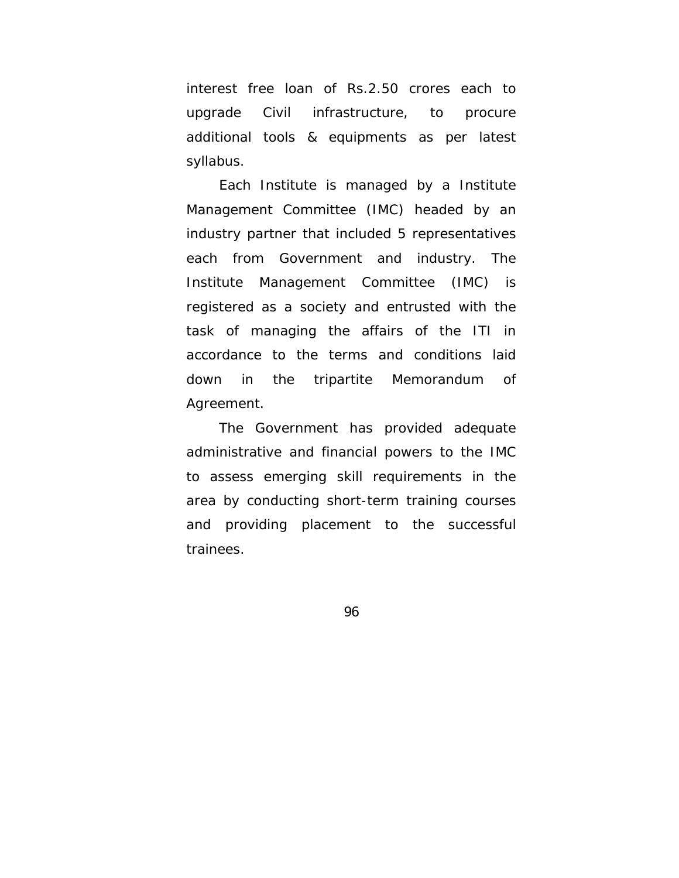interest free loan of Rs.2.50 crores each to upgrade Civil infrastructure, to procure additional tools & equipments as per latest syllabus.

 Each Institute is managed by a Institute Management Committee (IMC) headed by an industry partner that included 5 representatives each from Government and industry. The Institute Management Committee (IMC) is registered as a society and entrusted with the task of managing the affairs of the ITI in accordance to the terms and conditions laid down in the tripartite Memorandum of Agreement.

 The Government has provided adequate administrative and financial powers to the IMC to assess emerging skill requirements in the area by conducting short-term training courses and providing placement to the successful trainees.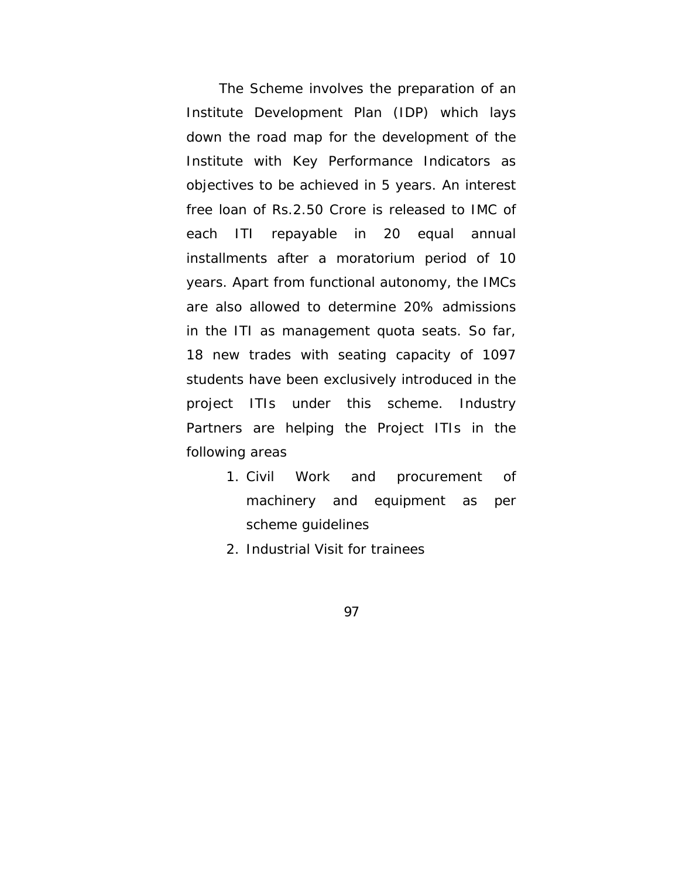The Scheme involves the preparation of an Institute Development Plan (IDP) which lays down the road map for the development of the Institute with Key Performance Indicators as objectives to be achieved in 5 years. An interest free loan of Rs.2.50 Crore is released to IMC of each ITI repayable in 20 equal annual installments after a moratorium period of 10 years. Apart from functional autonomy, the IMCs are also allowed to determine 20% admissions in the ITI as management quota seats. So far, 18 new trades with seating capacity of 1097 students have been exclusively introduced in the project ITIs under this scheme. Industry Partners are helping the Project ITIs in the following areas

- 1. Civil Work and procurement of machinery and equipment as per scheme guidelines
- 2. Industrial Visit for trainees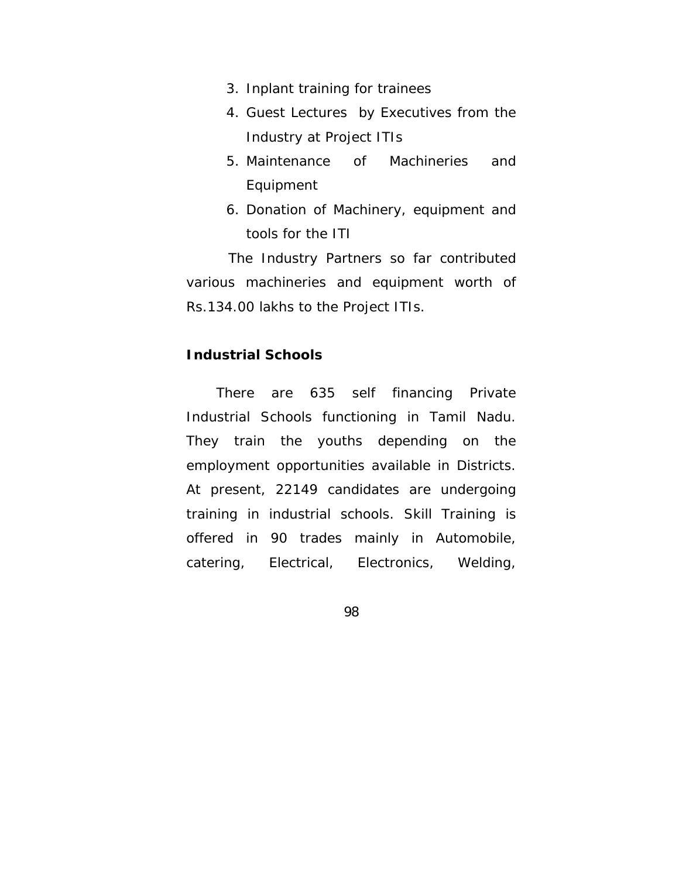- 3. Inplant training for trainees
- 4. Guest Lectures by Executives from the Industry at Project ITIs
- 5. Maintenance of Machineries and Equipment
- 6. Donation of Machinery, equipment and tools for the ITI

 The Industry Partners so far contributed various machineries and equipment worth of Rs.134.00 lakhs to the Project ITIs.

## **Industrial Schools**

 There are 635 self financing Private Industrial Schools functioning in Tamil Nadu. They train the youths depending on the employment opportunities available in Districts. At present, 22149 candidates are undergoing training in industrial schools. Skill Training is offered in 90 trades mainly in Automobile, catering, Electrical, Electronics, Welding,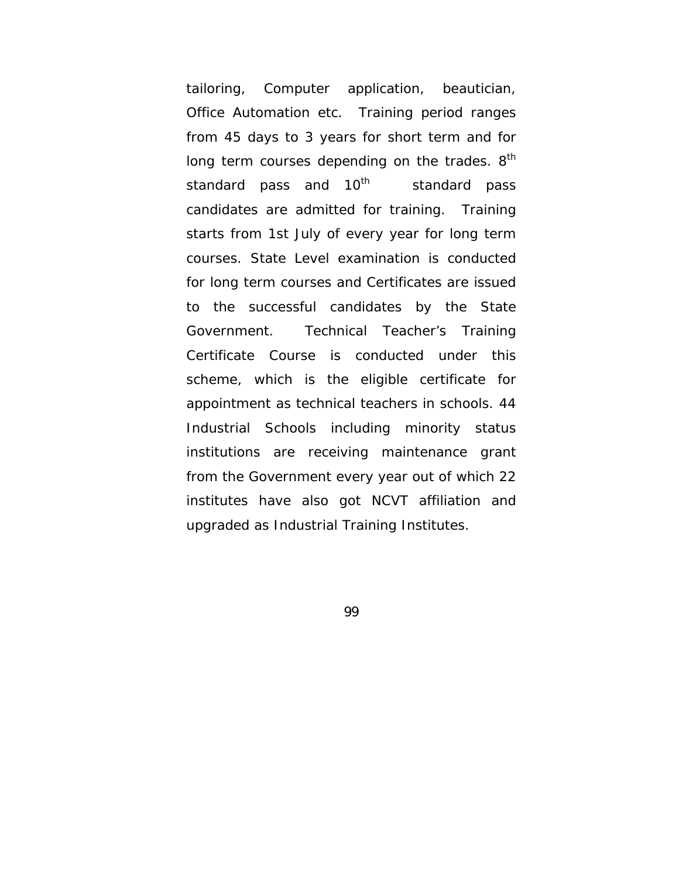tailoring, Computer application, beautician, Office Automation etc. Training period ranges from 45 days to 3 years for short term and for long term courses depending on the trades. 8<sup>th</sup> standard pass and 10<sup>th</sup> standard pass candidates are admitted for training. Training starts from 1st July of every year for long term courses. State Level examination is conducted for long term courses and Certificates are issued to the successful candidates by the State Government. Technical Teacher's Training Certificate Course is conducted under this scheme, which is the eligible certificate for appointment as technical teachers in schools. 44 Industrial Schools including minority status institutions are receiving maintenance grant from the Government every year out of which 22 institutes have also got NCVT affiliation and upgraded as Industrial Training Institutes.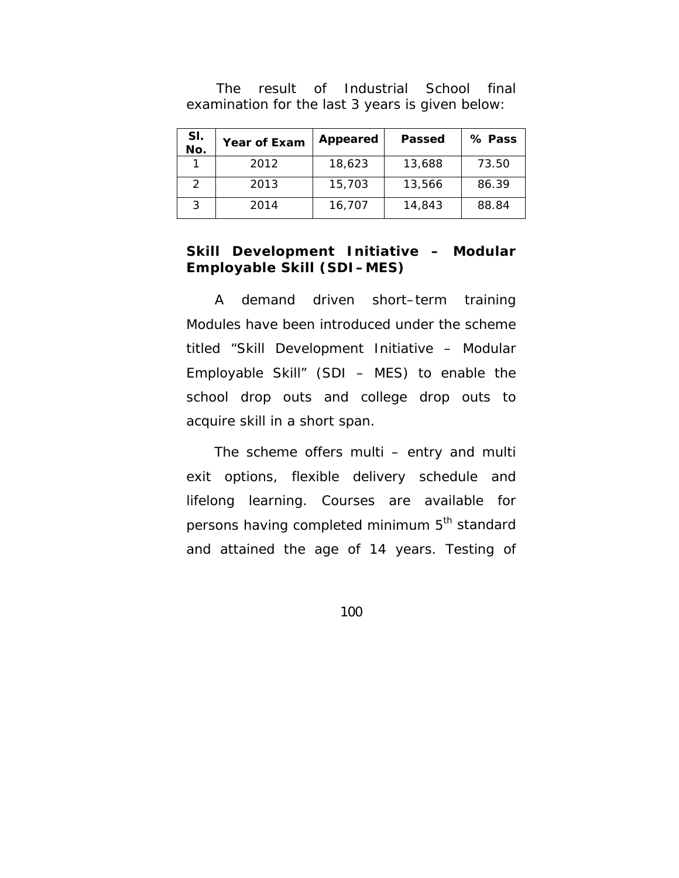| SI.<br>No. | <b>Year of Exam</b> | Appeared | Passed | % Pass |
|------------|---------------------|----------|--------|--------|
|            | 2012                | 18,623   | 13,688 | 73.50  |
| 2          | 2013                | 15,703   | 13,566 | 86.39  |
| 3          | 2014                | 16,707   | 14,843 | 88.84  |

 The result of Industrial School final examination for the last 3 years is given below:

## **Skill Development Initiative – Modular Employable Skill (SDI–MES)**

 A demand driven short–term training Modules have been introduced under the scheme titled "Skill Development Initiative – Modular Employable Skill" (SDI – MES) to enable the school drop outs and college drop outs to acquire skill in a short span.

 The scheme offers multi – entry and multi exit options, flexible delivery schedule and lifelong learning. Courses are available for persons having completed minimum 5<sup>th</sup> standard and attained the age of 14 years. Testing of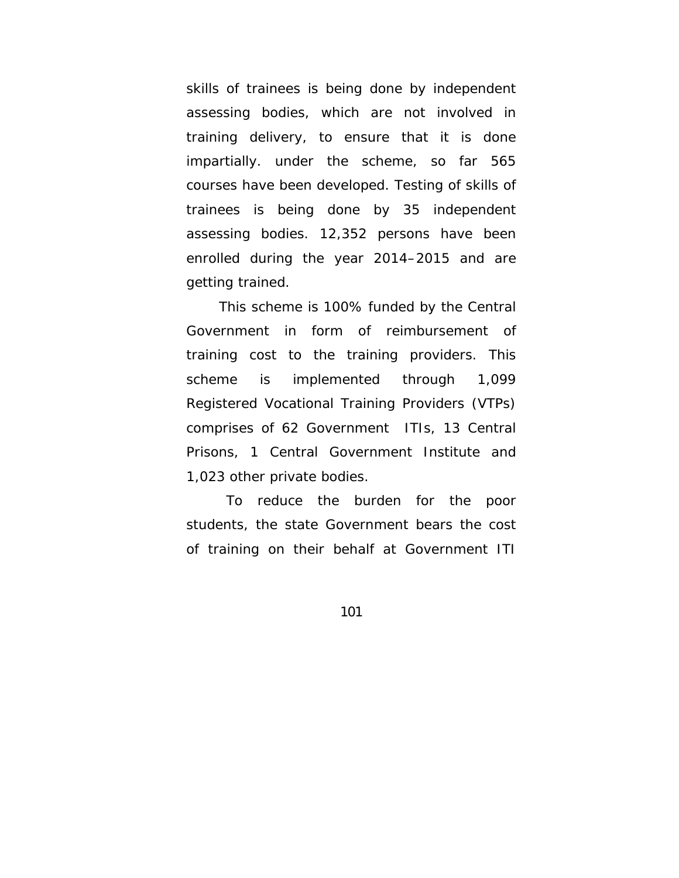skills of trainees is being done by independent assessing bodies, which are not involved in training delivery, to ensure that it is done impartially. under the scheme, so far 565 courses have been developed. Testing of skills of trainees is being done by 35 independent assessing bodies. 12,352 persons have been enrolled during the year 2014–2015 and are getting trained.

 This scheme is 100% funded by the Central Government in form of reimbursement of training cost to the training providers. This scheme is implemented through 1,099 Registered Vocational Training Providers (VTPs) comprises of 62 Government ITIs, 13 Central Prisons, 1 Central Government Institute and 1,023 other private bodies.

 To reduce the burden for the poor students, the state Government bears the cost of training on their behalf at Government ITI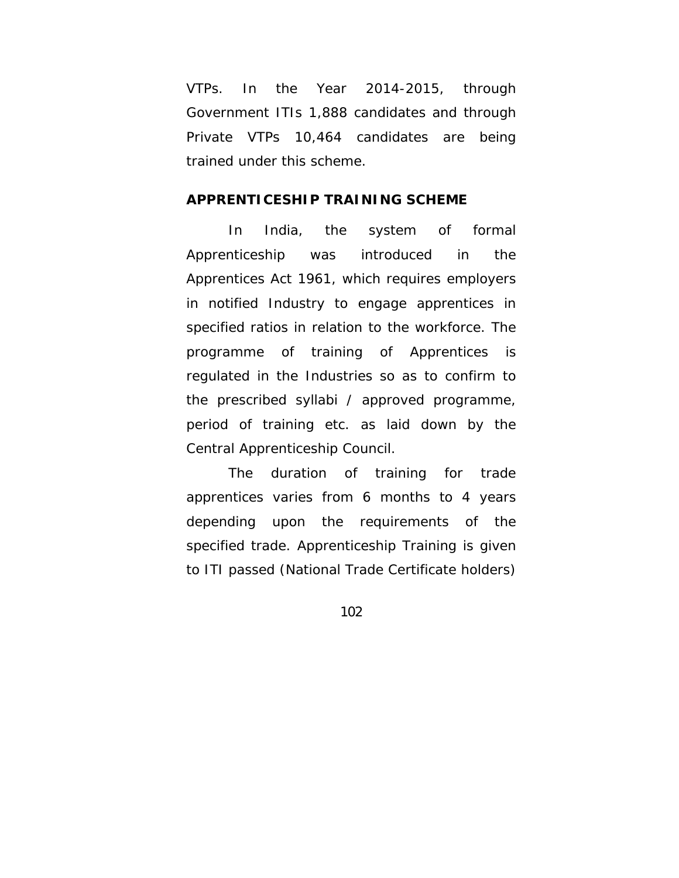VTPs. In the Year 2014-2015, through Government ITIs 1,888 candidates and through Private VTPs 10,464 candidates are being trained under this scheme.

#### **APPRENTICESHIP TRAINING SCHEME**

 In India, the system of formal Apprenticeship was introduced in the Apprentices Act 1961, which requires employers in notified Industry to engage apprentices in specified ratios in relation to the workforce. The programme of training of Apprentices is regulated in the Industries so as to confirm to the prescribed syllabi / approved programme, period of training etc. as laid down by the Central Apprenticeship Council.

 The duration of training for trade apprentices varies from 6 months to 4 years depending upon the requirements of the specified trade. Apprenticeship Training is given to ITI passed (National Trade Certificate holders)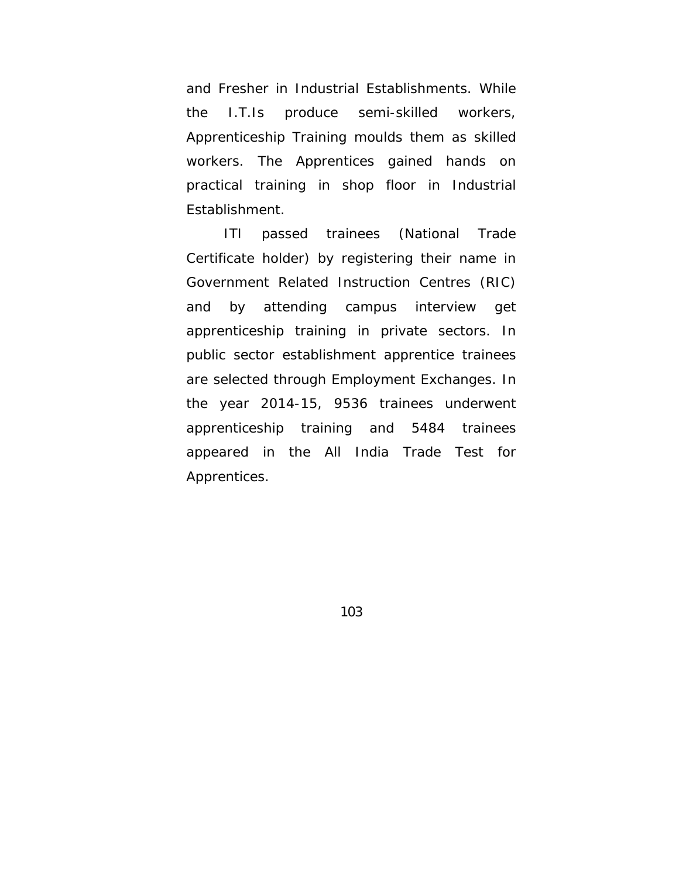and Fresher in Industrial Establishments. While the I.T.Is produce semi-skilled workers, Apprenticeship Training moulds them as skilled workers. The Apprentices gained hands on practical training in shop floor in Industrial Establishment.

 ITI passed trainees (National Trade Certificate holder) by registering their name in Government Related Instruction Centres (RIC) and by attending campus interview get apprenticeship training in private sectors. In public sector establishment apprentice trainees are selected through Employment Exchanges. In the year 2014-15, 9536 trainees underwent apprenticeship training and 5484 trainees appeared in the All India Trade Test for Apprentices.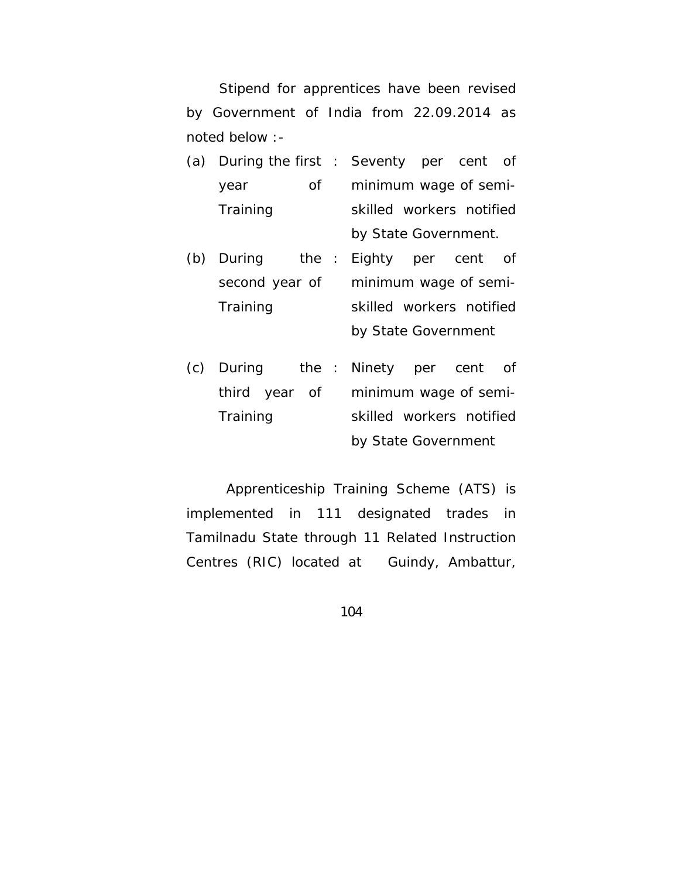Stipend for apprentices have been revised by Government of India from 22.09.2014 as noted below :-

- (a) During the first year of **Training** Seventy per cent of minimum wage of semiskilled workers notified by State Government.
- (b) During the second year of **Training** Eighty per cent of minimum wage of semiskilled workers notified by State Government
- (c) During the third year of **Training** Ninety per cent of minimum wage of semiskilled workers notified by State Government

 Apprenticeship Training Scheme (ATS) is implemented in 111 designated trades in Tamilnadu State through 11 Related Instruction Centres (RIC) located at Guindy, Ambattur,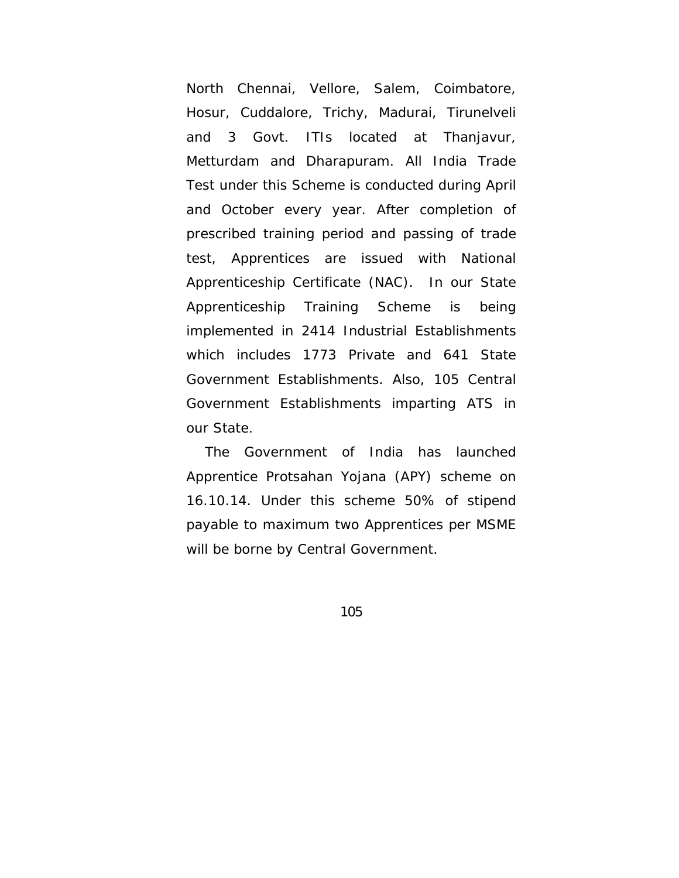North Chennai, Vellore, Salem, Coimbatore, Hosur, Cuddalore, Trichy, Madurai, Tirunelveli and 3 Govt. ITIs located at Thanjavur, Metturdam and Dharapuram. All India Trade Test under this Scheme is conducted during April and October every year. After completion of prescribed training period and passing of trade test, Apprentices are issued with National Apprenticeship Certificate (NAC). In our State Apprenticeship Training Scheme is being implemented in 2414 Industrial Establishments which includes 1773 Private and 641 State Government Establishments. Also, 105 Central Government Establishments imparting ATS in our State.

 The Government of India has launched Apprentice Protsahan Yojana (APY) scheme on 16.10.14. Under this scheme 50% of stipend payable to maximum two Apprentices per MSME will be borne by Central Government.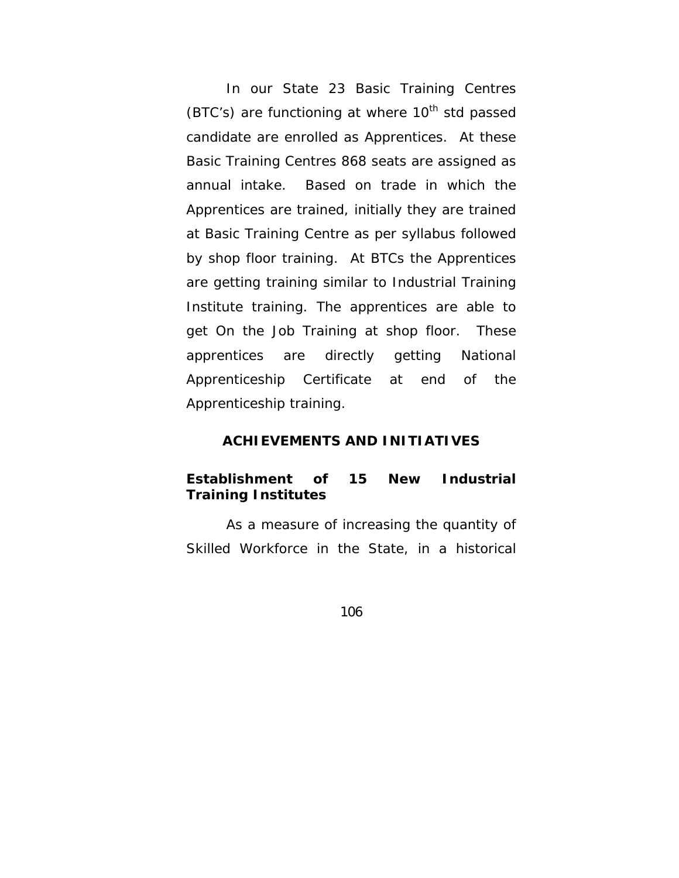In our State 23 Basic Training Centres (BTC's) are functioning at where  $10^{th}$  std passed candidate are enrolled as Apprentices. At these Basic Training Centres 868 seats are assigned as annual intake. Based on trade in which the Apprentices are trained, initially they are trained at Basic Training Centre as per syllabus followed by shop floor training. At BTCs the Apprentices are getting training similar to Industrial Training Institute training. The apprentices are able to get On the Job Training at shop floor. These apprentices are directly getting National Apprenticeship Certificate at end of the Apprenticeship training.

### **ACHIEVEMENTS AND INITIATIVES**

## **Establishment of 15 New Industrial Training Institutes**

 As a measure of increasing the quantity of Skilled Workforce in the State, in a historical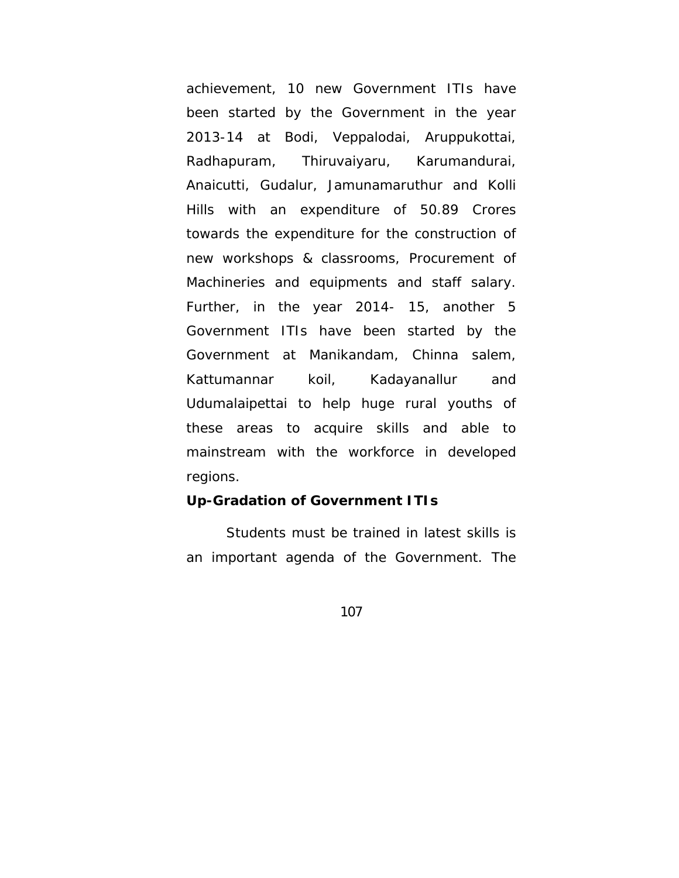achievement, 10 new Government ITIs have been started by the Government in the year 2013-14 at Bodi, Veppalodai, Aruppukottai, Radhapuram, Thiruvaiyaru, Karumandurai, Anaicutti, Gudalur, Jamunamaruthur and Kolli Hills with an expenditure of 50.89 Crores towards the expenditure for the construction of new workshops & classrooms, Procurement of Machineries and equipments and staff salary. Further, in the year 2014- 15, another 5 Government ITIs have been started by the Government at Manikandam, Chinna salem, Kattumannar koil, Kadayanallur and Udumalaipettai to help huge rural youths of these areas to acquire skills and able to mainstream with the workforce in developed regions.

#### **Up-Gradation of Government ITIs**

Students must be trained in latest skills is an important agenda of the Government. The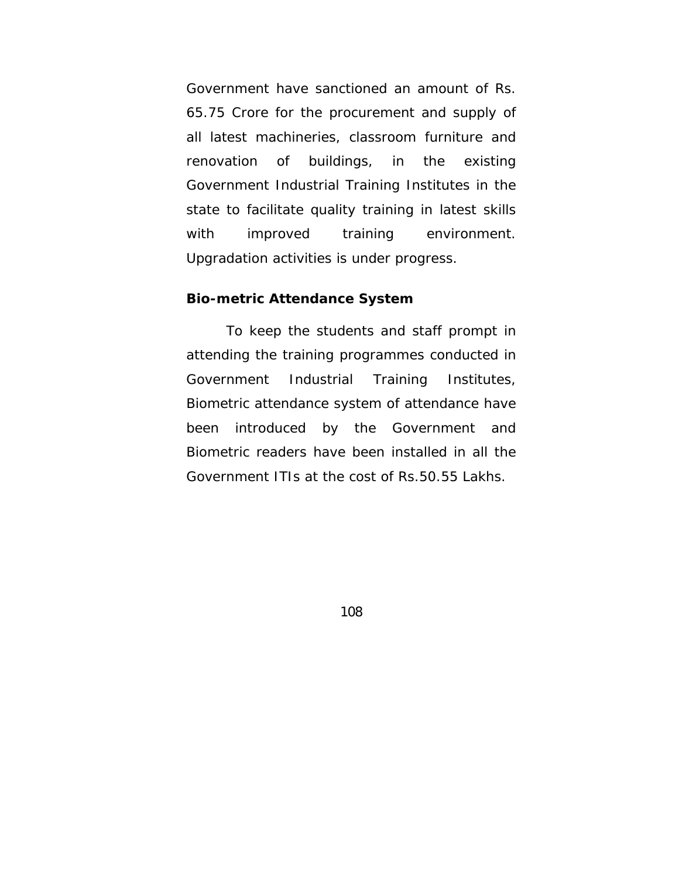Government have sanctioned an amount of Rs. 65.75 Crore for the procurement and supply of all latest machineries, classroom furniture and renovation of buildings, in the existing Government Industrial Training Institutes in the state to facilitate quality training in latest skills with improved training environment. Upgradation activities is under progress.

#### **Bio-metric Attendance System**

 To keep the students and staff prompt in attending the training programmes conducted in Government Industrial Training Institutes, Biometric attendance system of attendance have been introduced by the Government and Biometric readers have been installed in all the Government ITIs at the cost of Rs.50.55 Lakhs.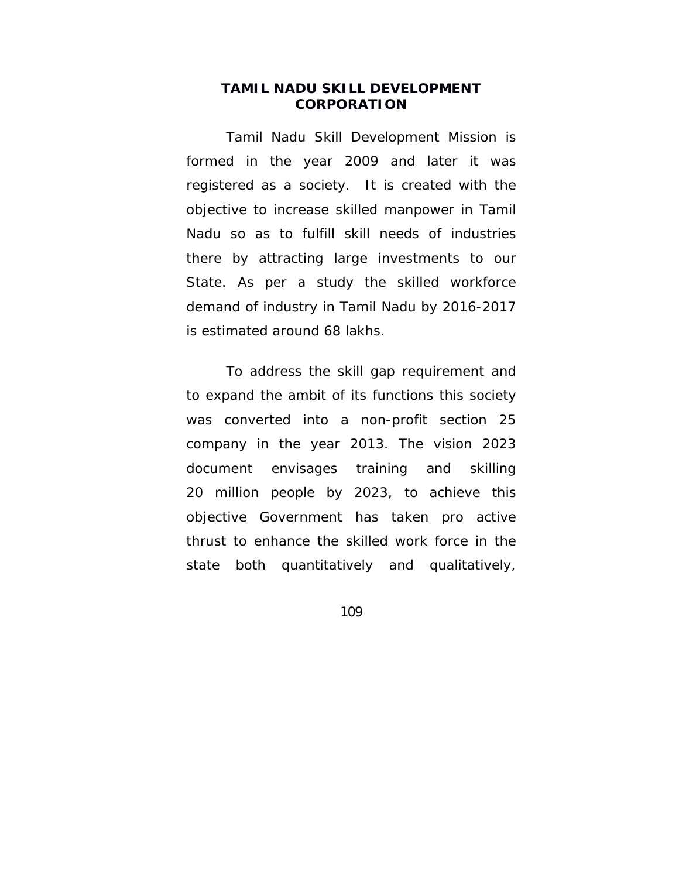### **TAMIL NADU SKILL DEVELOPMENT CORPORATION**

Tamil Nadu Skill Development Mission is formed in the year 2009 and later it was registered as a society. It is created with the objective to increase skilled manpower in Tamil Nadu so as to fulfill skill needs of industries there by attracting large investments to our State. As per a study the skilled workforce demand of industry in Tamil Nadu by 2016-2017 is estimated around 68 lakhs.

To address the skill gap requirement and to expand the ambit of its functions this society was converted into a non-profit section 25 company in the year 2013. The vision 2023 document envisages training and skilling 20 million people by 2023, to achieve this objective Government has taken pro active thrust to enhance the skilled work force in the state both quantitatively and qualitatively,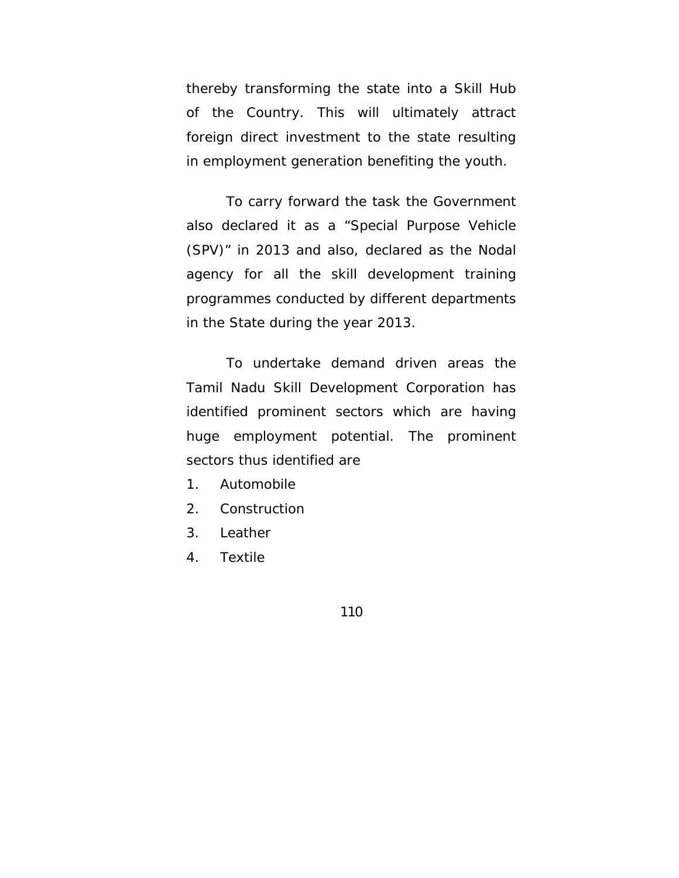thereby transforming the state into a Skill Hub of the Country. This will ultimately attract foreign direct investment to the state resulting in employment generation benefiting the youth.

To carry forward the task the Government also declared it as a "Special Purpose Vehicle (SPV)" in 2013 and also, declared as the Nodal agency for all the skill development training programmes conducted by different departments in the State during the year 2013.

To undertake demand driven areas the Tamil Nadu Skill Development Corporation has identified prominent sectors which are having huge employment potential. The prominent sectors thus identified are

- 1. Automobile
- 2. Construction
- 3. Leather
- 4. Textile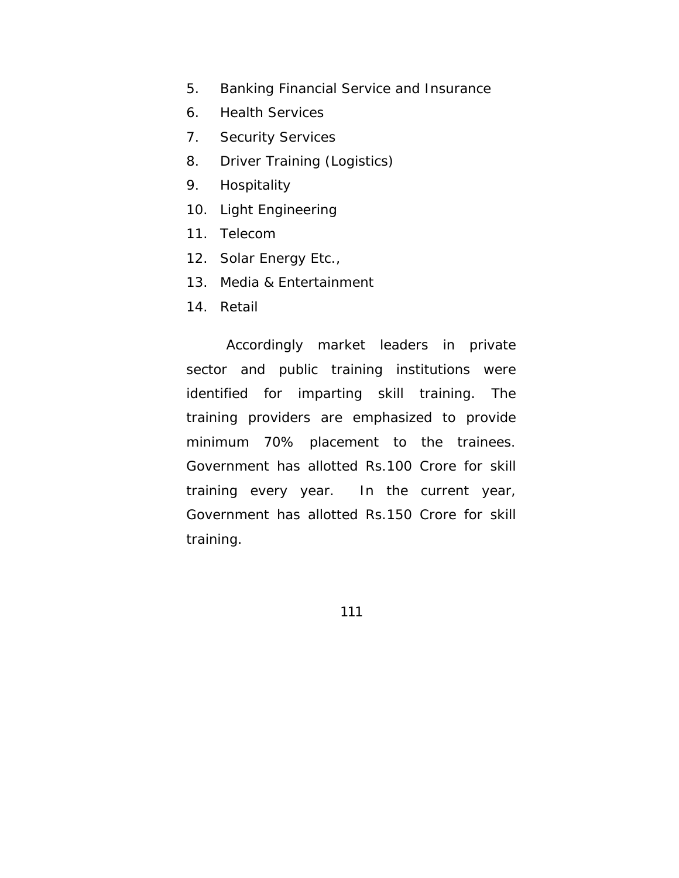- 5. Banking Financial Service and Insurance
- 6. Health Services
- 7. Security Services
- 8. Driver Training (Logistics)
- 9. Hospitality
- 10. Light Engineering
- 11. Telecom
- 12. Solar Energy Etc.,
- 13. Media & Entertainment
- 14. Retail

Accordingly market leaders in private sector and public training institutions were identified for imparting skill training. The training providers are emphasized to provide minimum 70% placement to the trainees. Government has allotted Rs.100 Crore for skill training every year. In the current year, Government has allotted Rs.150 Crore for skill training.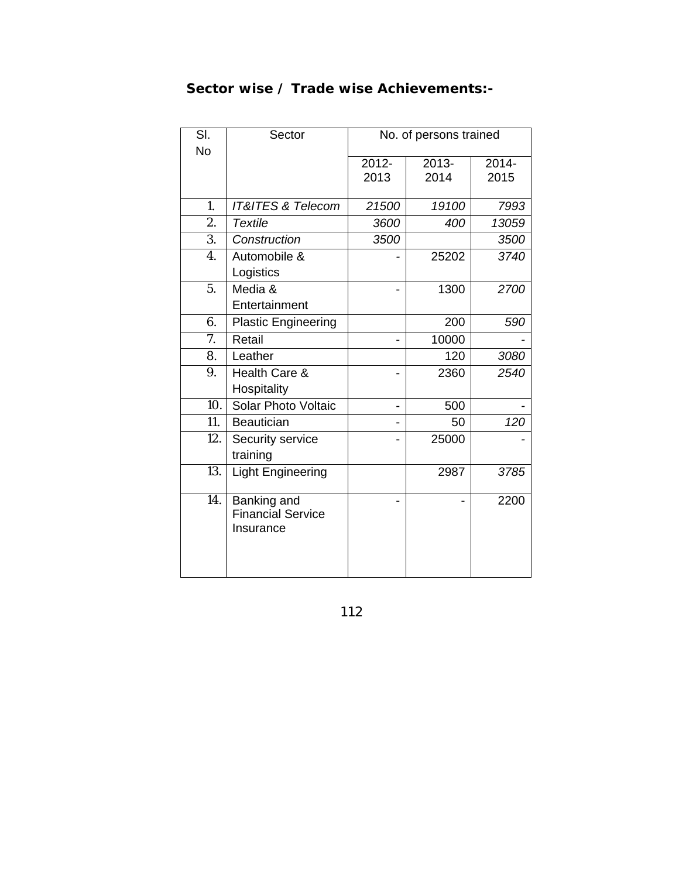| SI.              | Sector                                               | No. of persons trained        |       |       |
|------------------|------------------------------------------------------|-------------------------------|-------|-------|
| <b>No</b>        |                                                      | $2014 -$<br>$2012 -$<br>2013- |       |       |
|                  |                                                      | 2013                          | 2014  | 2015  |
|                  |                                                      |                               |       |       |
| 1.               | <b>IT&amp;ITES &amp; Telecom</b>                     | 21500                         | 19100 | 7993  |
| 2.               | <b>Textile</b>                                       | 3600                          | 400   | 13059 |
| $\overline{3}$ . | Construction                                         | 3500                          |       | 3500  |
| 4.               | Automobile &                                         |                               | 25202 | 3740  |
|                  | Logistics                                            |                               |       |       |
| 5.               | Media &                                              |                               | 1300  | 2700  |
|                  | Entertainment                                        |                               |       |       |
| 6.               | <b>Plastic Engineering</b>                           |                               | 200   | 590   |
| 7.               | Retail                                               |                               | 10000 |       |
| 8.               | Leather                                              |                               | 120   | 3080  |
| 9.               | Health Care &                                        |                               | 2360  | 2540  |
|                  | Hospitality                                          |                               |       |       |
| 10.              | Solar Photo Voltaic                                  |                               | 500   |       |
| 11.              | <b>Beautician</b>                                    |                               | 50    | 120   |
| 12.              | Security service                                     |                               | 25000 |       |
|                  | training                                             |                               |       |       |
| 13.              | <b>Light Engineering</b>                             |                               | 2987  | 3785  |
| 14.              | Banking and<br><b>Financial Service</b><br>Insurance |                               |       | 2200  |

# **Sector wise / Trade wise Achievements:-**

112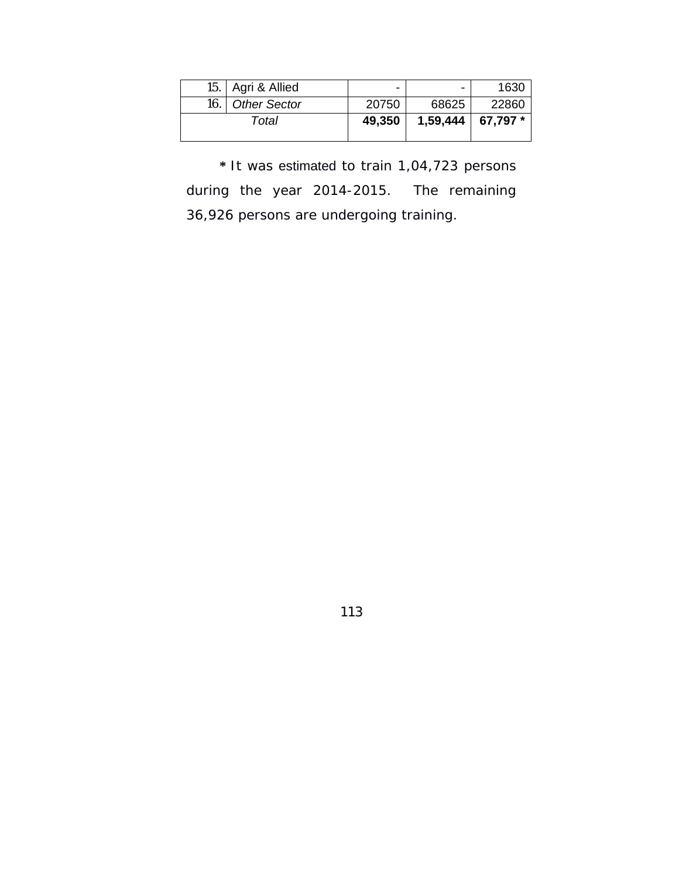|       | 15.   Agri & Allied | $\overline{\phantom{0}}$ | -        | 1630      |
|-------|---------------------|--------------------------|----------|-----------|
| 16. I | <b>Other Sector</b> | 20750                    | 68625    | 22860     |
| Total |                     | 49,350                   | 1,59,444 | $67.797*$ |

 **\*** It was estimated to train 1,04,723 persons during the year 2014-2015. The remaining 36,926 persons are undergoing training.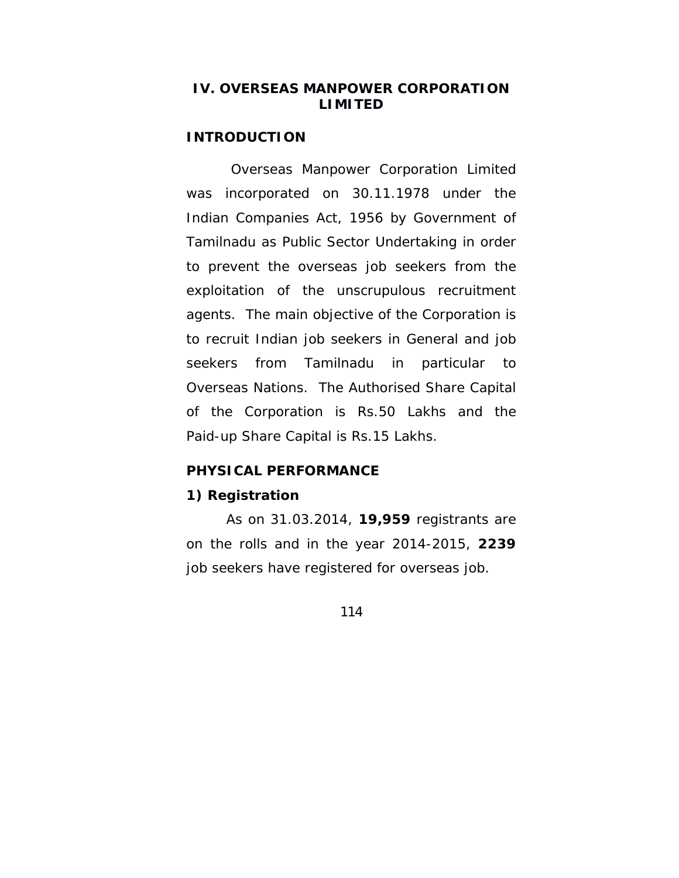### **IV. OVERSEAS MANPOWER CORPORATION LIMITED**

#### **INTRODUCTION**

 Overseas Manpower Corporation Limited was incorporated on 30.11.1978 under the Indian Companies Act, 1956 by Government of Tamilnadu as Public Sector Undertaking in order to prevent the overseas job seekers from the exploitation of the unscrupulous recruitment agents. The main objective of the Corporation is to recruit Indian job seekers in General and job seekers from Tamilnadu in particular to Overseas Nations. The Authorised Share Capital of the Corporation is Rs.50 Lakhs and the Paid-up Share Capital is Rs.15 Lakhs.

### **PHYSICAL PERFORMANCE**

#### **1) Registration**

 As on 31.03.2014, **19,959** registrants are on the rolls and in the year 2014-2015, **2239**  job seekers have registered for overseas job.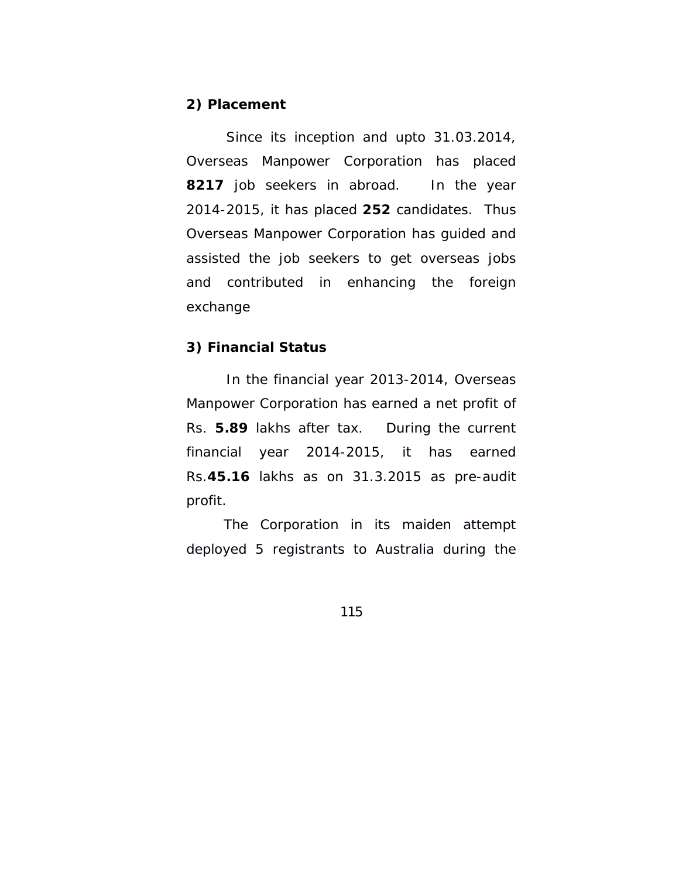#### **2) Placement**

 Since its inception and upto 31.03.2014, Overseas Manpower Corporation has placed **8217** job seekers in abroad. In the year 2014-2015, it has placed **252** candidates. Thus Overseas Manpower Corporation has guided and assisted the job seekers to get overseas jobs and contributed in enhancing the foreign exchange

### **3) Financial Status**

 In the financial year 2013-2014, Overseas Manpower Corporation has earned a net profit of Rs. **5.89** lakhs after tax. During the current financial year 2014-2015, it has earned Rs.**45.16** lakhs as on 31.3.2015 as pre-audit profit.

 The Corporation in its maiden attempt deployed 5 registrants to Australia during the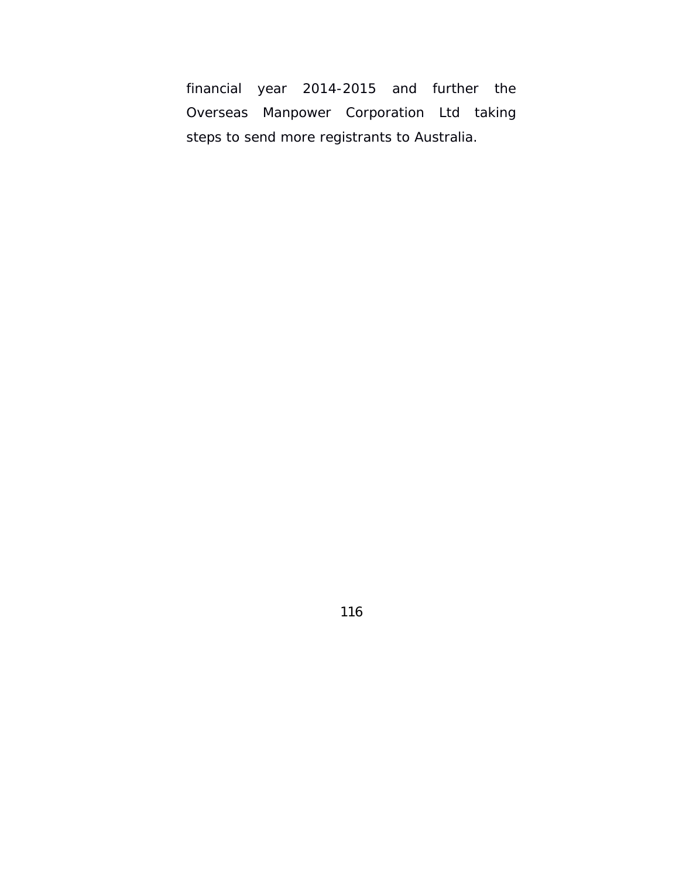financial year 2014-2015 and further the Overseas Manpower Corporation Ltd taking steps to send more registrants to Australia.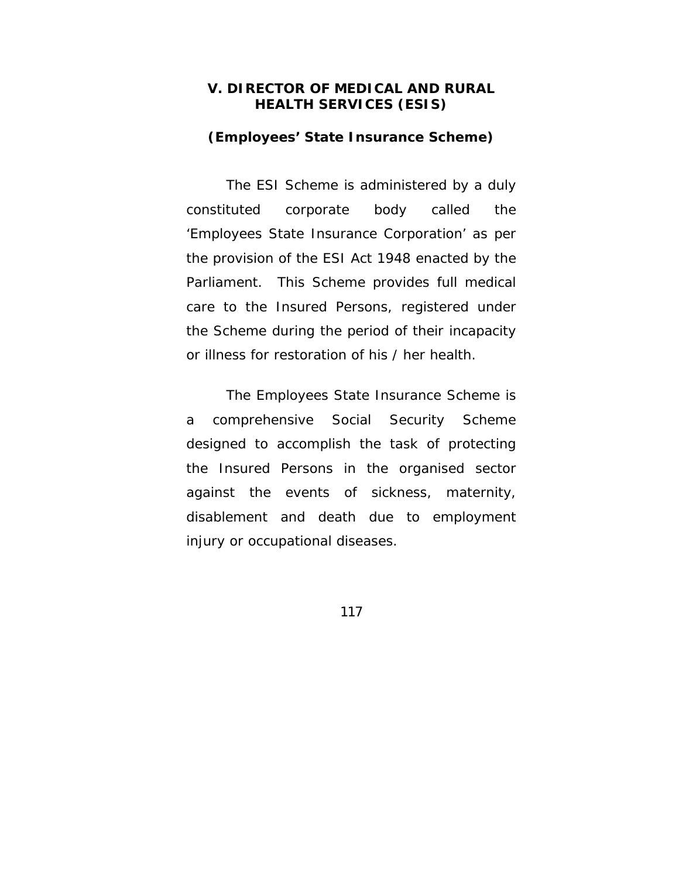### **V. DIRECTOR OF MEDICAL AND RURAL HEALTH SERVICES (ESIS)**

#### **(Employees' State Insurance Scheme)**

The ESI Scheme is administered by a duly constituted corporate body called the 'Employees State Insurance Corporation' as per the provision of the ESI Act 1948 enacted by the Parliament. This Scheme provides full medical care to the Insured Persons, registered under the Scheme during the period of their incapacity or illness for restoration of his / her health.

The Employees State Insurance Scheme is a comprehensive Social Security Scheme designed to accomplish the task of protecting the Insured Persons in the organised sector against the events of sickness, maternity, disablement and death due to employment injury or occupational diseases.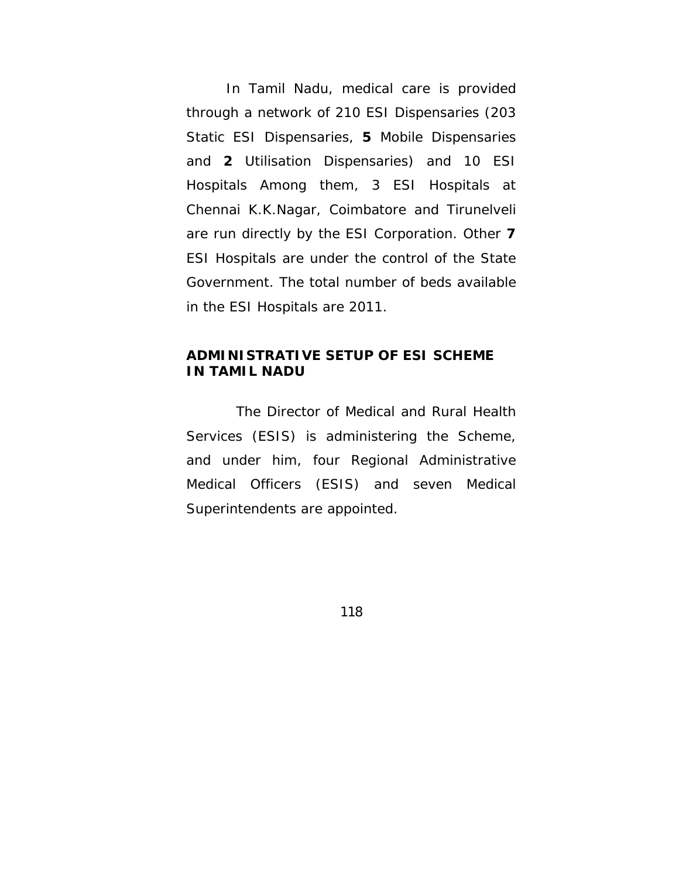In Tamil Nadu, medical care is provided through a network of 210 ESI Dispensaries (203 Static ESI Dispensaries, **5** Mobile Dispensaries and **2** Utilisation Dispensaries) and 10 ESI Hospitals Among them, 3 ESI Hospitals at Chennai K.K.Nagar, Coimbatore and Tirunelveli are run directly by the ESI Corporation. Other **7** ESI Hospitals are under the control of the State Government. The total number of beds available in the ESI Hospitals are 2011.

## **ADMINISTRATIVE SETUP OF ESI SCHEME IN TAMIL NADU**

The Director of Medical and Rural Health Services (ESIS) is administering the Scheme, and under him, four Regional Administrative Medical Officers (ESIS) and seven Medical Superintendents are appointed.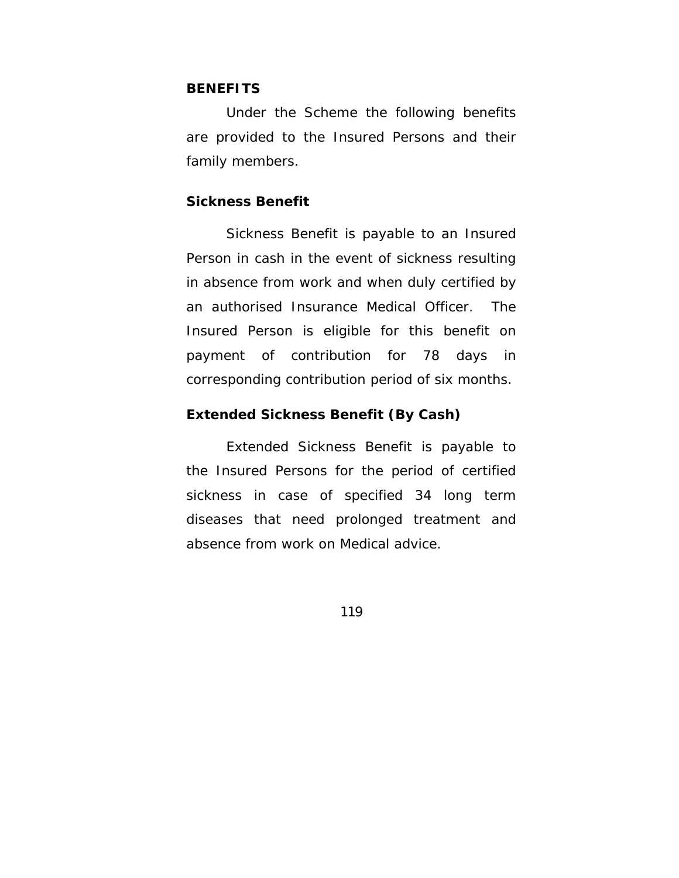#### **BENEFITS**

Under the Scheme the following benefits are provided to the Insured Persons and their family members.

### **Sickness Benefit**

 Sickness Benefit is payable to an Insured Person in cash in the event of sickness resulting in absence from work and when duly certified by an authorised Insurance Medical Officer. The Insured Person is eligible for this benefit on payment of contribution for 78 days in corresponding contribution period of six months.

### **Extended Sickness Benefit (By Cash)**

 Extended Sickness Benefit is payable to the Insured Persons for the period of certified sickness in case of specified 34 long term diseases that need prolonged treatment and absence from work on Medical advice.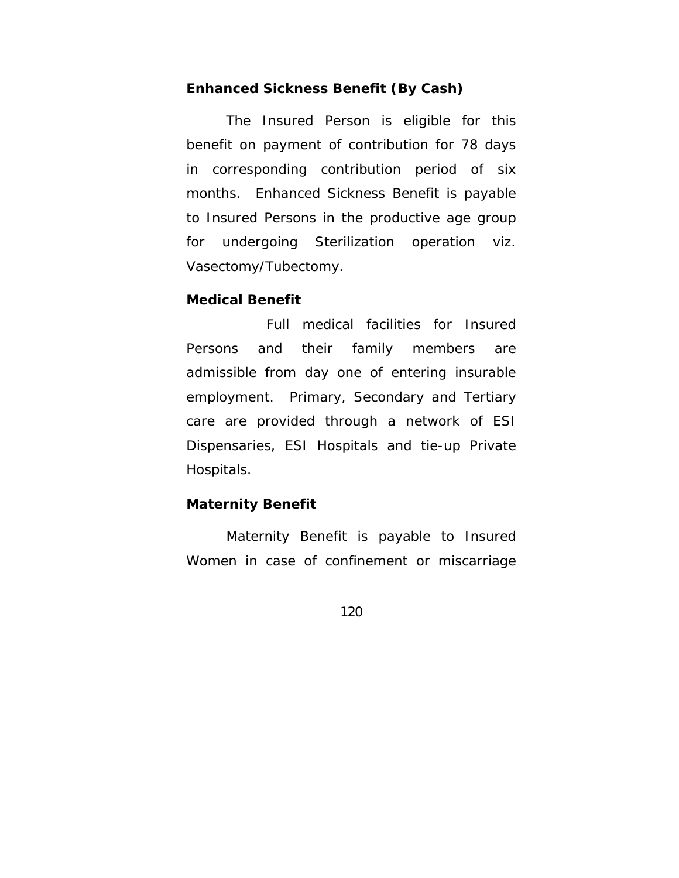#### **Enhanced Sickness Benefit (By Cash)**

 The Insured Person is eligible for this benefit on payment of contribution for 78 days in corresponding contribution period of six months. Enhanced Sickness Benefit is payable to Insured Persons in the productive age group for undergoing Sterilization operation viz. Vasectomy/Tubectomy.

#### **Medical Benefit**

 Full medical facilities for Insured Persons and their family members are admissible from day one of entering insurable employment. Primary, Secondary and Tertiary care are provided through a network of ESI Dispensaries, ESI Hospitals and tie-up Private Hospitals.

#### **Maternity Benefit**

 Maternity Benefit is payable to Insured Women in case of confinement or miscarriage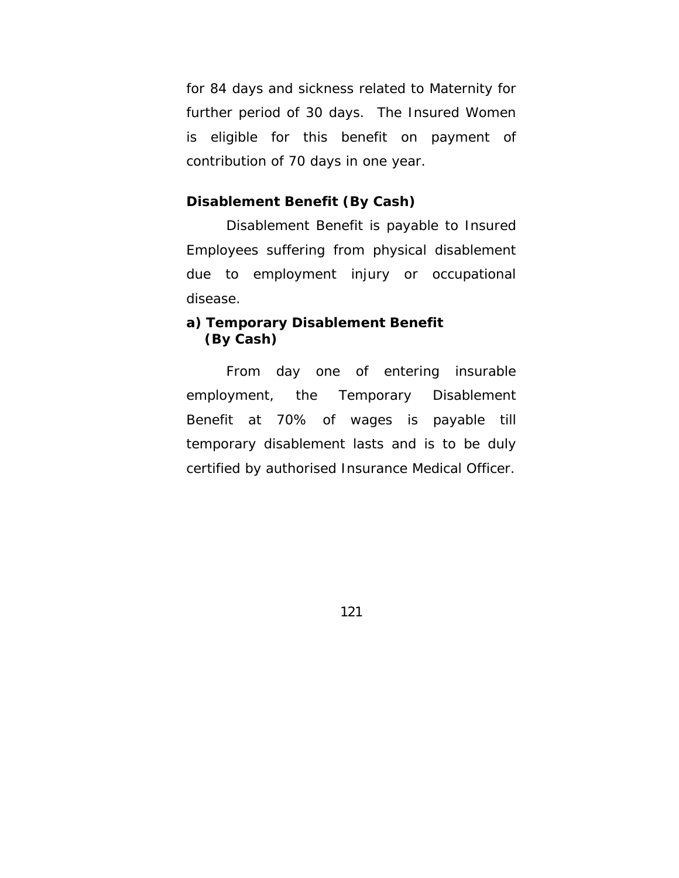for 84 days and sickness related to Maternity for further period of 30 days. The Insured Women is eligible for this benefit on payment of contribution of 70 days in one year.

## **Disablement Benefit (By Cash)**

 Disablement Benefit is payable to Insured Employees suffering from physical disablement due to employment injury or occupational disease.

## **a) Temporary Disablement Benefit (By Cash)**

From day one of entering insurable employment, the Temporary Disablement Benefit at 70% of wages is payable till temporary disablement lasts and is to be duly certified by authorised Insurance Medical Officer.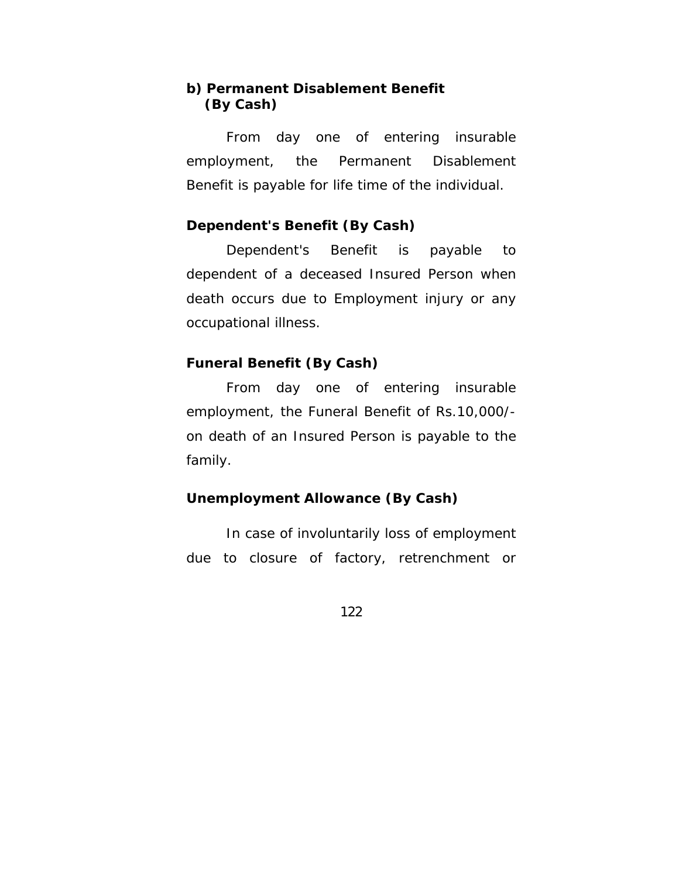## **b) Permanent Disablement Benefit (By Cash)**

From day one of entering insurable employment, the Permanent Disablement Benefit is payable for life time of the individual.

### **Dependent's Benefit (By Cash)**

 Dependent's Benefit is payable to dependent of a deceased Insured Person when death occurs due to Employment injury or any occupational illness.

### **Funeral Benefit (By Cash)**

 From day one of entering insurable employment, the Funeral Benefit of Rs.10,000/ on death of an Insured Person is payable to the family.

### **Unemployment Allowance (By Cash)**

 In case of involuntarily loss of employment due to closure of factory, retrenchment or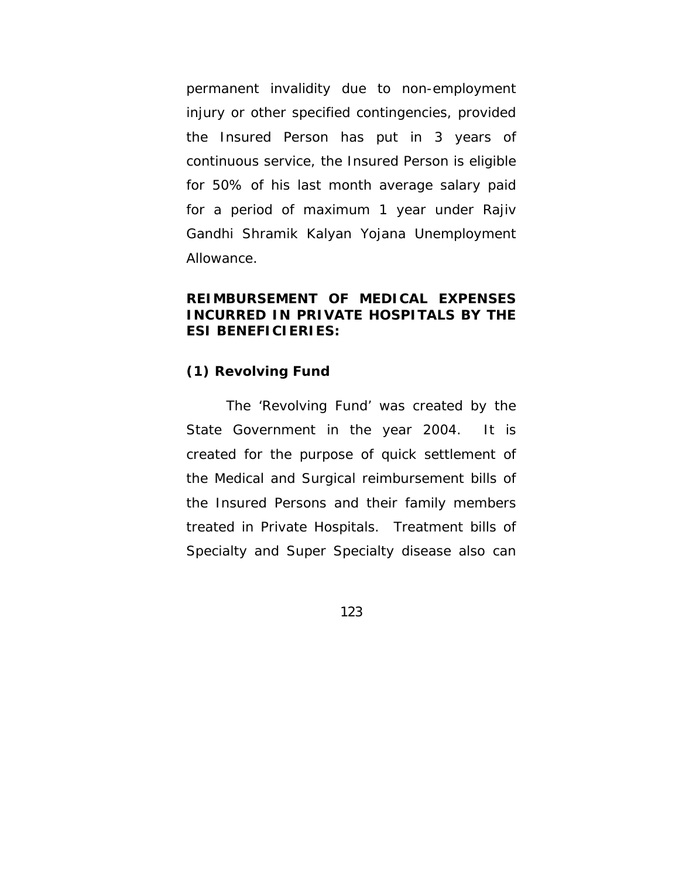permanent invalidity due to non-employment injury or other specified contingencies, provided the Insured Person has put in 3 years of continuous service, the Insured Person is eligible for 50% of his last month average salary paid for a period of maximum 1 year under Rajiv Gandhi Shramik Kalyan Yojana Unemployment Allowance.

## **REIMBURSEMENT OF MEDICAL EXPENSES INCURRED IN PRIVATE HOSPITALS BY THE ESI BENEFICIERIES:**

### **(1) Revolving Fund**

 The 'Revolving Fund' was created by the State Government in the year 2004. It is created for the purpose of quick settlement of the Medical and Surgical reimbursement bills of the Insured Persons and their family members treated in Private Hospitals. Treatment bills of Specialty and Super Specialty disease also can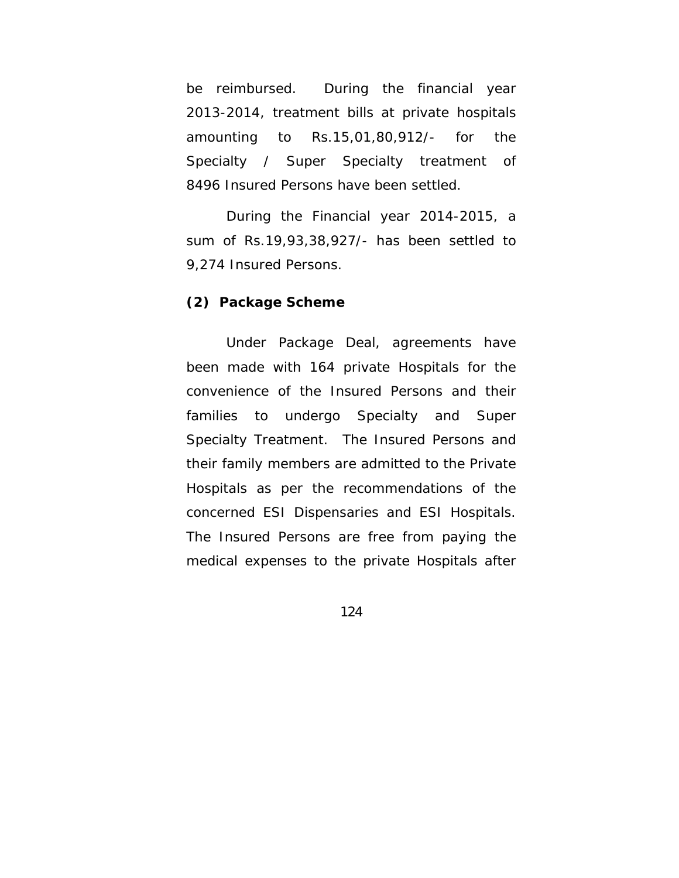be reimbursed. During the financial year 2013-2014, treatment bills at private hospitals amounting to Rs.15,01,80,912/- for the Specialty / Super Specialty treatment of 8496 Insured Persons have been settled.

 During the Financial year 2014-2015, a sum of Rs.19,93,38,927/- has been settled to 9,274 Insured Persons.

#### **(2) Package Scheme**

 Under Package Deal, agreements have been made with 164 private Hospitals for the convenience of the Insured Persons and their families to undergo Specialty and Super Specialty Treatment. The Insured Persons and their family members are admitted to the Private Hospitals as per the recommendations of the concerned ESI Dispensaries and ESI Hospitals. The Insured Persons are free from paying the medical expenses to the private Hospitals after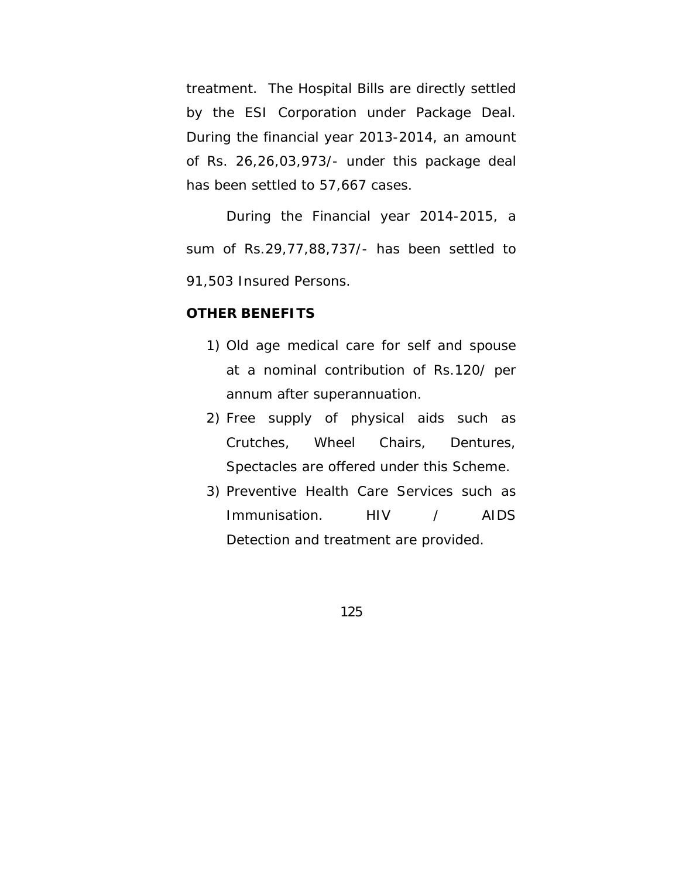treatment. The Hospital Bills are directly settled by the ESI Corporation under Package Deal. During the financial year 2013-2014, an amount of Rs. 26,26,03,973/- under this package deal has been settled to 57,667 cases.

 During the Financial year 2014-2015, a sum of Rs.29,77,88,737/- has been settled to 91,503 Insured Persons.

### **OTHER BENEFITS**

- 1) Old age medical care for self and spouse at a nominal contribution of Rs.120/ per annum after superannuation.
- 2) Free supply of physical aids such as Crutches, Wheel Chairs, Dentures, Spectacles are offered under this Scheme.
- 3) Preventive Health Care Services such as Immunisation. HIV / AIDS Detection and treatment are provided.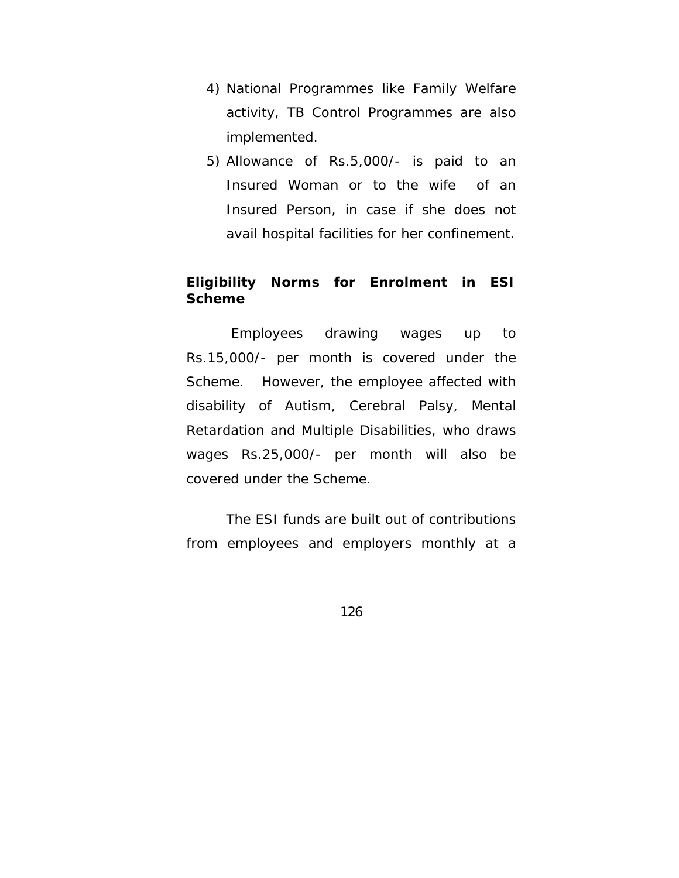- 4) National Programmes like Family Welfare activity, TB Control Programmes are also implemented.
- 5) Allowance of Rs.5,000/- is paid to an Insured Woman or to the wife of an Insured Person, in case if she does not avail hospital facilities for her confinement.

## **Eligibility Norms for Enrolment in ESI Scheme**

 Employees drawing wages up to Rs.15,000/- per month is covered under the Scheme. However, the employee affected with disability of Autism, Cerebral Palsy, Mental Retardation and Multiple Disabilities, who draws wages Rs.25,000/- per month will also be covered under the Scheme.

 The ESI funds are built out of contributions from employees and employers monthly at a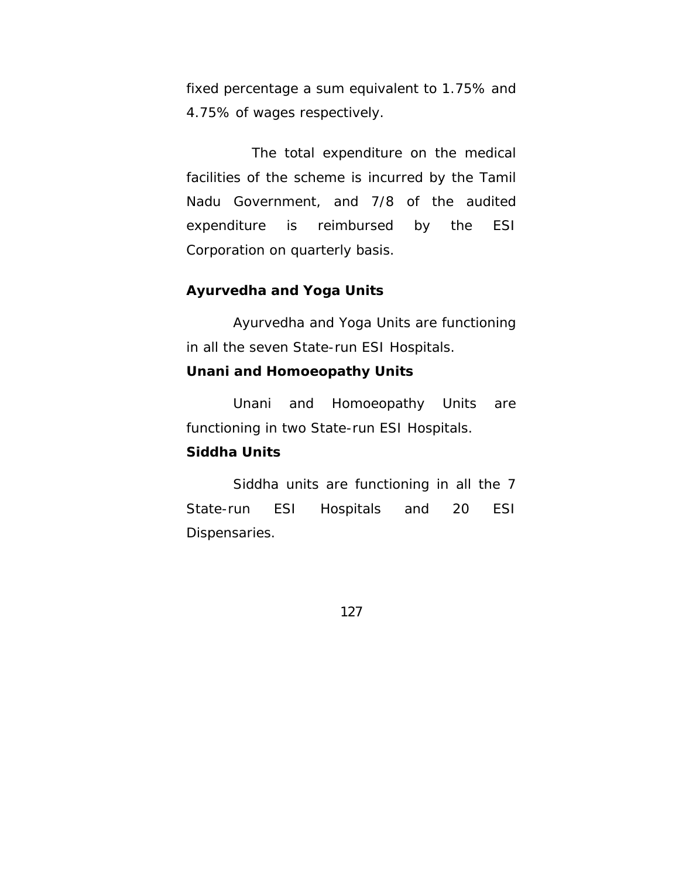fixed percentage a sum equivalent to 1.75% and 4.75% of wages respectively.

 The total expenditure on the medical facilities of the scheme is incurred by the Tamil Nadu Government, and 7/8 of the audited expenditure is reimbursed by the ESI Corporation on quarterly basis.

## **Ayurvedha and Yoga Units**

 Ayurvedha and Yoga Units are functioning in all the seven State-run ESI Hospitals.

### **Unani and Homoeopathy Units**

 Unani and Homoeopathy Units are functioning in two State-run ESI Hospitals.

### **Siddha Units**

 Siddha units are functioning in all the 7 State-run ESI Hospitals and 20 ESI Dispensaries.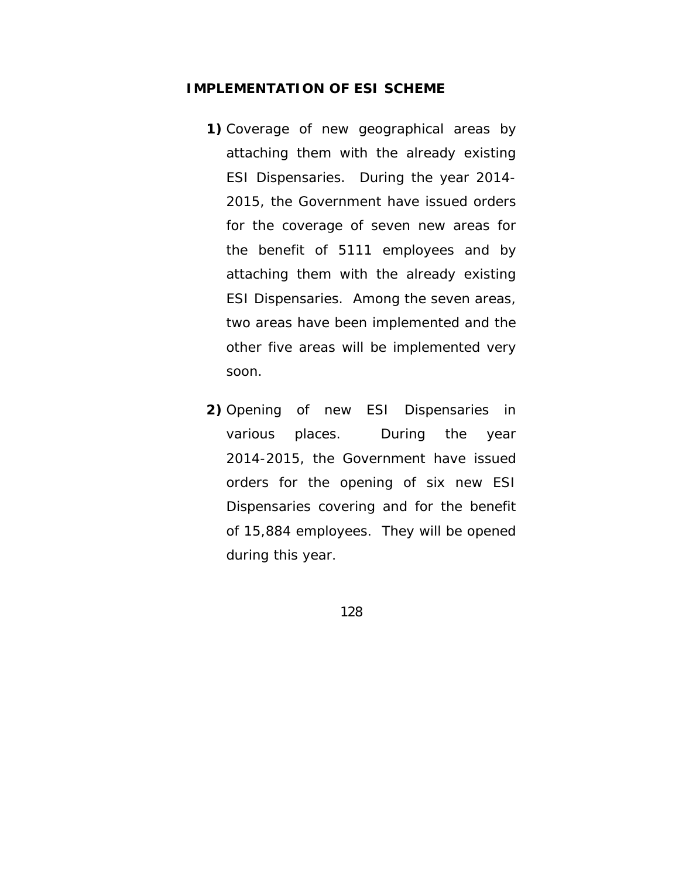#### **IMPLEMENTATION OF ESI SCHEME**

- **1)** Coverage of new geographical areas by attaching them with the already existing ESI Dispensaries. During the year 2014- 2015, the Government have issued orders for the coverage of seven new areas for the benefit of 5111 employees and by attaching them with the already existing ESI Dispensaries. Among the seven areas, two areas have been implemented and the other five areas will be implemented very soon.
- **2)** Opening of new ESI Dispensaries in various places. During the year 2014-2015, the Government have issued orders for the opening of six new ESI Dispensaries covering and for the benefit of 15,884 employees. They will be opened during this year.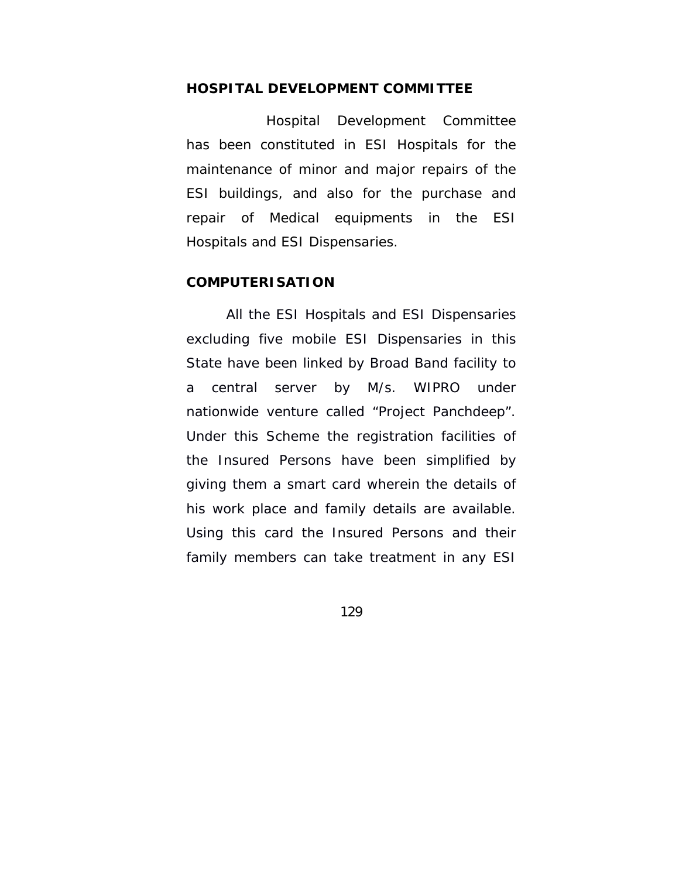#### **HOSPITAL DEVELOPMENT COMMITTEE**

 Hospital Development Committee has been constituted in ESI Hospitals for the maintenance of minor and major repairs of the ESI buildings, and also for the purchase and repair of Medical equipments in the ESI Hospitals and ESI Dispensaries.

#### **COMPUTERISATION**

 All the ESI Hospitals and ESI Dispensaries excluding five mobile ESI Dispensaries in this State have been linked by Broad Band facility to a central server by M/s. WIPRO under nationwide venture called "Project Panchdeep". Under this Scheme the registration facilities of the Insured Persons have been simplified by giving them a smart card wherein the details of his work place and family details are available. Using this card the Insured Persons and their family members can take treatment in any ESI